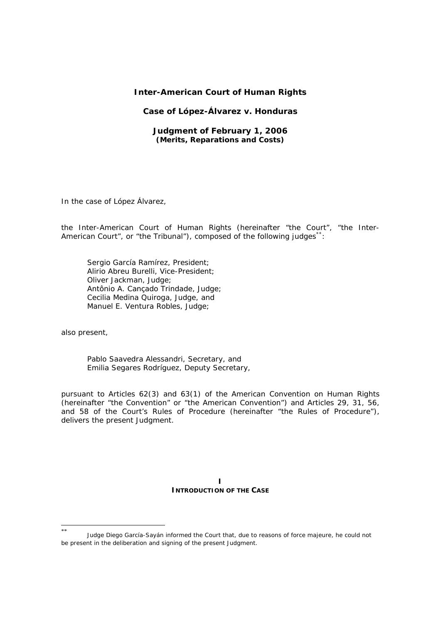# **Inter-American Court of Human Rights**

# **Case of López-Álvarez** *v.* **Honduras**

# **Judgment of February 1, 2006**  *(Merits, Reparations and Costs)*

In the case of *López Álvarez*,

the Inter-American Court of Human Rights (hereinafter "the Court", "the Inter-American Court", or "the Tribunal"), composed of the following judges<sup>\*\*</sup>:

Sergio García Ramírez, President; Alirio Abreu Burelli, Vice-President; Oliver Jackman, Judge; Antônio A. Cançado Trindade, Judge; Cecilia Medina Quiroga, Judge, and Manuel E. Ventura Robles, Judge;

also present,

-

Pablo Saavedra Alessandri, Secretary, and Emilia Segares Rodríguez, Deputy Secretary,

pursuant to Articles 62(3) and 63(1) of the American Convention on Human Rights (hereinafter "the Convention" or "the American Convention") and Articles 29, 31, 56, and 58 of the Court's Rules of Procedure (hereinafter "the Rules of Procedure"), delivers the present Judgment.

> **I INTRODUCTION OF THE CASE**

Judge Diego García-Sayán informed the Court that, due to reasons of force majeure, he could not be present in the deliberation and signing of the present Judgment.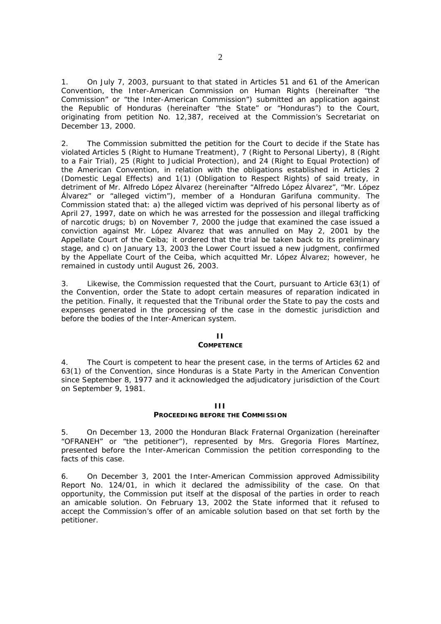1. On July 7, 2003, pursuant to that stated in Articles 51 and 61 of the American Convention, the Inter-American Commission on Human Rights (hereinafter "the Commission" or "the Inter-American Commission") submitted an application against the Republic of Honduras (hereinafter "the State" or "Honduras") to the Court, originating from petition No. 12,387, received at the Commission's Secretariat on December 13, 2000.

2. The Commission submitted the petition for the Court to decide if the State has violated Articles 5 (Right to Humane Treatment), 7 (Right to Personal Liberty), 8 (Right to a Fair Trial), 25 (Right to Judicial Protection), and 24 (Right to Equal Protection) of the American Convention, in relation with the obligations established in Articles 2 (Domestic Legal Effects) and 1(1) (Obligation to Respect Rights) of said treaty, in detriment of Mr. Alfredo López Álvarez (hereinafter "Alfredo López Álvarez", "Mr. López Álvarez" or "alleged victim"), member of a Honduran Garifuna community. The Commission stated that: a) the alleged victim was deprived of his personal liberty as of April 27, 1997, date on which he was arrested for the possession and illegal trafficking of narcotic drugs; b) on November 7, 2000 the judge that examined the case issued a conviction against Mr. López Alvarez that was annulled on May 2, 2001 by the Appellate Court of the Ceiba; it ordered that the trial be taken back to its preliminary stage, and c) on January 13, 2003 the Lower Court issued a new judgment, confirmed by the Appellate Court of the Ceiba, which acquitted Mr. López Álvarez; however, he remained in custody until August 26, 2003.

3. Likewise, the Commission requested that the Court, pursuant to Article 63(1) of the Convention, order the State to adopt certain measures of reparation indicated in the petition. Finally, it requested that the Tribunal order the State to pay the costs and expenses generated in the processing of the case in the domestic jurisdiction and before the bodies of the Inter-American system.

### **II**

#### **COMPETENCE**

4. The Court is competent to hear the present case, in the terms of Articles 62 and 63(1) of the Convention, since Honduras is a State Party in the American Convention since September 8, 1977 and it acknowledged the adjudicatory jurisdiction of the Court on September 9, 1981.

# **III**

# **PROCEEDING BEFORE THE COMMISSION**

5. On December 13, 2000 the Honduran Black Fraternal Organization (hereinafter "OFRANEH" or "the petitioner"), represented by Mrs. Gregoria Flores Martínez, presented before the Inter-American Commission the petition corresponding to the facts of this case.

6. On December 3, 2001 the Inter-American Commission approved Admissibility Report No. 124/01, in which it declared the admissibility of the case. On that opportunity, the Commission put itself at the disposal of the parties in order to reach an amicable solution. On February 13, 2002 the State informed that it refused to accept the Commission's offer of an amicable solution based on that set forth by the petitioner.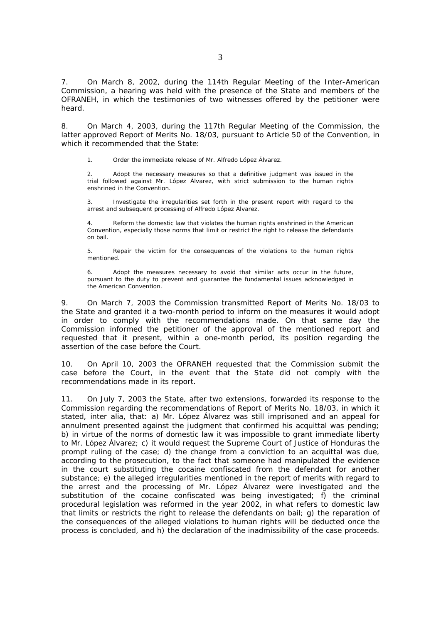7. On March 8, 2002, during the 114th Regular Meeting of the Inter-American Commission, a hearing was held with the presence of the State and members of the OFRANEH, in which the testimonies of two witnesses offered by the petitioner were heard.

8. On March 4, 2003, during the 117th Regular Meeting of the Commission, the latter approved Report of Merits No. 18/03, pursuant to Article 50 of the Convention, in which it recommended that the State:

1. Order the immediate release of Mr. Alfredo López Álvarez.

2. Adopt the necessary measures so that a definitive judgment was issued in the trial followed against Mr. López Álvarez, with strict submission to the human rights enshrined in the Convention.

3. Investigate the irregularities set forth in the present report with regard to the arrest and subsequent processing of Alfredo López Álvarez.

4. Reform the domestic law that violates the human rights enshrined in the American Convention, especially those norms that limit or restrict the right to release the defendants on bail.

5. Repair the victim for the consequences of the violations to the human rights mentioned.

Adopt the measures necessary to avoid that similar acts occur in the future, pursuant to the duty to prevent and guarantee the fundamental issues acknowledged in the American Convention.

9. On March 7, 2003 the Commission transmitted Report of Merits No. 18/03 to the State and granted it a two-month period to inform on the measures it would adopt in order to comply with the recommendations made. On that same day the Commission informed the petitioner of the approval of the mentioned report and requested that it present, within a one-month period, its position regarding the assertion of the case before the Court.

10. On April 10, 2003 the OFRANEH requested that the Commission submit the case before the Court, in the event that the State did not comply with the recommendations made in its report.

11. On July 7, 2003 the State, after two extensions, forwarded its response to the Commission regarding the recommendations of Report of Merits No. 18/03, in which it stated, *inter alia*, that: a) Mr. López Álvarez was still imprisoned and an appeal for annulment presented against the judgment that confirmed his acquittal was pending; b) in virtue of the norms of domestic law it was impossible to grant immediate liberty to Mr. López Álvarez; c) it would request the Supreme Court of Justice of Honduras the prompt ruling of the case; d) the change from a conviction to an acquittal was due, according to the prosecution, to the fact that someone had manipulated the evidence in the court substituting the cocaine confiscated from the defendant for another substance; e) the alleged irregularities mentioned in the report of merits with regard to the arrest and the processing of Mr. López Álvarez were investigated and the substitution of the cocaine confiscated was being investigated; f) the criminal procedural legislation was reformed in the year 2002, in what refers to domestic law that limits or restricts the right to release the defendants on bail; g) the reparation of the consequences of the alleged violations to human rights will be deducted once the process is concluded, and h) the declaration of the inadmissibility of the case proceeds.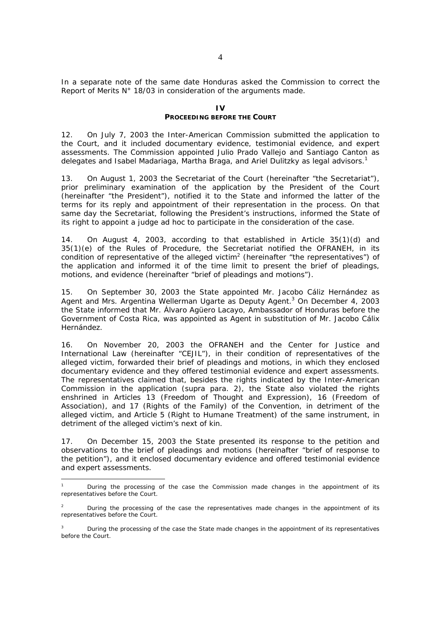In a separate note of the same date Honduras asked the Commission to correct the Report of Merits N° 18/03 in consideration of the arguments made.

### $\mathbf{I}$

# **PROCEEDING BEFORE THE COURT**

12. On July 7, 2003 the Inter-American Commission submitted the application to the Court, and it included documentary evidence, testimonial evidence, and expert assessments. The Commission appointed Julio Prado Vallejo and Santiago Canton as delegates and Isabel Madariaga, Martha Braga, and Ariel Dulitzky as legal advisors.<sup>1</sup>

13. On August 1, 2003 the Secretariat of the Court (hereinafter "the Secretariat"), prior preliminary examination of the application by the President of the Court (hereinafter "the President"), notified it to the State and informed the latter of the terms for its reply and appointment of their representation in the process. On that same day the Secretariat, following the President's instructions, informed the State of its right to appoint a judge *ad hoc* to participate in the consideration of the case.

14. On August 4, 2003, according to that established in Article 35(1)(d) and 35(1)(e) of the Rules of Procedure, the Secretariat notified the OFRANEH, in its condition of representative of the alleged victim<sup>2</sup> (hereinafter "the representatives") of the application and informed it of the time limit to present the brief of pleadings, motions, and evidence (hereinafter "brief of pleadings and motions").

15. On September 30, 2003 the State appointed Mr. Jacobo Cáliz Hernández as Agent and Mrs. Argentina Wellerman Ugarte as Deputy Agent.<sup>3</sup> On December 4, 2003 the State informed that Mr. Álvaro Agüero Lacayo, Ambassador of Honduras before the Government of Costa Rica, was appointed as Agent in substitution of Mr. Jacobo Cálix Hernández.

16. On November 20, 2003 the OFRANEH and the Center for Justice and International Law (hereinafter "CEJIL"), in their condition of representatives of the alleged victim, forwarded their brief of pleadings and motions, in which they enclosed documentary evidence and they offered testimonial evidence and expert assessments. The representatives claimed that, besides the rights indicated by the Inter-American Commission in the application (*supra* para. 2), the State also violated the rights enshrined in Articles 13 (Freedom of Thought and Expression), 16 (Freedom of Association), and 17 (Rights of the Family) of the Convention, in detriment of the alleged victim, and Article 5 (Right to Humane Treatment) of the same instrument, in detriment of the alleged victim's next of kin.

17. On December 15, 2003 the State presented its response to the petition and observations to the brief of pleadings and motions (hereinafter "brief of response to the petition"), and it enclosed documentary evidence and offered testimonial evidence and expert assessments.

 $\overline{a}$ 

<sup>1</sup> During the processing of the case the Commission made changes in the appointment of its representatives before the Court.

<sup>2</sup> During the processing of the case the representatives made changes in the appointment of its representatives before the Court.

<sup>3</sup> During the processing of the case the State made changes in the appointment of its representatives before the Court.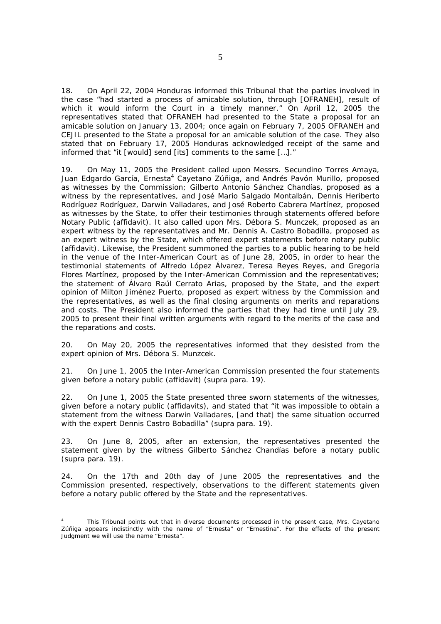18. On April 22, 2004 Honduras informed this Tribunal that the parties involved in the case "had started a process of amicable solution, through [OFRANEH], result of which it would inform the Court in a timely manner." On April 12, 2005 the representatives stated that OFRANEH had presented to the State a proposal for an amicable solution on January 13, 2004; once again on February 7, 2005 OFRANEH and CEJIL presented to the State a proposal for an amicable solution of the case. They also stated that on February 17, 2005 Honduras acknowledged receipt of the same and informed that "it [would] send [its] comments to the same […]."

19. On May 11, 2005 the President called upon Messrs. Secundino Torres Amaya, Juan Edgardo García, Ernesta<sup>4</sup> Cayetano Zúñiga, and Andrés Pavón Murillo, proposed as witnesses by the Commission; Gilberto Antonio Sánchez Chandías, proposed as a witness by the representatives, and José Mario Salgado Montalbán, Dennis Heriberto Rodríguez Rodríguez, Darwin Valladares, and José Roberto Cabrera Martínez, proposed as witnesses by the State, to offer their testimonies through statements offered before Notary Public (affidavit). It also called upon Mrs. Débora S. Munczek, proposed as an expert witness by the representatives and Mr. Dennis A. Castro Bobadilla, proposed as an expert witness by the State, which offered expert statements before notary public (affidavit). Likewise, the President summoned the parties to a public hearing to be held in the venue of the Inter-American Court as of June 28, 2005, in order to hear the testimonial statements of Alfredo López Álvarez, Teresa Reyes Reyes, and Gregoria Flores Martínez, proposed by the Inter-American Commission and the representatives; the statement of Álvaro Raúl Cerrato Arias, proposed by the State, and the expert opinion of Milton Jiménez Puerto, proposed as expert witness by the Commission and the representatives, as well as the final closing arguments on merits and reparations and costs. The President also informed the parties that they had time until July 29, 2005 to present their final written arguments with regard to the merits of the case and the reparations and costs.

20. On May 20, 2005 the representatives informed that they desisted from the expert opinion of Mrs. Débora S. Munzcek.

21. On June 1, 2005 the Inter-American Commission presented the four statements given before a notary public (affidavit) (*supra* para. 19).

22. On June 1, 2005 the State presented three sworn statements of the witnesses, given before a notary public (affidavits), and stated that "it was impossible to obtain a statement from the witness Darwin Valladares, [and that] the same situation occurred with the expert Dennis Castro Bobadilla" (*supra* para. 19).

23. On June 8, 2005, after an extension, the representatives presented the statement given by the witness Gilberto Sánchez Chandías before a notary public (*supra* para. 19).

24. On the 17th and 20th day of June 2005 the representatives and the Commission presented, respectively, observations to the different statements given before a notary public offered by the State and the representatives.

1

<sup>4</sup> This Tribunal points out that in diverse documents processed in the present case, Mrs. Cayetano Zúñiga appears indistinctly with the name of "Ernesta" or "Ernestina". For the effects of the present Judgment we will use the name "Ernesta".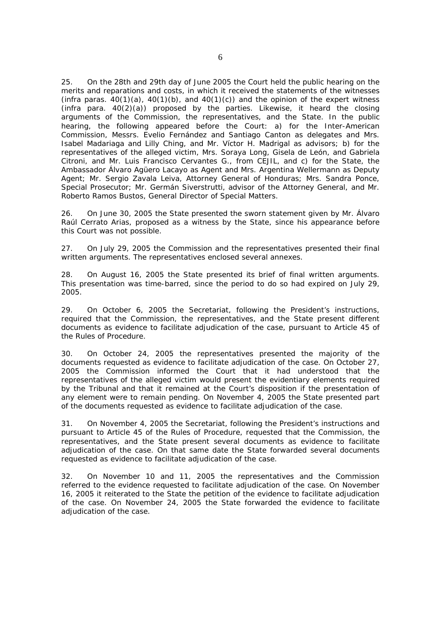25. On the 28th and 29th day of June 2005 the Court held the public hearing on the merits and reparations and costs, in which it received the statements of the witnesses  $(\text{infra}$  paras.  $40(1)(a)$ ,  $40(1)(b)$ , and  $40(1)(c)$ ) and the opinion of the expert witness (*infra* para. 40(2)(a)) proposed by the parties. Likewise, it heard the closing arguments of the Commission, the representatives, and the State. In the public hearing, the following appeared before the Court: a) for the Inter-American Commission, Messrs. Evelio Fernández and Santiago Canton as delegates and Mrs. Isabel Madariaga and Lilly Ching, and Mr. Víctor H. Madrigal as advisors; b) for the representatives of the alleged victim, Mrs. Soraya Long, Gisela de León, and Gabriela Citroni, and Mr. Luis Francisco Cervantes G., from CEJIL, and c) for the State, the Ambassador Álvaro Agüero Lacayo as Agent and Mrs. Argentina Wellermann as Deputy Agent; Mr. Sergio Zavala Leiva, Attorney General of Honduras; Mrs. Sandra Ponce, Special Prosecutor; Mr. Germán Siverstrutti, advisor of the Attorney General, and Mr. Roberto Ramos Bustos, General Director of Special Matters.

26. On June 30, 2005 the State presented the sworn statement given by Mr. Álvaro Raúl Cerrato Arias, proposed as a witness by the State, since his appearance before this Court was not possible.

27. On July 29, 2005 the Commission and the representatives presented their final written arguments. The representatives enclosed several annexes.

28. On August 16, 2005 the State presented its brief of final written arguments. This presentation was time-barred, since the period to do so had expired on July 29, 2005.

29. On October 6, 2005 the Secretariat, following the President's instructions, required that the Commission, the representatives, and the State present different documents as evidence to facilitate adjudication of the case, pursuant to Article 45 of the Rules of Procedure.

30. On October 24, 2005 the representatives presented the majority of the documents requested as evidence to facilitate adjudication of the case. On October 27, 2005 the Commission informed the Court that it had understood that the representatives of the alleged victim would present the evidentiary elements required by the Tribunal and that it remained at the Court's disposition if the presentation of any element were to remain pending. On November 4, 2005 the State presented part of the documents requested as evidence to facilitate adjudication of the case.

31. On November 4, 2005 the Secretariat, following the President's instructions and pursuant to Article 45 of the Rules of Procedure, requested that the Commission, the representatives, and the State present several documents as evidence to facilitate adjudication of the case. On that same date the State forwarded several documents requested as evidence to facilitate adjudication of the case.

32. On November 10 and 11, 2005 the representatives and the Commission referred to the evidence requested to facilitate adjudication of the case. On November 16, 2005 it reiterated to the State the petition of the evidence to facilitate adjudication of the case. On November 24, 2005 the State forwarded the evidence to facilitate adjudication of the case.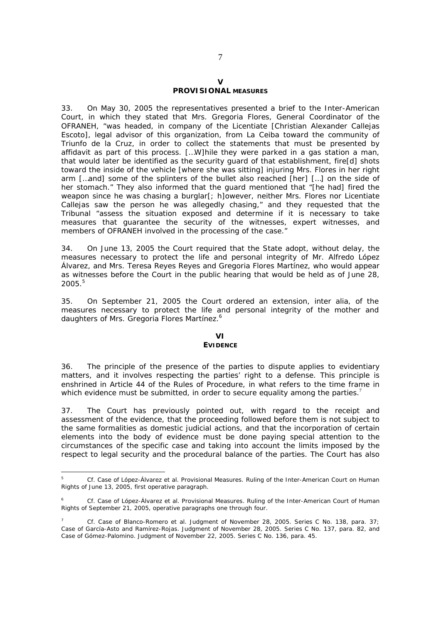### **V PROVISIONAL MEASURES**

33. On May 30, 2005 the representatives presented a brief to the Inter-American Court, in which they stated that Mrs. Gregoria Flores, General Coordinator of the OFRANEH, "was headed, in company of the Licentiate [Christian Alexander Callejas Escoto], legal advisor of this organization, from La Ceiba toward the community of Triunfo de la Cruz, in order to collect the statements that must be presented by affidavit as part of this process. […W]hile they were parked in a gas station a man, that would later be identified as the security guard of that establishment, fire[d] shots toward the inside of the vehicle [where she was sitting] injuring Mrs. Flores in her right arm […and] some of the splinters of the bullet also reached [her] […] on the side of her stomach." They also informed that the guard mentioned that "[he had] fired the weapon since he was chasing a burglar[; h]owever, neither Mrs. Flores nor Licentiate Callejas saw the person he was allegedly chasing," and they requested that the Tribunal "assess the situation exposed and determine if it is necessary to take measures that guarantee the security of the witnesses, expert witnesses, and members of OFRANEH involved in the processing of the case."

34. On June 13, 2005 the Court required that the State adopt, without delay, the measures necessary to protect the life and personal integrity of Mr. Alfredo López Álvarez, and Mrs. Teresa Reyes Reyes and Gregoria Flores Martínez, who would appear as witnesses before the Court in the public hearing that would be held as of June 28,  $2005.<sup>5</sup>$ 

35. On September 21, 2005 the Court ordered an extension, *inter alia,* of the measures necessary to protect the life and personal integrity of the mother and daughters of Mrs. Gregoria Flores Martínez.<sup>6</sup>

# **VI**

# **EVIDENCE**

36. The principle of the presence of the parties to dispute applies to evidentiary matters, and it involves respecting the parties' right to a defense. This principle is enshrined in Article 44 of the Rules of Procedure, in what refers to the time frame in which evidence must be submitted, in order to secure equality among the parties.<sup>7</sup>

37. The Court has previously pointed out, with regard to the receipt and assessment of the evidence, that the proceeding followed before them is not subject to the same formalities as domestic judicial actions, and that the incorporation of certain elements into the body of evidence must be done paying special attention to the circumstances of the specific case and taking into account the limits imposed by the respect to legal security and the procedural balance of the parties. The Court has also

<sup>5</sup> *Cf. Case of López-Álvarez et al.* Provisional Measures. Ruling of the Inter-American Court on Human Rights of June 13, 2005, first operative paragraph.

<sup>6</sup> *Cf. Case of López-Álvarez et al.* Provisional Measures. Ruling of the Inter-American Court of Human Rights of September 21, 2005, operative paragraphs one through four.

*<sup>7</sup> Cf. Case of Blanco-Romero et al.* Judgment of November 28, 2005. Series C No. 138, para. 37; *Case of García-Asto and Ramírez-Rojas.* Judgment of November 28, 2005. Series C No. 137, para. 82, and *Case of Gómez-Palomino.* Judgment of November 22, 2005. Series C No. 136, para. 45.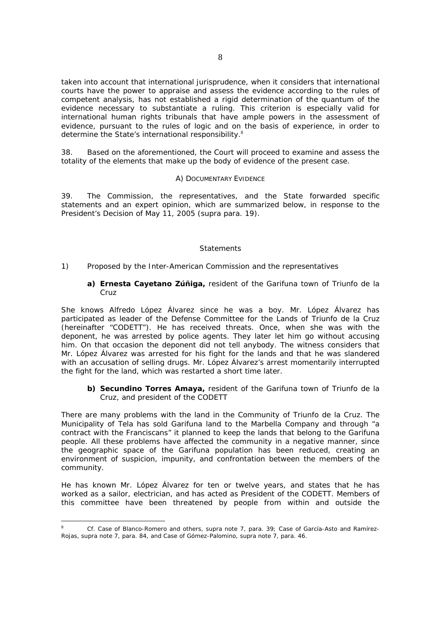taken into account that international jurisprudence, when it considers that international courts have the power to appraise and assess the evidence according to the rules of competent analysis, has not established a rigid determination of the *quantum* of the evidence necessary to substantiate a ruling. This criterion is especially valid for international human rights tribunals that have ample powers in the assessment of evidence, pursuant to the rules of logic and on the basis of experience, in order to determine the State's international responsibility.<sup>8</sup>

38. Based on the aforementioned, the Court will proceed to examine and assess the totality of the elements that make up the body of evidence of the present case.

# *A) DOCUMENTARY EVIDENCE*

39. The Commission, the representatives, and the State forwarded specific statements and an expert opinion, which are summarized below, in response to the President's Decision of May 11, 2005 (*supra* para. 19).

### *Statements*

### 1) *Proposed by the Inter-American Commission and the representatives*

# **a) Ernesta Cayetano Zúñiga,** resident of the Garifuna town of Triunfo de la Cruz

She knows Alfredo López Álvarez since he was a boy. Mr. López Álvarez has participated as leader of the Defense Committee for the Lands of Triunfo de la Cruz (hereinafter "CODETT"). He has received threats. Once, when she was with the deponent, he was arrested by police agents. They later let him go without accusing him. On that occasion the deponent did not tell anybody. The witness considers that Mr. López Álvarez was arrested for his fight for the lands and that he was slandered with an accusation of selling drugs. Mr. López Álvarez's arrest momentarily interrupted the fight for the land, which was restarted a short time later.

# **b) Secundino Torres Amaya,** resident of the Garifuna town of Triunfo de la Cruz, and president of the CODETT

There are many problems with the land in the Community of Triunfo de la Cruz. The Municipality of Tela has sold Garifuna land to the Marbella Company and through "a contract with the Franciscans" it planned to keep the lands that belong to the Garifuna people. All these problems have affected the community in a negative manner, since the geographic space of the Garifuna population has been reduced, creating an environment of suspicion, impunity, and confrontation between the members of the community.

He has known Mr. López Álvarez for ten or twelve years, and states that he has worked as a sailor, electrician, and has acted as President of the CODETT. Members of this committee have been threatened by people from within and outside the

*<sup>8</sup> Cf. Case of Blanco-Romero and others, supra* note 7, para. 39*; Case of García-Asto and Ramírez-Rojas, supra* note 7, para. 84, and *Case of Gómez-Palomino, supra* note 7, para. 46.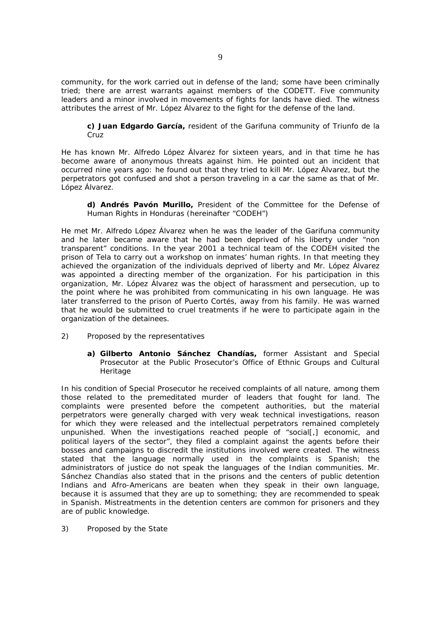community, for the work carried out in defense of the land; some have been criminally tried; there are arrest warrants against members of the CODETT. Five community leaders and a minor involved in movements of fights for lands have died. The witness attributes the arrest of Mr. López Álvarez to the fight for the defense of the land.

**c) Juan Edgardo García,** resident of the Garifuna community of Triunfo de la Cruz

He has known Mr. Alfredo López Álvarez for sixteen years, and in that time he has become aware of anonymous threats against him. He pointed out an incident that occurred nine years ago: he found out that they tried to kill Mr. López Álvarez, but the perpetrators got confused and shot a person traveling in a car the same as that of Mr. López Álvarez.

**d) Andrés Pavón Murillo,** President of the Committee for the Defense of Human Rights in Honduras (hereinafter "CODEH")

He met Mr. Alfredo López Álvarez when he was the leader of the Garifuna community and he later became aware that he had been deprived of his liberty under "non transparent" conditions. In the year 2001 a technical team of the CODEH visited the prison of Tela to carry out a workshop on inmates' human rights. In that meeting they achieved the organization of the individuals deprived of liberty and Mr. López Álvarez was appointed a directing member of the organization. For his participation in this organization, Mr. López Álvarez was the object of harassment and persecution, up to the point where he was prohibited from communicating in his own language. He was later transferred to the prison of Puerto Cortés, away from his family. He was warned that he would be submitted to cruel treatments if he were to participate again in the organization of the detainees.

- 2) *Proposed by the representatives* 
	- **a) Gilberto Antonio Sánchez Chandías,** former Assistant and Special Prosecutor at the Public Prosecutor's Office of Ethnic Groups and Cultural Heritage

In his condition of Special Prosecutor he received complaints of all nature, among them those related to the premeditated murder of leaders that fought for land. The complaints were presented before the competent authorities, but the material perpetrators were generally charged with very weak technical investigations, reason for which they were released and the intellectual perpetrators remained completely unpunished. When the investigations reached people of "social[,] economic, and political layers of the sector", they filed a complaint against the agents before their bosses and campaigns to discredit the institutions involved were created. The witness stated that the language normally used in the complaints is Spanish; the administrators of justice do not speak the languages of the Indian communities. Mr. Sánchez Chandías also stated that in the prisons and the centers of public detention Indians and Afro-Americans are beaten when they speak in their own language, because it is assumed that they are up to something; they are recommended to speak in Spanish. Mistreatments in the detention centers are common for prisoners and they are of public knowledge.

3) *Proposed by the State*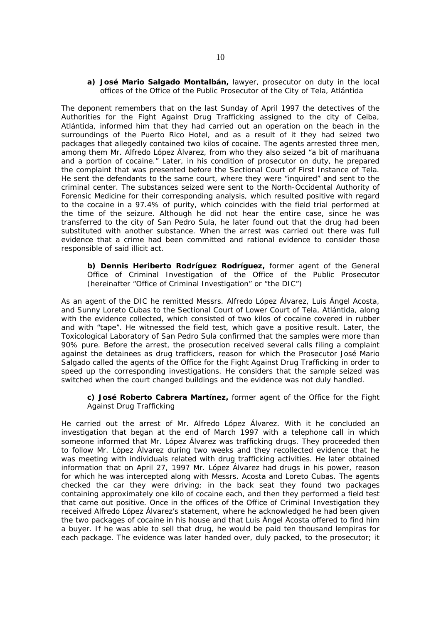### **a) José Mario Salgado Montalbán,** lawyer, prosecutor on duty in the local offices of the Office of the Public Prosecutor of the City of Tela, Atlántida

The deponent remembers that on the last Sunday of April 1997 the detectives of the Authorities for the Fight Against Drug Trafficking assigned to the city of Ceiba, Atlántida, informed him that they had carried out an operation on the beach in the surroundings of the Puerto Rico Hotel, and as a result of it they had seized two packages that allegedly contained two kilos of cocaine. The agents arrested three men, among them Mr. Alfredo López Álvarez, from who they also seized "a bit of marihuana and a portion of cocaine." Later, in his condition of prosecutor on duty, he prepared the complaint that was presented before the Sectional Court of First Instance of Tela. He sent the defendants to the same court, where they were "inquired" and sent to the criminal center. The substances seized were sent to the North-Occidental Authority of Forensic Medicine for their corresponding analysis, which resulted positive with regard to the cocaine in a 97.4% of purity, which coincides with the field trial performed at the time of the seizure. Although he did not hear the entire case, since he was transferred to the city of San Pedro Sula, he later found out that the drug had been substituted with another substance. When the arrest was carried out there was full evidence that a crime had been committed and rational evidence to consider those responsible of said illicit act.

**b) Dennis Heriberto Rodríguez Rodríguez,** former agent of the General Office of Criminal Investigation of the Office of the Public Prosecutor (hereinafter "Office of Criminal Investigation" or "the DIC")

As an agent of the DIC he remitted Messrs. Alfredo López Álvarez, Luis Ángel Acosta, and Sunny Loreto Cubas to the Sectional Court of Lower Court of Tela, Atlántida, along with the evidence collected, which consisted of two kilos of cocaine covered in rubber and with "tape". He witnessed the field test, which gave a positive result. Later, the Toxicological Laboratory of San Pedro Sula confirmed that the samples were more than 90% pure. Before the arrest, the prosecution received several calls filing a complaint against the detainees as drug traffickers, reason for which the Prosecutor José Mario Salgado called the agents of the Office for the Fight Against Drug Trafficking in order to speed up the corresponding investigations. He considers that the sample seized was switched when the court changed buildings and the evidence was not duly handled.

**c) José Roberto Cabrera Martínez,** former agent of the Office for the Fight Against Drug Trafficking

He carried out the arrest of Mr. Alfredo López Álvarez. With it he concluded an investigation that began at the end of March 1997 with a telephone call in which someone informed that Mr. López Álvarez was trafficking drugs. They proceeded then to follow Mr. López Álvarez during two weeks and they recollected evidence that he was meeting with individuals related with drug trafficking activities. He later obtained information that on April 27, 1997 Mr. López Álvarez had drugs in his power, reason for which he was intercepted along with Messrs. Acosta and Loreto Cubas. The agents checked the car they were driving; in the back seat they found two packages containing approximately one kilo of cocaine each, and then they performed a field test that came out positive. Once in the offices of the Office of Criminal Investigation they received Alfredo López Álvarez's statement, where he acknowledged he had been given the two packages of cocaine in his house and that Luis Ángel Acosta offered to find him a buyer. If he was able to sell that drug, he would be paid ten thousand lempiras for each package. The evidence was later handed over, duly packed, to the prosecutor; it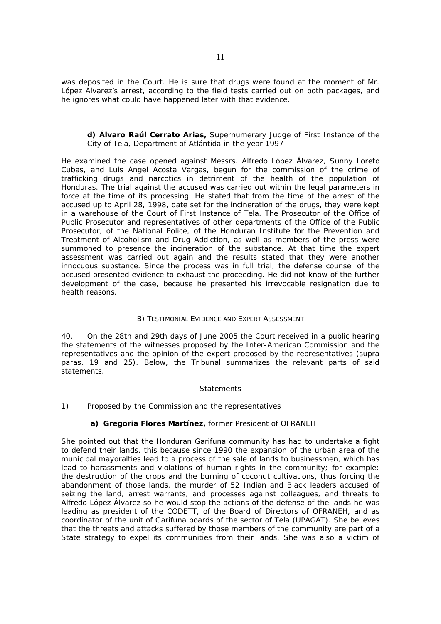was deposited in the Court. He is sure that drugs were found at the moment of Mr. López Álvarez's arrest, according to the field tests carried out on both packages, and he ignores what could have happened later with that evidence.

# **d) Álvaro Raúl Cerrato Arias,** Supernumerary Judge of First Instance of the City of Tela, Department of Atlántida in the year 1997

He examined the case opened against Messrs. Alfredo López Álvarez, Sunny Loreto Cubas, and Luis Ángel Acosta Vargas, begun for the commission of the crime of trafficking drugs and narcotics in detriment of the health of the population of Honduras. The trial against the accused was carried out within the legal parameters in force at the time of its processing. He stated that from the time of the arrest of the accused up to April 28, 1998, date set for the incineration of the drugs, they were kept in a warehouse of the Court of First Instance of Tela. The Prosecutor of the Office of Public Prosecutor and representatives of other departments of the Office of the Public Prosecutor, of the National Police, of the Honduran Institute for the Prevention and Treatment of Alcoholism and Drug Addiction, as well as members of the press were summoned to presence the incineration of the substance. At that time the expert assessment was carried out again and the results stated that they were another innocuous substance. Since the process was in full trial, the defense counsel of the accused presented evidence to exhaust the proceeding. He did not know of the further development of the case, because he presented his irrevocable resignation due to health reasons.

# *B) TESTIMONIAL EVIDENCE AND EXPERT ASSESSMENT*

40. On the 28th and 29th days of June 2005 the Court received in a public hearing the statements of the witnesses proposed by the Inter-American Commission and the representatives and the opinion of the expert proposed by the representatives (*supra* paras. 19 and 25). Below, the Tribunal summarizes the relevant parts of said statements.

# *Statements*

# 1) *Proposed by the Commission and the representatives*

# **a) Gregoria Flores Martínez,** former President of OFRANEH

She pointed out that the Honduran Garifuna community has had to undertake a fight to defend their lands, this because since 1990 the expansion of the urban area of the municipal mayoralties lead to a process of the sale of lands to businessmen, which has lead to harassments and violations of human rights in the community; for example: the destruction of the crops and the burning of coconut cultivations, thus forcing the abandonment of those lands, the murder of 52 Indian and Black leaders accused of seizing the land, arrest warrants, and processes against colleagues, and threats to Alfredo López Álvarez so he would stop the actions of the defense of the lands he was leading as president of the CODETT, of the Board of Directors of OFRANEH, and as coordinator of the unit of Garifuna boards of the sector of Tela (UPAGAT). She believes that the threats and attacks suffered by those members of the community are part of a State strategy to expel its communities from their lands. She was also a victim of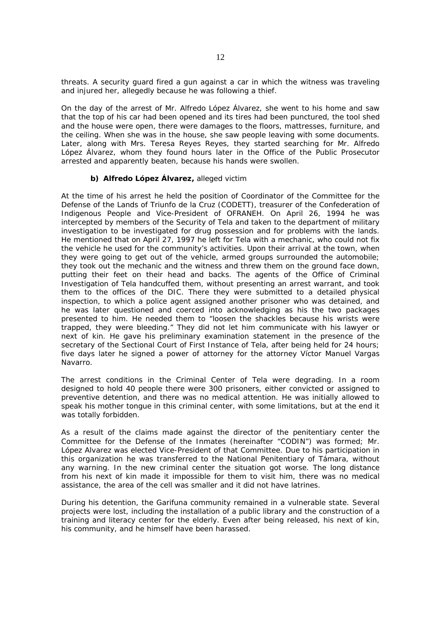threats. A security guard fired a gun against a car in which the witness was traveling and injured her, allegedly because he was following a thief.

On the day of the arrest of Mr. Alfredo López Álvarez, she went to his home and saw that the top of his car had been opened and its tires had been punctured, the tool shed and the house were open, there were damages to the floors, mattresses, furniture, and the ceiling. When she was in the house, she saw people leaving with some documents. Later, along with Mrs. Teresa Reyes Reyes, they started searching for Mr. Alfredo López Álvarez, whom they found hours later in the Office of the Public Prosecutor arrested and apparently beaten, because his hands were swollen.

# **b) Alfredo López Álvarez,** alleged victim

At the time of his arrest he held the position of Coordinator of the Committee for the Defense of the Lands of Triunfo de la Cruz (CODETT), treasurer of the Confederation of Indigenous People and Vice-President of OFRANEH. On April 26, 1994 he was intercepted by members of the Security of Tela and taken to the department of military investigation to be investigated for drug possession and for problems with the lands. He mentioned that on April 27, 1997 he left for Tela with a mechanic, who could not fix the vehicle he used for the community's activities. Upon their arrival at the town, when they were going to get out of the vehicle, armed groups surrounded the automobile; they took out the mechanic and the witness and threw them on the ground face down, putting their feet on their head and backs. The agents of the Office of Criminal Investigation of Tela handcuffed them, without presenting an arrest warrant, and took them to the offices of the DIC. There they were submitted to a detailed physical inspection, to which a police agent assigned another prisoner who was detained, and he was later questioned and coerced into acknowledging as his the two packages presented to him. He needed them to "loosen the shackles because his wrists were trapped, they were bleeding." They did not let him communicate with his lawyer or next of kin. He gave his preliminary examination statement in the presence of the secretary of the Sectional Court of First Instance of Tela, after being held for 24 hours; five days later he signed a power of attorney for the attorney Víctor Manuel Vargas Navarro.

The arrest conditions in the Criminal Center of Tela were degrading. In a room designed to hold 40 people there were 300 prisoners, either convicted or assigned to preventive detention, and there was no medical attention. He was initially allowed to speak his mother tongue in this criminal center, with some limitations, but at the end it was totally forbidden.

As a result of the claims made against the director of the penitentiary center the Committee for the Defense of the Inmates (hereinafter "CODIN") was formed; Mr. López Alvarez was elected Vice-President of that Committee. Due to his participation in this organization he was transferred to the National Penitentiary of Támara, without any warning. In the new criminal center the situation got worse. The long distance from his next of kin made it impossible for them to visit him, there was no medical assistance, the area of the cell was smaller and it did not have latrines.

During his detention, the Garifuna community remained in a vulnerable state. Several projects were lost, including the installation of a public library and the construction of a training and literacy center for the elderly. Even after being released, his next of kin, his community, and he himself have been harassed.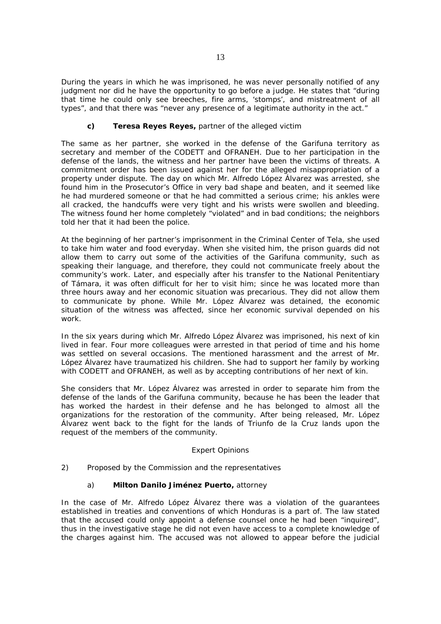During the years in which he was imprisoned, he was never personally notified of any judgment nor did he have the opportunity to go before a judge. He states that "during that time he could only see breeches, fire arms, 'stomps', and mistreatment of all types", and that there was "never any presence of a legitimate authority in the act."

# **c) Teresa Reyes Reyes,** partner of the alleged victim

The same as her partner, she worked in the defense of the Garifuna territory as secretary and member of the CODETT and OFRANEH. Due to her participation in the defense of the lands, the witness and her partner have been the victims of threats. A commitment order has been issued against her for the alleged misappropriation of a property under dispute. The day on which Mr. Alfredo López Álvarez was arrested, she found him in the Prosecutor's Office in very bad shape and beaten, and it seemed like he had murdered someone or that he had committed a serious crime; his ankles were all cracked, the handcuffs were very tight and his wrists were swollen and bleeding. The witness found her home completely "violated" and in bad conditions; the neighbors told her that it had been the police.

At the beginning of her partner's imprisonment in the Criminal Center of Tela, she used to take him water and food everyday. When she visited him, the prison guards did not allow them to carry out some of the activities of the Garifuna community, such as speaking their language, and therefore, they could not communicate freely about the community's work. Later, and especially after his transfer to the National Penitentiary of Támara, it was often difficult for her to visit him; since he was located more than three hours away and her economic situation was precarious. They did not allow them to communicate by phone. While Mr. López Álvarez was detained, the economic situation of the witness was affected, since her economic survival depended on his work.

In the six years during which Mr. Alfredo López Álvarez was imprisoned, his next of kin lived in fear. Four more colleagues were arrested in that period of time and his home was settled on several occasions. The mentioned harassment and the arrest of Mr. López Álvarez have traumatized his children. She had to support her family by working with CODETT and OFRANEH, as well as by accepting contributions of her next of kin.

She considers that Mr. López Álvarez was arrested in order to separate him from the defense of the lands of the Garifuna community, because he has been the leader that has worked the hardest in their defense and he has belonged to almost all the organizations for the restoration of the community. After being released, Mr. López Álvarez went back to the fight for the lands of Triunfo de la Cruz lands upon the request of the members of the community.

# *Expert Opinions*

# 2) *Proposed by the Commission and the representatives*

# a) **Milton Danilo Jiménez Puerto,** attorney

In the case of Mr. Alfredo López Álvarez there was a violation of the guarantees established in treaties and conventions of which Honduras is a part of. The law stated that the accused could only appoint a defense counsel once he had been "inquired", thus in the investigative stage he did not even have access to a complete knowledge of the charges against him. The accused was not allowed to appear before the judicial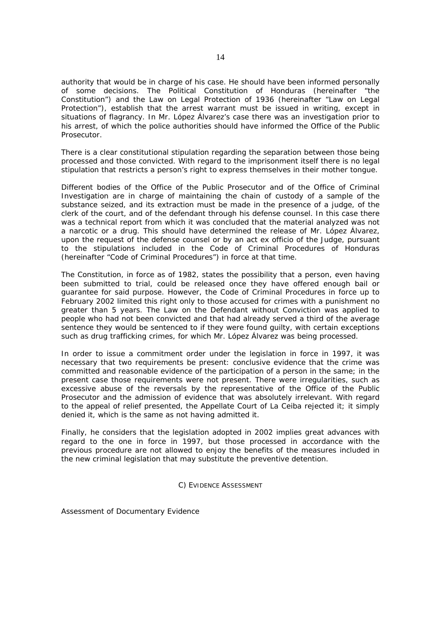authority that would be in charge of his case. He should have been informed personally of some decisions. The Political Constitution of Honduras (hereinafter "the Constitution") and the Law on Legal Protection of 1936 (hereinafter "Law on Legal Protection"), establish that the arrest warrant must be issued in writing, except in situations of flagrancy. In Mr. López Álvarez's case there was an investigation prior to his arrest, of which the police authorities should have informed the Office of the Public Prosecutor.

There is a clear constitutional stipulation regarding the separation between those being processed and those convicted. With regard to the imprisonment itself there is no legal stipulation that restricts a person's right to express themselves in their mother tongue.

Different bodies of the Office of the Public Prosecutor and of the Office of Criminal Investigation are in charge of maintaining the chain of custody of a sample of the substance seized, and its extraction must be made in the presence of a judge, of the clerk of the court, and of the defendant through his defense counsel. In this case there was a technical report from which it was concluded that the material analyzed was not a narcotic or a drug. This should have determined the release of Mr. López Álvarez, upon the request of the defense counsel or by an act ex officio of the Judge, pursuant to the stipulations included in the Code of Criminal Procedures of Honduras (hereinafter "Code of Criminal Procedures") in force at that time.

The Constitution, in force as of 1982, states the possibility that a person, even having been submitted to trial, could be released once they have offered enough bail or guarantee for said purpose. However, the Code of Criminal Procedures in force up to February 2002 limited this right only to those accused for crimes with a punishment no greater than 5 years. The Law on the Defendant without Conviction was applied to people who had not been convicted and that had already served a third of the average sentence they would be sentenced to if they were found guilty, with certain exceptions such as drug trafficking crimes, for which Mr. López Álvarez was being processed.

In order to issue a commitment order under the legislation in force in 1997, it was necessary that two requirements be present: conclusive evidence that the crime was committed and reasonable evidence of the participation of a person in the same; in the present case those requirements were not present. There were irregularities, such as excessive abuse of the reversals by the representative of the Office of the Public Prosecutor and the admission of evidence that was absolutely irrelevant. With regard to the appeal of relief presented, the Appellate Court of La Ceiba rejected it; it simply denied it, which is the same as not having admitted it.

Finally, he considers that the legislation adopted in 2002 implies great advances with regard to the one in force in 1997, but those processed in accordance with the previous procedure are not allowed to enjoy the benefits of the measures included in the new criminal legislation that may substitute the preventive detention.

# *C) EVIDENCE ASSESSMENT*

*Assessment of Documentary Evidence*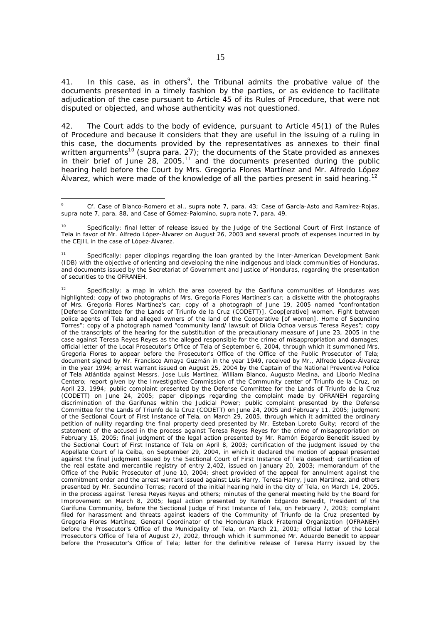41. In this case, as in others<sup>9</sup>, the Tribunal admits the probative value of the documents presented in a timely fashion by the parties, or as evidence to facilitate adjudication of the case pursuant to Article 45 of its Rules of Procedure, that were not disputed or objected, and whose authenticity was not questioned.

42. The Court adds to the body of evidence, pursuant to Article 45(1) of the Rules of Procedure and because it considers that they are useful in the issuing of a ruling in this case, the documents provided by the representatives as annexes to their final written arguments<sup>10</sup> (*supra* para. 27); the documents of the State provided as annexes in their brief of June  $28$ ,  $2005$ ,  $11$  and the documents presented during the public hearing held before the Court by Mrs. Gregoria Flores Martínez and Mr. Alfredo López Álvarez, which were made of the knowledge of all the parties present in said hearing.<sup>12</sup>

1

*<sup>9</sup> Cf. Case of Blanco-Romero et al., supra* note 7, para. 43; *Case of García-Asto and Ramírez-Rojas, supra* note 7, para. 88, and *Case of Gómez-Palomino, supra* note 7, para. 49.

<sup>&</sup>lt;sup>10</sup> Specifically: final letter of release issued by the Judge of the Sectional Court of First Instance of Tela in favor of Mr. Alfredo López-Álvarez on August 26, 2003 and several proofs of expenses incurred in by the CEJIL in the case of López-Álvarez.

Specifically: paper clippings regarding the loan granted by the Inter-American Development Bank (IDB) with the objective of orienting and developing the nine indigenous and black communities of Honduras, and documents issued by the Secretariat of Government and Justice of Honduras, regarding the presentation of securities to the OFRANEH.

<sup>&</sup>lt;sup>12</sup> Specifically: a map in which the area covered by the Garifuna communities of Honduras was highlighted; copy of two photographs of Mrs. Gregoria Flores Martínez's car; a diskette with the photographs of Mrs. Gregoria Flores Martínez's car; copy of a photograph of June 19, 2005 named "confrontation [Defense Committee for the Lands of Triunfo de la Cruz (CODETT)], Coop[erative] women. Fight between police agents of Tela and alleged owners of the land of the Cooperative [of women]. Home of Secundino Torres"; copy of a photograph named "community land/ lawsuit of Dilcia Ochoa versus Teresa Reyes"; copy of the transcripts of the hearing for the substitution of the precautionary measure of June 23, 2005 in the case against Teresa Reyes Reyes as the alleged responsible for the crime of misappropriation and damages; official letter of the Local Prosecutor's Office of Tela of September 6, 2004, through which it summoned Mrs. Gregoria Flores to appear before the Prosecutor's Office of the Office of the Public Prosecutor of Tela; document signed by Mr. Francisco Amaya Guzmán in the year 1949, received by Mr., Alfredo López-Álvarez in the year 1994; arrest warrant issued on August 25, 2004 by the Captain of the National Preventive Police of Tela Atlántida against Messrs. Jose Luis Martínez, William Blanco, Augusto Medina, and Liborio Medina Centero; report given by the Investigative Commission of the Community center of Triunfo de la Cruz, on April 23, 1994; public complaint presented by the Defense Committee for the Lands of Triunfo de la Cruz (CODETT) on June 24, 2005; paper clippings regarding the complaint made by OFRANEH regarding discrimination of the Garifunas within the Judicial Power; public complaint presented by the Defense Committee for the Lands of Triunfo de la Cruz (CODETT) on June 24, 2005 and February 11, 2005; judgment of the Sectional Court of First Instance of Tela, on March 29, 2005, through which it admitted the ordinary petition of nullity regarding the final property deed presented by Mr. Esteban Loreto Guity; record of the statement of the accused in the process against Teresa Reyes Reyes for the crime of misappropriation on February 15, 2005; final judgment of the legal action presented by Mr. Ramón Edgardo Benedit issued by the Sectional Court of First Instance of Tela on April 8, 2003; certification of the judgment issued by the Appellate Court of la Ceiba, on September 29, 2004, in which it declared the motion of appeal presented against the final judgment issued by the Sectional Court of First Instance of Tela deserted; certification of the real estate and mercantile registry of entry 2,402, issued on January 20, 2003; memorandum of the Office of the Public Prosecutor of June 10, 2004; sheet provided of the appeal for annulment against the commitment order and the arrest warrant issued against Luis Harry, Teresa Harry, Juan Martínez, and others presented by Mr. Secundino Torres; record of the initial hearing held in the city of Tela, on March 14, 2005, in the process against Teresa Reyes Reyes and others; minutes of the general meeting held by the Board for Improvement on March 8, 2005; legal action presented by Ramón Edgardo Benedit, President of the Garifuna Community, before the Sectional Judge of First Instance of Tela, on February 7, 2003; complaint filed for harassment and threats against leaders of the Community of Triunfo de la Cruz presented by Gregoria Flores Martínez, General Coordinator of the Honduran Black Fraternal Organization (OFRANEH) before the Prosecutor's Office of the Municipality of Tela, on March 21, 2001; official letter of the Local Prosecutor's Office of Tela of August 27, 2002, through which it summoned Mr. Aduardo Benedit to appear before the Prosecutor's Office of Tela; letter for the definitive release of Teresa Harry issued by the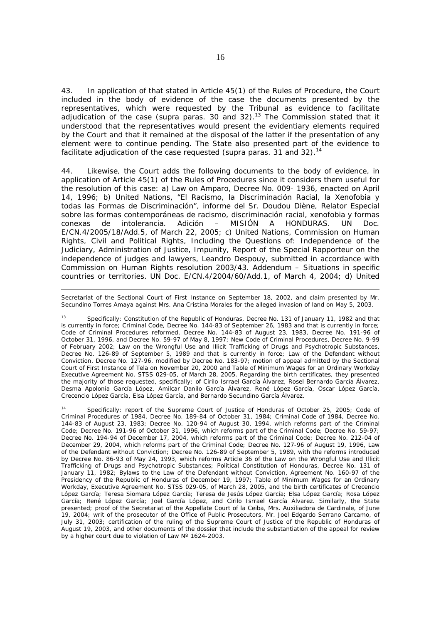43. In application of that stated in Article 45(1) of the Rules of Procedure, the Court included in the body of evidence of the case the documents presented by the representatives, which were requested by the Tribunal as evidence to facilitate adjudication of the case (*supra* paras. 30 and 32).13 The Commission stated that it understood that the representatives would present the evidentiary elements required by the Court and that it remained at the disposal of the latter if the presentation of any element were to continue pending. The State also presented part of the evidence to facilitate adjudication of the case requested (*supra* paras. 31 and 32).<sup>14</sup>

44. Likewise, the Court adds the following documents to the body of evidence, in application of Article 45(1) of the Rules of Procedures since it considers them useful for the resolution of this case: a) Law on Amparo, Decree No. 009- 1936, enacted on April 14, 1996; b) United Nations, *"El Racismo, la Discriminación Racial, la Xenofobia y todas las Formas de Discriminación", informe del Sr. Doudou Diène, Relator Especial sobre las formas contemporáneas de racismo, discriminación racial, xenofobia y formas conexas de intolerancia. Adición – MISIÓN A HONDURAS.* UN Doc. E/CN.4/2005/18/Add.5, of March 22, 2005; c) United Nations, Commission on Human Rights, Civil and Political Rights, Including the Questions of: Independence of the Judiciary, Administration of Justice, Impunity, Report of the Special Rapporteur on the independence of judges and lawyers, Leandro Despouy, submitted in accordance with Commission on Human Rights resolution *2003/43.* Addendum – Situations in specific countries or territories. UN Doc. E/CN.4/2004/60/Add.1, of March 4, 2004; d) United

Secretariat of the Sectional Court of First Instance on September 18, 2002, and claim presented by Mr. Secundino Torres Amaya against Mrs. Ana Cristina Morales for the alleged invasion of land on May 5, 2003.

l

13 Specifically: Constitution of the Republic of Honduras, Decree No. 131 of January 11, 1982 and that is currently in force; Criminal Code, Decree No. 144-83 of September 26, 1983 and that is currently in force; Code of Criminal Procedures reformed, Decree No. 144-83 of August 23, 1983, Decree No. 191-96 of October 31, 1996, and Decree No. 59-97 of May 8, 1997; New Code of Criminal Procedures, Decree No. 9-99 of February 2002; Law on the Wrongful Use and Illicit Trafficking of Drugs and Psychotropic Substances, Decree No. 126-89 of September 5, 1989 and that is currently in force; Law of the Defendant without Conviction, Decree No. 127-96, modified by Decree No. 183-97; motion of appeal admitted by the Sectional Court of First Instance of Tela on November 20, 2000 and Table of Minimum Wages for an Ordinary Workday Executive Agreement No. STSS 029-05, of March 28, 2005. Regarding the birth certificates, they presented the majority of those requested, specifically: of Cirilo Isrrael García Álvarez, Rosel Bernardo García Álvarez, Desma Apolonia García López, Amilcar Danilo García Álvarez, René López García, Oscar López García, Crecencio López García, Elsa López García, and Bernardo Secundino García Álvarez.

Specifically: report of the Supreme Court of Justice of Honduras of October 25, 2005; Code of Criminal Procedures of 1984, Decree No. 189-84 of October 31, 1984; Criminal Code of 1984, Decree No. 144-83 of August 23, 1983; Decree No. 120-94 of August 30, 1994, which reforms part of the Criminal Code; Decree No. 191-96 of October 31, 1996, which reforms part of the Criminal Code; Decree No. 59-97; Decree No. 194-94 of December 17, 2004, which reforms part of the Criminal Code; Decree No. 212-04 of December 29, 2004, which reforms part of the Criminal Code; Decree No. 127-96 of August 19, 1996, Law of the Defendant without Conviction; Decree No. 126-89 of September 5, 1989, with the reforms introduced by Decree No. 86-93 of May 24, 1993, which reforms Article 36 of the Law on the Wrongful Use and Illicit Trafficking of Drugs and Psychotropic Substances; Political Constitution of Honduras, Decree No. 131 of January 11, 1982; Bylaws to the Law of the Defendant without Conviction, Agreement No. 160-97 of the Presidency of the Republic of Honduras of December 19, 1997; Table of Minimum Wages for an Ordinary Workday, Executive Agreement No. STSS 029-05, of March 28, 2005, and the birth certificates of Crecencio López García; Teresa Siomara López García; Teresa de Jesús López García; Elsa López García; Rosa López García; René López García; Joel García López, and Cirilo Isrrael García Álvarez. Similarly, the State presented; proof of the Secretariat of the Appellate Court of la Ceiba, Mrs. Auxiliadora de Cardinale, of June 19, 2004; writ of the prosecutor of the Office of Public Prosecutors, Mr. Joel Edgardo Serrano Carcamo, of July 31, 2003; certification of the ruling of the Supreme Court of Justice of the Republic of Honduras of August 19, 2003, and other documents of the dossier that include the substantiation of the appeal for review by a higher court due to violation of Law N° 1624-2003.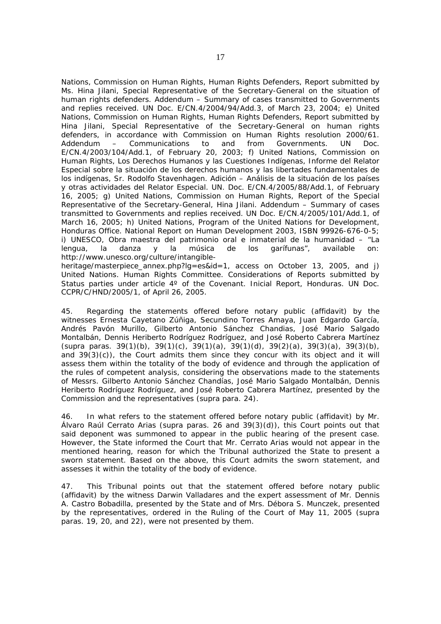Nations, Commission on Human Rights, Human Rights Defenders, Report submitted by Ms. Hina Jilani, Special Representative of the Secretary-General on the situation of human rights defenders. Addendum – Summary of cases transmitted to Governments and replies received. UN Doc. E/CN.4/2004/94/Add.3, of March 23, 2004; e) United Nations, Commission on Human Rights, Human Rights Defenders, Report submitted by Hina Jilani, Special Representative of the Secretary-General on human rights defenders, in accordance with Commission on Human Rights resolution 2000/61. Addendum – Communications to and from Governments. UN Doc. E/CN.4/2003/104/Add.1, of February 20, 2003; f) United Nations, Commission on Human Rights, *Los Derechos Humanos y las Cuestiones Indígenas, Informe del Relator Especial sobre la situación de los derechos humanos y las libertades fundamentales de los indígenas, Sr. Rodolfo Stavenhagen. Adición – Análisis de la situación de los países y otras actividades del Relator Especial.* UN. Doc. E/CN.4/2005/88/Add.1, of February 16, 2005; g) United Nations, Commission on Human Rights, Report of the Special Representative of the Secretary-General, Hina Jilani. Addendum – Summary of cases transmitted to Governments and replies received*.* UN Doc. E/CN.4/2005/101/Add.1, of March 16, 2005; h) United Nations, Program of the United Nations for Development, Honduras Office. National Report on Human Development 2003, ISBN 99926-676-0-5; i) UNESCO, *Obra maestra del patrimonio oral e inmaterial de la humanidad – "La lengua, la danza y la música de los garífunas"*, available on: http://www.unesco.org/culture/intangible-

heritage/masterpiece\_annex.php?lg=es&id=1, access on October 13, 2005, and j) *United Nations. Human Rights Committee*. *Considerations of Reports submitted by Status parties under article 4º of the Covenant. Inicial Report, Honduras.* UN Doc. CCPR/C/HND/2005/1, of April 26, 2005.

45. Regarding the statements offered before notary public (affidavit) by the witnesses Ernesta Cayetano Zúñiga, Secundino Torres Amaya, Juan Edgardo García, Andrés Pavón Murillo, Gilberto Antonio Sánchez Chandias, José Mario Salgado Montalbán, Dennis Heriberto Rodríguez Rodríguez, and José Roberto Cabrera Martínez (*supra* paras. 39(1)(b), 39(1)(c), 39(1)(a), 39(1)(d), 39(2)(a), 39(3)(a), 39(3)(b), and  $39(3)(c)$ , the Court admits them since they concur with its object and it will assess them within the totality of the body of evidence and through the application of the rules of competent analysis, considering the observations made to the statements of Messrs. Gilberto Antonio Sánchez Chandías, José Mario Salgado Montalbán, Dennis Heriberto Rodríguez Rodríguez, and José Roberto Cabrera Martínez, presented by the Commission and the representatives (*supra* para. 24).

46. In what refers to the statement offered before notary public (affidavit) by Mr. Álvaro Raúl Cerrato Arias (*supra* paras. 26 and 39(3)(d)), this Court points out that said deponent was summoned to appear in the public hearing of the present case. However, the State informed the Court that Mr. Cerrato Arias would not appear in the mentioned hearing, reason for which the Tribunal authorized the State to present a sworn statement. Based on the above, this Court admits the sworn statement, and assesses it within the totality of the body of evidence.

47. This Tribunal points out that the statement offered before notary public (affidavit) by the witness Darwin Valladares and the expert assessment of Mr. Dennis A. Castro Bobadilla, presented by the State and of Mrs. Débora S. Munczek, presented by the representatives, ordered in the Ruling of the Court of May 11, 2005 (*supra* paras. 19, 20, and 22), were not presented by them.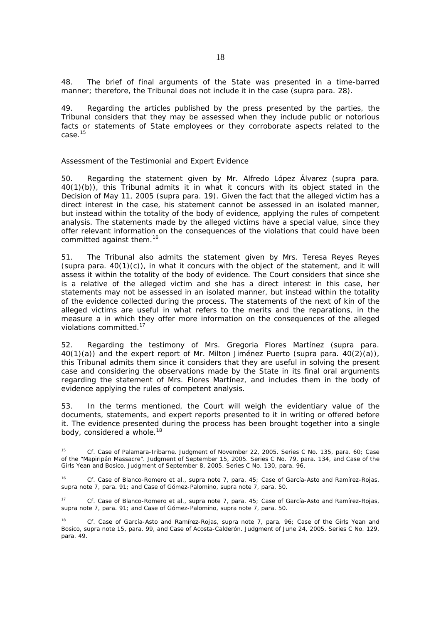48. The brief of final arguments of the State was presented in a time-barred manner; therefore, the Tribunal does not include it in the case (*supra* para. 28).

49. Regarding the articles published by the press presented by the parties, the Tribunal considers that they may be assessed when they include public or notorious facts or statements of State employees or they corroborate aspects related to the case.15

### *Assessment of the Testimonial and Expert Evidence*

-

50. Regarding the statement given by Mr. Alfredo López Álvarez (*supra* para. 40(1)(b)), this Tribunal admits it in what it concurs with its object stated in the Decision of May 11, 2005 (*supra* para. 19). Given the fact that the alleged victim has a direct interest in the case, his statement cannot be assessed in an isolated manner, but instead within the totality of the body of evidence, applying the rules of competent analysis. The statements made by the alleged victims have a special value, since they offer relevant information on the consequences of the violations that could have been committed against them.<sup>16</sup>

51. The Tribunal also admits the statement given by Mrs. Teresa Reyes Reyes (*supra* para. 40(1)(c)), in what it concurs with the object of the statement, and it will assess it within the totality of the body of evidence. The Court considers that since she is a relative of the alleged victim and she has a direct interest in this case, her statements may not be assessed in an isolated manner, but instead within the totality of the evidence collected during the process. The statements of the next of kin of the alleged victims are useful in what refers to the merits and the reparations, in the measure a in which they offer more information on the consequences of the alleged violations committed.<sup>17</sup>

52. Regarding the testimony of Mrs. Gregoria Flores Martínez (*supra* para. 40(1)(a)) and the expert report of Mr. Milton Jiménez Puerto (*supra* para. 40(2)(a)), this Tribunal admits them since it considers that they are useful in solving the present case and considering the observations made by the State in its final oral arguments regarding the statement of Mrs. Flores Martínez, and includes them in the body of evidence applying the rules of competent analysis.

53. In the terms mentioned, the Court will weigh the evidentiary value of the documents, statements, and expert reports presented to it in writing or offered before it. The evidence presented during the process has been brought together into a single body, considered a whole.<sup>18</sup>

<sup>15</sup> *Cf. Case of Palamara-Iribarne.* Judgment of November 22, 2005. Series C No. 135, para. 60*; Case of the "Mapiripán Massacre".* Judgment of September 15, 2005. Series C No. 79, para. 134, and *Case of the Girls Yean and Bosico.* Judgment of September 8, 2005. Series C No. 130, para. 96.

<sup>16</sup> *Cf. Case of Blanco-Romero et al., supra* note 7, para. 45*; Case of García-Asto and Ramírez-Rojas, supra* note 7, para. 91; and *Case of Gómez-Palomino, supra* note 7, para. 50.

<sup>17</sup> *Cf. Case of Blanco-Romero et al., supra* note 7, para. 45*; Case of García-Asto and Ramírez-Rojas, supra* note 7, para. 91; and *Case of Gómez-Palomino, supra* note 7, para. 50.

<sup>18</sup> *Cf. Case of García-Asto and Ramírez-Rojas, supra* note 7, para. 96; *Case of the Girls Yean and Bosico, supra* note 15, para. 99, and *Case of Acosta-Calderón*. Judgment of June 24, 2005. Series C No. 129, para. 49.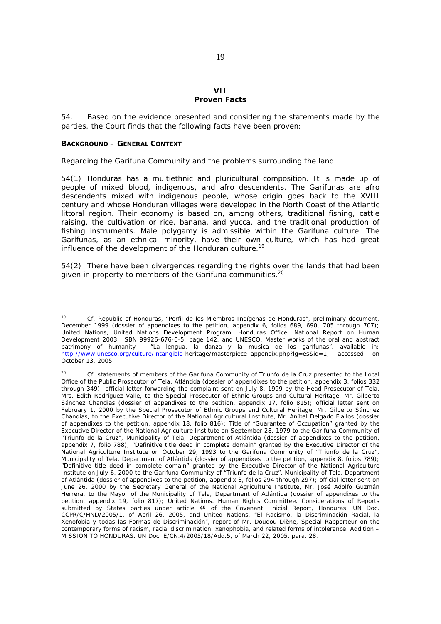# **VII Proven Facts**

54. Based on the evidence presented and considering the statements made by the parties, the Court finds that the following facts have been proven:

### *BACKGROUND – GENERAL CONTEXT*

#### *Regarding the Garifuna Community and the problems surrounding the land*

54(1) Honduras has a multiethnic and pluricultural composition. It is made up of people of mixed blood, indigenous, and afro descendents. The Garifunas are afro descendents mixed with indigenous people, whose origin goes back to the XVIII century and whose Honduran villages were developed in the North Coast of the Atlantic littoral region. Their economy is based on, among others, traditional fishing, cattle raising, the cultivation or rice, banana, and yucca, and the traditional production of fishing instruments. Male polygamy is admissible within the Garifuna culture. The Garifunas, as an ethnical minority, have their own culture, which has had great influence of the development of the Honduran culture.<sup>19</sup>

54(2) There have been divergences regarding the rights over the lands that had been given in property to members of the Garifuna communities.<sup>20</sup>

<sup>-</sup><sup>19</sup> *Cf.* Republic of Honduras, *"Perfil de los Miembros Indígenas de Honduras"*, preliminary document, December 1999 (dossier of appendixes to the petition, appendix 6, folios 689, 690, 705 through 707); United Nations, United Nations Development Program, Honduras Office. National Report on Human Development 2003, ISBN 99926-676-0-5, page 142, and UNESCO, Master works of the oral and abstract patrimony of humanity - *"La lengua, la danza y la música de los garífunas"*, available in: http://www.unesco.org/culture/intangible-heritage/masterpiece\_appendix.php?lg=es&id=1, accessed on October 13, 2005.

<sup>20</sup> *Cf.* statements of members of the Garifuna Community of Triunfo de la Cruz presented to the Local Office of the Public Prosecutor of Tela, Atlántida (dossier of appendixes to the petition, appendix 3, folios 332 through 349); official letter forwarding the complaint sent on July 8, 1999 by the Head Prosecutor of Tela, Mrs. Edith Rodríguez Valle, to the Special Prosecutor of Ethnic Groups and Cultural Heritage, Mr. Gilberto Sánchez Chandias (dossier of appendixes to the petition, appendix 17, folio 815); official letter sent on February 1, 2000 by the Special Prosecutor of Ethnic Groups and Cultural Heritage, Mr. Gilberto Sánchez Chandias, to the Executive Director of the National Agricultural Institute, Mr. Aníbal Delgado Fiallos (dossier of appendixes to the petition, appendix 18, folio 816); Title of "Guarantee of Occupation" granted by the Executive Director of the National Agriculture Institute on September 28, 1979 to the Garifuna Community of "Triunfo de la Cruz", Municipality of Tela, Department of Atlántida (dossier of appendixes to the petition, appendix 7, folio 788); "Definitive title deed in complete domain" granted by the Executive Director of the National Agriculture Institute on October 29, 1993 to the Garifuna Community of "Triunfo de la Cruz", Municipality of Tela, Department of Atlántida (dossier of appendixes to the petition, appendix 8, folios 789); "Definitive title deed in complete domain" granted by the Executive Director of the National Agriculture Institute on July 6, 2000 to the Garifuna Community of "Triunfo de la Cruz", Municipality of Tela, Department of Atlántida (dossier of appendixes to the petition, appendix 3, folios 294 through 297); official letter sent on June 26, 2000 by the Secretary General of the National Agriculture Institute, Mr. José Adolfo Guzmán Herrera, to the Mayor of the Municipality of Tela, Department of Atlántida (dossier of appendixes to the petition, appendix 19, folio 817); *United Nations. Human Rights Committee*. *Considerations of Reports submitted by States parties under article 4º of the Covenant. Inicial Report, Honduras.* UN Doc. CCPR/C/HND/2005/1, of April 26, 2005, and United Nations, *"El Racismo, la Discriminación Racial, la Xenofobia y todas las Formas de Discriminación"*, report of Mr. Doudou Diène, Special Rapporteur on the contemporary forms of racism, racial discrimination, xenophobia, and related forms of intolerance. Addition – MISSION TO HONDURAS. UN Doc. E/CN.4/2005/18/Add.5, of March 22, 2005. para. 28.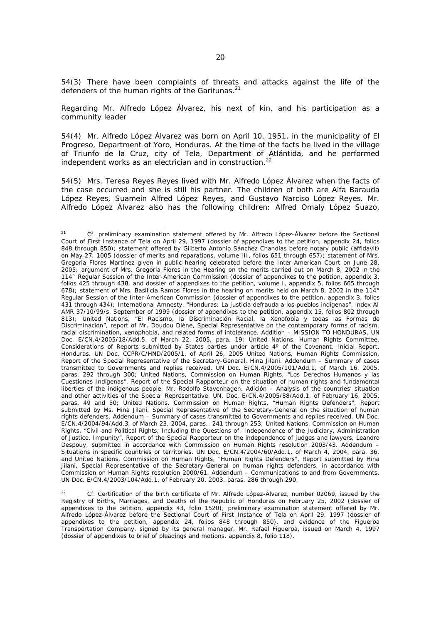54(3) There have been complaints of threats and attacks against the life of the defenders of the human rights of the Garifunas.<sup>21</sup>

*Regarding Mr. Alfredo López Álvarez, his next of kin, and his participation as a community leader* 

54(4) Mr. Alfredo López Álvarez was born on April 10, 1951, in the municipality of El Progreso, Department of Yoro, Honduras. At the time of the facts he lived in the village of Triunfo de la Cruz, city of Tela, Department of Atlántida, and he performed independent works as an electrician and in construction.<sup>22</sup>

54(5) Mrs. Teresa Reyes Reyes lived with Mr. Alfredo López Álvarez when the facts of the case occurred and she is still his partner. The children of both are Alfa Barauda López Reyes, Suamein Alfred López Reyes, and Gustavo Narciso López Reyes. Mr. Alfredo López Álvarez also has the following children: Alfred Omaly López Suazo,

<sup>21</sup> *Cf.* preliminary examination statement offered by Mr. Alfredo López-Álvarez before the Sectional Court of First Instance of Tela on April 29, 1997 (dossier of appendixes to the petition, appendix 24, folios 848 through 850); statement offered by Gilberto Antonio Sánchez Chandías before notary public (affidavit) on May 27, 1005 (dossier of merits and reparations, volume III, folios 651 through 657); statement of Mrs. Gregoria Flores Martínez given in public hearing celebrated before the Inter-American Court on June 28, 2005; argument of Mrs. Gregoria Flores in the Hearing on the merits carried out on March 8, 2002 in the 114° Regular Session of the Inter-American Commission (dossier of appendixes to the petition, appendix 3, folios 425 through 438, and dossier of appendixes to the petition, volume I, appendix 5, folios 665 through 678); statement of Mrs. Basilicia Ramos Flores in the hearing on merits held on March 8, 2002 in the 114° Regular Session of the Inter-American Commission (dossier of appendixes to the petition, appendix 3, folios 431 through 434); International Amnesty, "*Honduras: La justicia defrauda a los pueblos indígenas"*, index AI AMR 37/10/99/s, September of 1999 (dossier of appendixes to the petition, appendix 15, folios 802 through 813); United Nations, "*El Racismo, la Discriminación Racial, la Xenofobia y todas las Formas de Discriminación*", report of Mr. Doudou Diène, Special Representative on the contemporary forms of racism, racial discrimination, xenophobia, and related forms of intolerance. Addition – MISSION TO HONDURAS. UN Doc. E/CN.4/2005/18/Add.5, of March 22, 2005, para. 19; *United Nations. Human Rights Committee*. *Considerations of Reports submitted by States parties under article 4º of the Covenant. Inicial Report, Honduras.* UN Doc. CCPR/C/HND/2005/1, of April 26, 2005 United Nations, Human Rights Commission, *Report of the Special Representative of the Secretary-General, Hina Jilani. Addendum – Summary of cases transmitted to Governments and replies received*. UN Doc. E/CN.4/2005/101/Add.1, of March 16, 2005. paras. 292 through 300; United Nations, Commission on Human Rights, "*Los Derechos Humanos y las Cuestiones Indígenas*", Report of the Special Rapporteur on the situation of human rights and fundamental liberties of the indigenous people, Mr. Rodolfo Stavenhagen. Adición – Analysis of the countries' situation and other activities of the Special Representative. UN. Doc. E/CN.4/2005/88/Add.1, of February 16, 2005. paras. 49 and 50; United Nations, Commission on Human Rights, "Human Rights Defenders", *Report submitted by Ms. Hina Jilani, Special Representative of the Secretary-General on the situation of human rights defenders. Addendum – Summary of cases transmitted to Governments and replies received.* UN Doc. E/CN.4/2004/94/Add.3, of March 23, 2004, paras.. 241 through 253; United Nations, Commission on Human Rights, *"Civil and Political Rights, Including the Questions of: Independence of the Judiciary, Administration of Justice, Impunity", Report of the Special Rapporteur on the independence of judges and lawyers, Leandro Despouy, submitted in accordance with Commission on Human Rights resolution* 2003/43. *Addendum – Situations in specific countries or territories.* UN Doc. E/CN.4/2004/60/Add.1, of March 4, 2004. para. 36, and United Nations, Commission on Human Rights, *"Human Rights Defenders", Report submitted by Hina Jilani, Special Representative of the Secretary-General on human rights defenders, in accordance with Commission on Human Rights resolution 2000/61. Addendum – Communications to and from Governments.* UN Doc. E/CN.4/2003/104/Add.1, of February 20, 2003. paras. 286 through 290.

<sup>22</sup>*Cf.* Certification of the birth certificate of Mr. Alfredo López-Álvarez, number 02069, issued by the Registry of Births, Marriages, and Deaths of the Republic of Honduras on February 25, 2002 (dossier of appendixes to the petition, appendix 43, folio 1520); preliminary examination statement offered by Mr. Alfredo López-Álvarez before the Sectional Court of First Instance of Tela on April 29, 1997 (dossier of appendixes to the petition, appendix 24, folios 848 through 850), and evidence of the Figueroa Transportation Company, signed by its general manager, Mr. Rafael Figueroa, issued on March 4, 1997 (dossier of appendixes to brief of pleadings and motions, appendix 8, folio 118).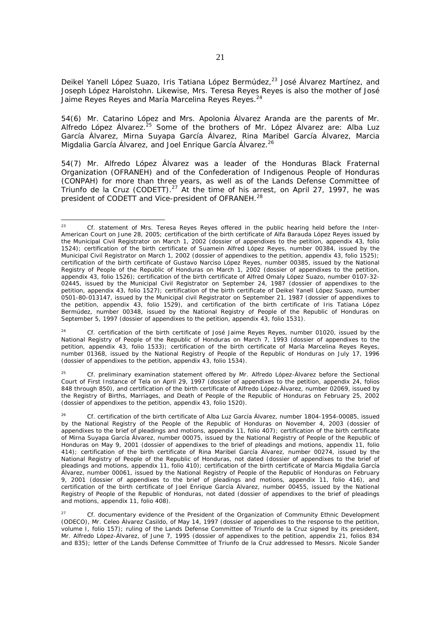Deikel Yanell López Suazo, Iris Tatiana López Bermúdez,<sup>23</sup> José Álvarez Martínez, and Joseph López Harolstohn. Likewise, Mrs. Teresa Reyes Reyes is also the mother of José Jaime Reyes Reyes and María Marcelina Reves Reves.<sup>24</sup>

54(6) Mr. Catarino López and Mrs. Apolonia Álvarez Aranda are the parents of Mr. Alfredo López Álvarez.<sup>25</sup> Some of the brothers of Mr. López Álvarez are: Alba Luz García Álvarez, Mirna Suyapa García Álvarez, Rina Maribel García Álvarez, Marcia Migdalia García Álvarez, and Joel Enrique García Álvarez.<sup>26</sup>

54(7) Mr. Alfredo López Álvarez was a leader of the Honduras Black Fraternal Organization (OFRANEH) and of the Confederation of Indigenous People of Honduras (CONPAH) for more than three years, as well as of the Lands Defense Committee of Triunfo de la Cruz (CODETT). $^{27}$  At the time of his arrest, on April 27, 1997, he was president of CODETT and Vice-president of OFRANEH.<sup>28</sup>

<sup>24</sup> *Cf.* certification of the birth certificate of José Jaime Reyes Reyes, number 01020, issued by the National Registry of People of the Republic of Honduras on March 7, 1993 (dossier of appendixes to the petition, appendix 43, folio 1533); certification of the birth certificate of María Marcelina Reyes Reyes, number 01368, issued by the National Registry of People of the Republic of Honduras on July 17, 1996 (dossier of appendixes to the petition, appendix 43, folio 1534).

<sup>25</sup> *Cf.* preliminary examination statement offered by Mr. Alfredo López-Álvarez before the Sectional Court of First Instance of Tela on April 29, 1997 (dossier of appendixes to the petition, appendix 24, folios 848 through 850), and certification of the birth certificate of Alfredo López-Álvarez, number 02069, issued by the Registry of Births, Marriages, and Death of People of the Republic of Honduras on February 25, 2002 (dossier of appendixes to the petition, appendix 43, folio 1520).

<sup>-</sup><sup>23</sup> *Cf.* statement of Mrs. Teresa Reyes Reyes offered in the public hearing held before the Inter-American Court on June 28, 2005; certification of the birth certificate of Alfa Barauda López Reyes issued by the Municipal Civil Registrator on March 1, 2002 (dossier of appendixes to the petition, appendix 43, folio 1524); certification of the birth certificate of Suamein Alfred López Reyes, number 00384, issued by the Municipal Civil Registrator on March 1, 2002 (dossier of appendixes to the petition, appendix 43, folio 1525); certification of the birth certificate of Gustavo Narciso López Reyes, number 00385, issued by the National Registry of People of the Republic of Honduras on March 1, 2002 (dossier of appendixes to the petition, appendix 43, folio 1526); certification of the birth certificate of Alfred Omaly López Suazo, number 0107-32- 02445, issued by the Municipal Civil Registrator on September 24, 1987 (dossier of appendixes to the petition, appendix 43, folio 1527); certification of the birth certificate of Deikel Yanell López Suazo, number 0501-80-013147, issued by the Municipal civil Registrator on September 21, 1987 (dossier of appendixes to the petition, appendix 43, folio 1529), and certification of the birth certificate of Iris Tatiana López Bermúdez, number 00348, issued by the National Registry of People of the Republic of Honduras on September 5, 1997 (dossier of appendixes to the petition, appendix 43, folio 1531).

<sup>26</sup>*Cf.* certification of the birth certificate of Alba Luz García Álvarez, number 1804-1954-00085, issued by the National Registry of the People of the Republic of Honduras on November 4, 2003 (dossier of appendixes to the brief of pleadings and motions, appendix 11, folio 407); certification of the birth certificate of Mirna Suyapa García Álvarez, number 00075, issued by the National Registry of People of the Republic of Honduras on May 9, 2001 (dossier of appendixes to the brief of pleadings and motions, appendix 11, folio 414); certification of the birth certificate of Rina Maribel García Álvarez, number 00274, issued by the National Registry of People of the Republic of Honduras, not dated (dossier of appendixes to the brief of pleadings and motions, appendix 11, folio 410); certification of the birth certificate of Marcia Migdalia García Álvarez, number 00061, issued by the National Registry of People of the Republic of Honduras on February 9, 2001 (dossier of appendixes to the brief of pleadings and motions, appendix 11, folio 416), and certification of the birth certificate of Joel Enrique García Álvarez, number 00455, issued by the National Registry of People of the Republic of Honduras, not dated (dossier of appendixes to the brief of pleadings and motions, appendix 11, folio 408).

<sup>27</sup> *Cf.* documentary evidence of the President of the Organization of Community Ethnic Development (ODECO), Mr. Celeo Álvarez Casildo, of May 14, 1997 (dossier of appendixes to the response to the petition, volume I, folio 157); ruling of the Lands Defense Committee of Triunfo de la Cruz signed by its president, Mr. Alfredo López-Álvarez, of June 7, 1995 (dossier of appendixes to the petition, appendix 21, folios 834 and 835); letter of the Lands Defense Committee of Triunfo de la Cruz addressed to Messrs. Nicole Sander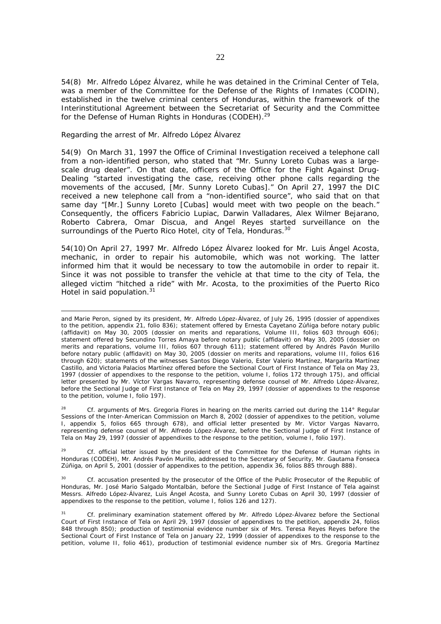54(8) Mr. Alfredo López Álvarez, while he was detained in the Criminal Center of Tela, was a member of the Committee for the Defense of the Rights of Inmates (CODIN), established in the twelve criminal centers of Honduras, within the framework of the Interinstitutional Agreement between the Secretariat of Security and the Committee for the Defense of Human Rights in Honduras (CODEH).<sup>29</sup>

#### *Regarding the arrest of Mr. Alfredo López Álvarez*

54(9) On March 31, 1997 the Office of Criminal Investigation received a telephone call from a non-identified person, who stated that "Mr. Sunny Loreto Cubas was a largescale drug dealer". On that date, officers of the Office for the Fight Against Drug-Dealing "started investigating the case, receiving other phone calls regarding the movements of the accused, [Mr. Sunny Loreto Cubas]." On April 27, 1997 the DIC received a new telephone call from a "non-identified source", who said that on that same day "[Mr.] Sunny Loreto [Cubas] would meet with two people on the beach." Consequently, the officers Fabricio Lupiac, Darwin Valladares, Alex Wilmer Bejarano, Roberto Cabrera, Omar Discua, and Angel Reyes started surveillance on the surroundings of the Puerto Rico Hotel, city of Tela, Honduras.<sup>30</sup>

54(10) On April 27, 1997 Mr. Alfredo López Álvarez looked for Mr. Luis Ángel Acosta, mechanic, in order to repair his automobile, which was not working. The latter informed him that it would be necessary to tow the automobile in order to repair it. Since it was not possible to transfer the vehicle at that time to the city of Tela, the alleged victim "hitched a ride" with Mr. Acosta, to the proximities of the Puerto Rico Hotel in said population.<sup>31</sup>

and Marie Peron, signed by its president, Mr. Alfredo López-Álvarez, of July 26, 1995 (dossier of appendixes to the petition, appendix 21, folio 836); statement offered by Ernesta Cayetano Zúñiga before notary public (affidavit) on May 30, 2005 (dossier on merits and reparations, Volume III, folios 603 through 606); statement offered by Secundino Torres Amaya before notary public (affidavit) on May 30, 2005 (dossier on merits and reparations, volume III, folios 607 through 611); statement offered by Andrés Pavón Murillo before notary public (affidavit) on May 30, 2005 (dossier on merits and reparations, volume III, folios 616 through 620); statements of the witnesses Santos Diego Valerio, Ester Valerio Martínez, Margarita Martínez Castillo, and Victoria Palacios Martínez offered before the Sectional Court of First Instance of Tela on May 23, 1997 (dossier of appendixes to the response to the petition, volume I, folios 172 through 175), and official letter presented by Mr. Víctor Vargas Navarro, representing defense counsel of Mr. Alfredo López-Álvarez, before the Sectional Judge of First Instance of Tela on May 29, 1997 (dossier of appendixes to the response to the petition, volume I, folio 197).

<sup>28</sup> *Cf.* arguments of Mrs. Gregoria Flores in hearing on the merits carried out during the 114° Regular Sessions of the Inter-American Commission on March 8, 2002 (dossier of appendixes to the petition, volume I, appendix 5, folios 665 through 678), and official letter presented by Mr. Víctor Vargas Navarro, representing defense counsel of Mr. Alfredo López-Álvarez, before the Sectional Judge of First Instance of Tela on May 29, 1997 (dossier of appendixes to the response to the petition, volume I, folio 197).

<sup>29</sup> *Cf.* official letter issued by the president of the Committee for the Defense of Human rights in Honduras (CODEH), Mr. Andrés Pavón Murillo, addressed to the Secretary of Security, Mr. Gautama Fonseca Zúñiga, on April 5, 2001 (dossier of appendixes to the petition, appendix 36, folios 885 through 888).

<sup>30</sup>*Cf.* accusation presented by the prosecutor of the Office of the Public Prosecutor of the Republic of Honduras, Mr. José Mario Salgado Montalbán, before the Sectional Judge of First Instance of Tela against Messrs. Alfredo López-Álvarez, Luis Ángel Acosta, and Sunny Loreto Cubas on April 30, 1997 (dossier of appendixes to the response to the petition, volume I, folios 126 and 127).

<sup>31</sup>*Cf.* preliminary examination statement offered by Mr. Alfredo López-Álvarez before the Sectional Court of First Instance of Tela on April 29, 1997 (dossier of appendixes to the petition, appendix 24, folios 848 through 850); production of testimonial evidence number six of Mrs. Teresa Reyes Reyes before the Sectional Court of First Instance of Tela on January 22, 1999 (dossier of appendixes to the response to the petition, volume II, folio 461), production of testimonial evidence number six of Mrs. Gregoria Martínez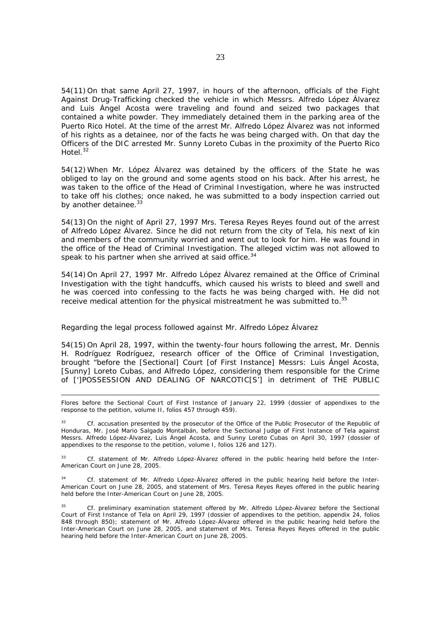54(11) On that same April 27, 1997, in hours of the afternoon, officials of the Fight Against Drug-Trafficking checked the vehicle in which Messrs. Alfredo López Álvarez and Luis Ángel Acosta were traveling and found and seized two packages that contained a white powder. They immediately detained them in the parking area of the Puerto Rico Hotel. At the time of the arrest Mr. Alfredo López Álvarez was not informed of his rights as a detainee, nor of the facts he was being charged with. On that day the Officers of the DIC arrested Mr. Sunny Loreto Cubas in the proximity of the Puerto Rico Hotel.<sup>32</sup>

54(12) When Mr. López Álvarez was detained by the officers of the State he was obliged to lay on the ground and some agents stood on his back. After his arrest, he was taken to the office of the Head of Criminal Investigation, where he was instructed to take off his clothes; once naked, he was submitted to a body inspection carried out by another detainee.<sup>33</sup>

54(13) On the night of April 27, 1997 Mrs. Teresa Reyes Reyes found out of the arrest of Alfredo López Álvarez. Since he did not return from the city of Tela, his next of kin and members of the community worried and went out to look for him. He was found in the office of the Head of Criminal Investigation. The alleged victim was not allowed to speak to his partner when she arrived at said office.<sup>34</sup>

54(14) On April 27, 1997 Mr. Alfredo López Álvarez remained at the Office of Criminal Investigation with the tight handcuffs, which caused his wrists to bleed and swell and he was coerced into confessing to the facts he was being charged with. He did not receive medical attention for the physical mistreatment he was submitted to.<sup>35</sup>

#### *Regarding the legal process followed against Mr. Alfredo López Álvarez*

54(15) On April 28, 1997, within the twenty-four hours following the arrest, Mr. Dennis H. Rodríguez Rodríguez, research officer of the Office of Criminal Investigation, brought "before the [Sectional] Court [of First Instance] Messrs: Luis Ángel Acosta, [Sunny] Loreto Cubas, and Alfredo López, considering them responsible for the Crime of [']POSSESSION AND DEALING OF NARCOTIC[S'] in detriment of THE PUBLIC

Flores before the Sectional Court of First Instance of January 22, 1999 (dossier of appendixes to the response to the petition, volume II, folios 457 through 459).

<sup>32</sup>*Cf.* accusation presented by the prosecutor of the Office of the Public Prosecutor of the Republic of Honduras, Mr. José Mario Salgado Montalbán, before the Sectional Judge of First Instance of Tela against Messrs. Alfredo López-Álvarez, Luis Ángel Acosta, and Sunny Loreto Cubas on April 30, 1997 (dossier of appendixes to the response to the petition, volume I, folios 126 and 127).

<sup>33</sup> *Cf.* statement of Mr. Alfredo López-Álvarez offered in the public hearing held before the Inter-American Court on June 28, 2005.

<sup>34</sup>*Cf.* statement of Mr. Alfredo López-Álvarez offered in the public hearing held before the Inter-American Court on June 28, 2005, and statement of Mrs. Teresa Reyes Reyes offered in the public hearing held before the Inter-American Court on June 28, 2005.

<sup>35</sup> *Cf.* preliminary examination statement offered by Mr. Alfredo López-Álvarez before the Sectional Court of First Instance of Tela on April 29, 1997 (dossier of appendixes to the petition, appendix 24, folios 848 through 850); statement of Mr. Alfredo López-Álvarez offered in the public hearing held before the Inter-American Court on June 28, 2005, and statement of Mrs. Teresa Reyes Reyes offered in the public hearing held before the Inter-American Court on June 28, 2005.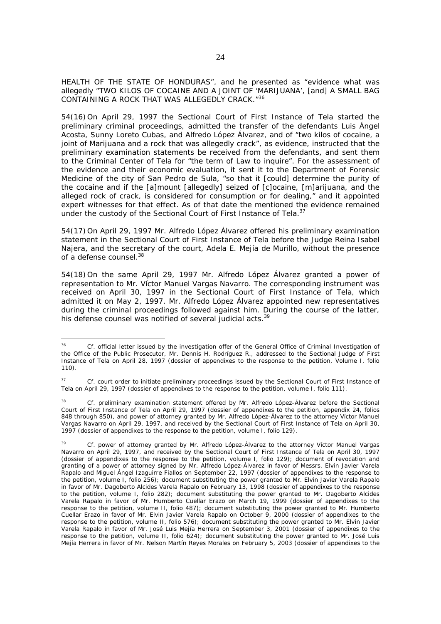HEALTH OF THE STATE OF HONDURAS", and he presented as "evidence what was allegedly "TWO KILOS OF COCAINE AND A JOINT OF 'MARIJUANA', [and] A SMALL BAG CONTAINING A ROCK THAT WAS ALLEGEDLY CRACK."36

54(16) On April 29, 1997 the Sectional Court of First Instance of Tela started the preliminary criminal proceedings, admitted the transfer of the defendants Luis Ángel Acosta, Sunny Loreto Cubas, and Alfredo López Álvarez, and of "two kilos of cocaine, a joint of Marijuana and a rock that was allegedly crack", as evidence, instructed that the preliminary examination statements be received from the defendants, and sent them to the Criminal Center of Tela for "the term of Law to inquire". For the assessment of the evidence and their economic evaluation, it sent it to the Department of Forensic Medicine of the city of San Pedro de Sula, "so that it [could] determine the purity of the cocaine and if the [a]mount [allegedly] seized of [c]ocaine, [m]arijuana, and the alleged rock of crack, is considered for consumption or for dealing," and it appointed expert witnesses for that effect. As of that date the mentioned the evidence remained under the custody of the Sectional Court of First Instance of Tela.<sup>37</sup>

54(17) On April 29, 1997 Mr. Alfredo López Álvarez offered his preliminary examination statement in the Sectional Court of First Instance of Tela before the Judge Reina Isabel Najera, and the secretary of the court, Adela E. Mejía de Murillo, without the presence of a defense counsel.<sup>38</sup>

54(18) On the same April 29, 1997 Mr. Alfredo López Álvarez granted a power of representation to Mr. Víctor Manuel Vargas Navarro. The corresponding instrument was received on April 30, 1997 in the Sectional Court of First Instance of Tela, which admitted it on May 2, 1997. Mr. Alfredo López Álvarez appointed new representatives during the criminal proceedings followed against him. During the course of the latter, his defense counsel was notified of several judicial acts.<sup>39</sup>

 $36$ <sup>36</sup> *Cf.* official letter issued by the investigation offer of the General Office of Criminal Investigation of the Office of the Public Prosecutor, Mr. Dennis H. Rodríguez R., addressed to the Sectional Judge of First Instance of Tela on April 28, 1997 (dossier of appendixes to the response to the petition, Volume I, folio 110).

<sup>&</sup>lt;sup>37</sup> *Cf.* court order to initiate preliminary proceedings issued by the Sectional Court of First Instance of Tela on April 29, 1997 (dossier of appendixes to the response to the petition, volume I, folio 111).

 $28$ <sup>38</sup>*Cf.* preliminary examination statement offered by Mr. Alfredo López-Álvarez before the Sectional Court of First Instance of Tela on April 29, 1997 (dossier of appendixes to the petition, appendix 24, folios 848 through 850), and power of attorney granted by Mr. Alfredo López-Álvarez to the attorney Víctor Manuel Vargas Navarro on April 29, 1997, and received by the Sectional Court of First Instance of Tela on April 30, 1997 (dossier of appendixes to the response to the petition, volume I, folio 129).

<sup>39</sup>*Cf.* power of attorney granted by Mr. Alfredo López-Álvarez to the attorney Víctor Manuel Vargas Navarro on April 29, 1997, and received by the Sectional Court of First Instance of Tela on April 30, 1997 (dossier of appendixes to the response to the petition, volume I, folio 129); document of revocation and granting of a power of attorney signed by Mr. Alfredo López-Álvarez in favor of Messrs. Elvin Javier Varela Rapalo and Miguel Ángel Izaguirre Fiallos on September 22, 1997 (dossier of appendixes to the response to the petition, volume I, folio 256); document substituting the power granted to Mr. Elvin Javier Varela Rapalo in favor of Mr. Dagoberto Alcides Varela Rapalo on February 13, 1998 (dossier of appendixes to the response to the petition, volume I, folio 282); document substituting the power granted to Mr. Dagoberto Alcides Varela Rapalo in favor of Mr. Humberto Cuellar Erazo on March 19, 1999 (dossier of appendixes to the response to the petition, volume II, folio 487); document substituting the power granted to Mr. Humberto Cuellar Erazo in favor of Mr. Elvin Javier Varela Rapalo on October 9, 2000 (dossier of appendixes to the response to the petition, volume II, folio 576); document substituting the power granted to Mr. Elvin Javier Varela Rapalo in favor of Mr. José Luis Mejía Herrera on September 3, 2001 (dossier of appendixes to the response to the petition, volume II, folio 624); document substituting the power granted to Mr. José Luis Mejía Herrera in favor of Mr. Nelson Martín Reyes Morales on February 5, 2003 (dossier of appendixes to the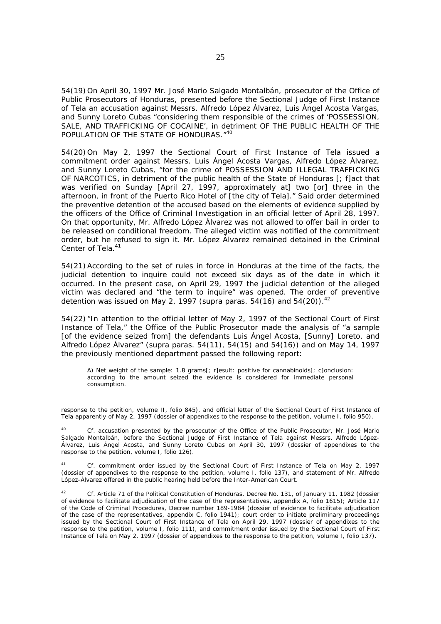54(19) On April 30, 1997 Mr. José Mario Salgado Montalbán, prosecutor of the Office of Public Prosecutors of Honduras, presented before the Sectional Judge of First Instance of Tela an accusation against Messrs. Alfredo López Álvarez, Luis Ángel Acosta Vargas, and Sunny Loreto Cubas "considering them responsible of the crimes of 'POSSESSION, SALE, AND TRAFFICKING OF COCAINE', in detriment OF THE PUBLIC HEALTH OF THE POPULATION OF THE STATE OF HONDURAS."40

54(20) On May 2, 1997 the Sectional Court of First Instance of Tela issued a commitment order against Messrs. Luis Ángel Acosta Vargas, Alfredo López Álvarez, and Sunny Loreto Cubas, "for the crime of POSSESSION AND ILLEGAL TRAFFICKING OF NARCOTICS, in detriment of the public health of the State of Honduras [; f]act that was verified on Sunday [April 27, 1997, approximately at] two [or] three in the afternoon, in front of the Puerto Rico Hotel of [the city of Tela]." Said order determined the preventive detention of the accused based on the elements of evidence supplied by the officers of the Office of Criminal Investigation in an official letter of April 28, 1997. On that opportunity, Mr. Alfredo López Álvarez was not allowed to offer bail in order to be released on conditional freedom. The alleged victim was notified of the commitment order, but he refused to sign it. Mr. López Álvarez remained detained in the Criminal Center of Tela.<sup>41</sup>

54(21) According to the set of rules in force in Honduras at the time of the facts, the judicial detention to inquire could not exceed six days as of the date in which it occurred. In the present case, on April 29, 1997 the judicial detention of the alleged victim was declared and "the term to inquire" was opened. The order of preventive detention was issued on May 2, 1997 (*supra* paras. 54(16) and 54(20)).<sup>42</sup>

54(22) "In attention to the official letter of May 2, 1997 of the Sectional Court of First Instance of Tela," the Office of the Public Prosecutor made the analysis of "a sample [of the evidence seized from] the defendants Luis Ángel Acosta, [Sunny] Loreto, and Alfredo López Álvarez" (*supra* paras. 54(11), 54(15) and 54(16)) and on May 14, 1997 the previously mentioned department passed the following report:

A) Net weight of the sample: 1.8 grams[; r]esult: positive for cannabinoids[; c]onclusion: according to the amount seized the evidence is considered for immediate personal consumption.

response to the petition, volume II, folio 845), and official letter of the Sectional Court of First Instance of Tela apparently of May 2, 1997 (dossier of appendixes to the response to the petition, volume I, folio 950).

<sup>40</sup>*Cf.* accusation presented by the prosecutor of the Office of the Public Prosecutor, Mr. José Mario Salgado Montalbán, before the Sectional Judge of First Instance of Tela against Messrs. Alfredo López-Álvarez, Luis Ángel Acosta, and Sunny Loreto Cubas on April 30, 1997 (dossier of appendixes to the response to the petition, volume I, folio 126).

<sup>41</sup>*Cf.* commitment order issued by the Sectional Court of First Instance of Tela on May 2, 1997 (dossier of appendixes to the response to the petition, volume I, folio 137), and statement of Mr. Alfredo López-Álvarez offered in the public hearing held before the Inter-American Court.

<sup>42</sup> *Cf.* Article 71 of the Political Constitution of Honduras, Decree No. 131, of January 11, 1982 (dossier of evidence to facilitate adjudication of the case of the representatives, appendix A, folio 1615); Article 117 of the Code of Criminal Procedures, Decree number 189-1984 (dossier of evidence to facilitate adjudication of the case of the representatives, appendix C, folio 1941); court order to initiate preliminary proceedings issued by the Sectional Court of First Instance of Tela on April 29, 1997 (dossier of appendixes to the response to the petition, volume I, folio 111), and commitment order issued by the Sectional Court of First Instance of Tela on May 2, 1997 (dossier of appendixes to the response to the petition, volume I, folio 137).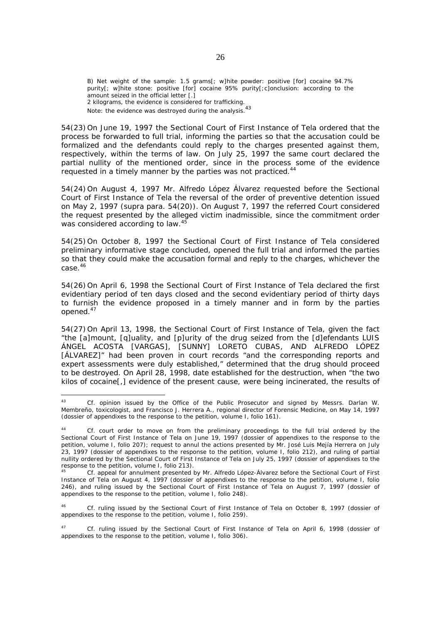B) Net weight of the sample: 1.5 grams[; w]hite powder: positive [for] cocaine 94.7% purity[; w]hite stone: positive [for] cocaine 95% purity[;c]onclusion: according to the amount seized in the official letter [.] 2 kilograms, the evidence is considered for trafficking. Note: the evidence was destroyed during the analysis.<sup>43</sup>

54(23) On June 19, 1997 the Sectional Court of First Instance of Tela ordered that the process be forwarded to full trial, informing the parties so that the accusation could be formalized and the defendants could reply to the charges presented against them, respectively, within the terms of law. On July 25, 1997 the same court declared the partial nullity of the mentioned order, since in the process some of the evidence requested in a timely manner by the parties was not practiced.<sup>4</sup>

54(24) On August 4, 1997 Mr. Alfredo López Álvarez requested before the Sectional Court of First Instance of Tela the reversal of the order of preventive detention issued on May 2, 1997 (*supra* para. 54(20)). On August 7, 1997 the referred Court considered the request presented by the alleged victim inadmissible, since the commitment order was considered according to law.<sup>45</sup>

54(25) On October 8, 1997 the Sectional Court of First Instance of Tela considered preliminary informative stage concluded, opened the full trial and informed the parties so that they could make the accusation formal and reply to the charges, whichever the case.46

54(26) On April 6, 1998 the Sectional Court of First Instance of Tela declared the first evidentiary period of ten days closed and the second evidentiary period of thirty days to furnish the evidence proposed in a timely manner and in form by the parties opened.47

54(27) On April 13, 1998, the Sectional Court of First Instance of Tela, given the fact "the [a]mount, [q]uality, and [p]urity of the drug seized from the [d]efendants LUIS ÁNGEL ACOSTA [VARGAS], [SUNNY] LORETO CUBAS, AND ALFREDO LÓPEZ [ÁLVAREZ]" had been proven in court records "and the corresponding reports and expert assessments were duly established," determined that the drug should proceed to be destroyed. On April 28, 1998, date established for the destruction, when "the two kilos of cocaine[,] evidence of the present cause, were being incinerated, the results of

<sup>46</sup> *Cf.* ruling issued by the Sectional Court of First Instance of Tela on October 8, 1997 (dossier of appendixes to the response to the petition, volume I, folio 259).

 $43$ <sup>43</sup> *Cf.* opinion issued by the Office of the Public Prosecutor and signed by Messrs. Darlan W. Membreño, toxicologist, and Francisco J. Herrera A., regional director of Forensic Medicine, on May 14, 1997 (dossier of appendixes to the response to the petition, volume I, folio 161).

<sup>44</sup> *Cf.* court order to move on from the preliminary proceedings to the full trial ordered by the Sectional Court of First Instance of Tela on June 19, 1997 (dossier of appendixes to the response to the petition, volume I, folio 207); request to annul the actions presented by Mr. José Luis Mejía Herrera on July 23, 1997 (dossier of appendixes to the response to the petition, volume I, folio 212), and ruling of partial nullity ordered by the Sectional Court of First Instance of Tela on July 25, 1997 (dossier of appendixes to the response to the petition, volume I, folio 213).

<sup>45</sup> *Cf.* appeal for annulment presented by Mr. Alfredo López-Álvarez before the Sectional Court of First Instance of Tela on August 4, 1997 (dossier of appendixes to the response to the petition, volume I, folio 246), and ruling issued by the Sectional Court of First Instance of Tela on August 7, 1997 (dossier of appendixes to the response to the petition, volume I, folio 248).

<sup>47</sup> *Cf.* ruling issued by the Sectional Court of First Instance of Tela on April 6, 1998 (dossier of appendixes to the response to the petition, volume I, folio 306).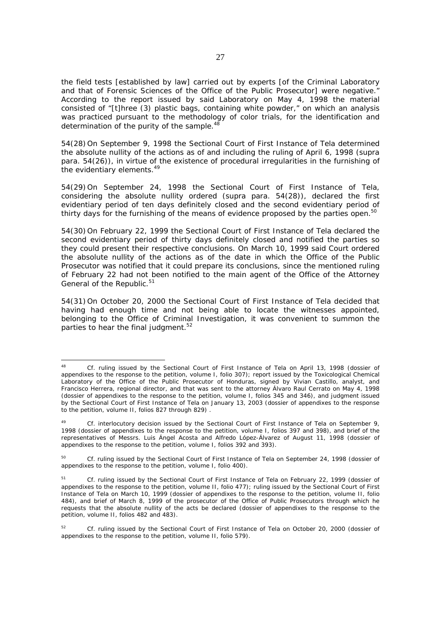the field tests [established by law] carried out by experts [of the Criminal Laboratory and that of Forensic Sciences of the Office of the Public Prosecutor] were negative." According to the report issued by said Laboratory on May 4, 1998 the material consisted of "[t]hree (3) plastic bags, containing white powder," on which an analysis was practiced pursuant to the methodology of color trials, for the identification and determination of the purity of the sample.<sup>48</sup>

54(28) On September 9, 1998 the Sectional Court of First Instance of Tela determined the absolute nullity of the actions as of and including the ruling of April 6, 1998 (*supra* para. 54(26)), in virtue of the existence of procedural irregularities in the furnishing of the evidentiary elements.<sup>49</sup>

54(29) On September 24, 1998 the Sectional Court of First Instance of Tela, considering the absolute nullity ordered (*supra* para. 54(28)), declared the first evidentiary period of ten days definitely closed and the second evidentiary period of thirty days for the furnishing of the means of evidence proposed by the parties open.<sup>50</sup>

54(30) On February 22, 1999 the Sectional Court of First Instance of Tela declared the second evidentiary period of thirty days definitely closed and notified the parties so they could present their respective conclusions. On March 10, 1999 said Court ordered the absolute nullity of the actions as of the date in which the Office of the Public Prosecutor was notified that it could prepare its conclusions, since the mentioned ruling of February 22 had not been notified to the main agent of the Office of the Attorney General of the Republic.<sup>51</sup>

54(31) On October 20, 2000 the Sectional Court of First Instance of Tela decided that having had enough time and not being able to locate the witnesses appointed, belonging to the Office of Criminal Investigation, it was convenient to summon the parties to hear the final judgment. $52$ 

<sup>48</sup> *Cf.* ruling issued by the Sectional Court of First Instance of Tela on April 13, 1998 (dossier of appendixes to the response to the petition, volume I, folio 307); report issued by the Toxicological Chemical Laboratory of the Office of the Public Prosecutor of Honduras, signed by Vivian Castillo, analyst, and Francisco Herrera, regional director, and that was sent to the attorney Álvaro Raul Cerrato on May 4, 1998 (dossier of appendixes to the response to the petition, volume I, folios 345 and 346), and judgment issued by the Sectional Court of First Instance of Tela on January 13, 2003 (dossier of appendixes to the response to the petition, volume II, folios 827 through 829) .

<sup>49</sup> *Cf.* interlocutory decision issued by the Sectional Court of First Instance of Tela on September 9, 1998 (dossier of appendixes to the response to the petition, volume I, folios 397 and 398), and brief of the representatives of Messrs. Luis Ángel Acosta and Alfredo López-Álvarez of August 11, 1998 (dossier of appendixes to the response to the petition, volume I, folios 392 and 393).

<sup>50</sup> *Cf.* ruling issued by the Sectional Court of First Instance of Tela on September 24, 1998 (dossier of appendixes to the response to the petition, volume I, folio 400).

<sup>51</sup> *Cf.* ruling issued by the Sectional Court of First Instance of Tela on February 22, 1999 (dossier of appendixes to the response to the petition, volume II, folio 477); ruling issued by the Sectional Court of First Instance of Tela on March 10, 1999 (dossier of appendixes to the response to the petition, volume II, folio 484), and brief of March 8, 1999 of the prosecutor of the Office of Public Prosecutors through which he requests that the absolute nullity of the acts be declared (dossier of appendixes to the response to the petition, volume II, folios 482 and 483).

<sup>52</sup> *Cf.* ruling issued by the Sectional Court of First Instance of Tela on October 20, 2000 (dossier of appendixes to the response to the petition, volume II, folio 579).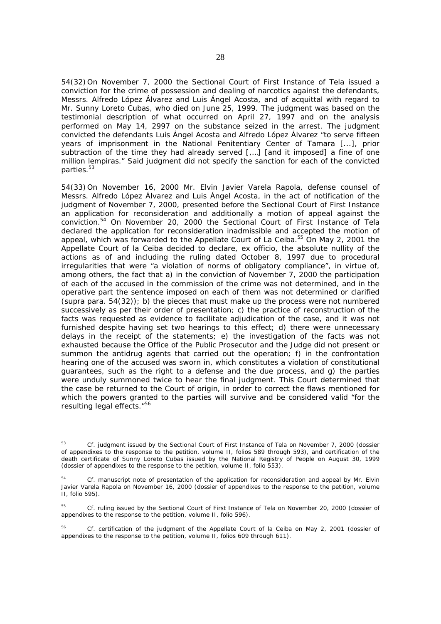54(32) On November 7, 2000 the Sectional Court of First Instance of Tela issued a conviction for the crime of possession and dealing of narcotics against the defendants, Messrs. Alfredo López Álvarez and Luis Ángel Acosta, and of acquittal with regard to Mr. Sunny Loreto Cubas, who died on June 25, 1999. The judgment was based on the testimonial description of what occurred on April 27, 1997 and on the analysis performed on May 14, 2997 on the substance seized in the arrest. The judgment convicted the defendants Luis Ángel Acosta and Alfredo López Álvarez "to serve fifteen years of imprisonment in the National Penitentiary Center of Tamara [...], prior subtraction of the time they had already served [,…] [and it imposed] a fine of one million lempiras." Said judgment did not specify the sanction for each of the convicted parties.<sup>53</sup>

54(33) On November 16, 2000 Mr. Elvin Javier Varela Rapola, defense counsel of Messrs. Alfredo López Álvarez and Luis Ángel Acosta, in the act of notification of the judgment of November 7, 2000, presented before the Sectional Court of First Instance an application for reconsideration and additionally a motion of appeal against the conviction.54 On November 20, 2000 the Sectional Court of First Instance of Tela declared the application for reconsideration inadmissible and accepted the motion of appeal, which was forwarded to the Appellate Court of La Ceiba.<sup>55</sup> On May 2, 2001 the Appellate Court of la Ceiba decided to declare, ex officio, the absolute nullity of the actions as of and including the ruling dated October 8, 1997 due to procedural irregularities that were "a violation of norms of obligatory compliance", in virtue of, among others, the fact that a) in the conviction of November 7, 2000 the participation of each of the accused in the commission of the crime was not determined, and in the operative part the sentence imposed on each of them was not determined or clarified (*supra* para. 54(32)); b) the pieces that must make up the process were not numbered successively as per their order of presentation; c) the practice of reconstruction of the facts was requested as evidence to facilitate adjudication of the case, and it was not furnished despite having set two hearings to this effect; d) there were unnecessary delays in the receipt of the statements; e) the investigation of the facts was not exhausted because the Office of the Public Prosecutor and the Judge did not present or summon the antidrug agents that carried out the operation; f) in the confrontation hearing one of the accused was sworn in, which constitutes a violation of constitutional guarantees, such as the right to a defense and the due process, and g) the parties were unduly summoned twice to hear the final judgment. This Court determined that the case be returned to the Court of origin, in order to correct the flaws mentioned for which the powers granted to the parties will survive and be considered valid "for the resulting legal effects."56

<sup>53</sup>*Cf.* judgment issued by the Sectional Court of First Instance of Tela on November 7, 2000 (dossier of appendixes to the response to the petition, volume II, folios 589 through 593), and certification of the death certificate of Sunny Loreto Cubas issued by the National Registry of People on August 30, 1999 (dossier of appendixes to the response to the petition, volume II, folio 553).

<sup>54</sup> *Cf.* manuscript note of presentation of the application for reconsideration and appeal by Mr. Elvin Javier Varela Rapola on November 16, 2000 (dossier of appendixes to the response to the petition, volume II, folio 595).

<sup>55</sup> *Cf.* ruling issued by the Sectional Court of First Instance of Tela on November 20, 2000 (dossier of appendixes to the response to the petition, volume II, folio 596).

<sup>56</sup> *Cf.* certification of the judgment of the Appellate Court of la Ceiba on May 2, 2001 (dossier of appendixes to the response to the petition, volume II, folios 609 through 611).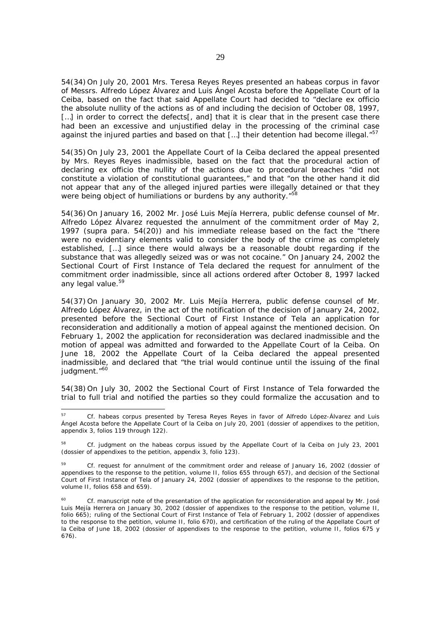54(34) On July 20, 2001 Mrs. Teresa Reyes Reyes presented an habeas corpus in favor of Messrs. Alfredo López Álvarez and Luis Ángel Acosta before the Appellate Court of la Ceiba, based on the fact that said Appellate Court had decided to "declare ex officio the absolute nullity of the actions as of and including the decision of October 08, 1997, [...] in order to correct the defects[, and] that it is clear that in the present case there had been an excessive and unjustified delay in the processing of the criminal case against the injured parties and based on that  $\left[\ldots\right]$  their detention had become illegal."<sup>57</sup>

54(35) On July 23, 2001 the Appellate Court of la Ceiba declared the appeal presented by Mrs. Reyes Reyes inadmissible, based on the fact that the procedural action of declaring ex officio the nullity of the actions due to procedural breaches "did not constitute a violation of constitutional guarantees," and that "on the other hand it did not appear that any of the alleged injured parties were illegally detained or that they were being object of humiliations or burdens by any authority."<sup>58</sup>

54(36) On January 16, 2002 Mr. José Luis Mejía Herrera, public defense counsel of Mr. Alfredo López Álvarez requested the annulment of the commitment order of May 2, 1997 (*supra* para. 54(20)) and his immediate release based on the fact the "there were no evidentiary elements valid to consider the body of the crime as completely established, […] since there would always be a reasonable doubt regarding if the substance that was allegedly seized was or was not cocaine." On January 24, 2002 the Sectional Court of First Instance of Tela declared the request for annulment of the commitment order inadmissible, since all actions ordered after October 8, 1997 lacked any legal value.<sup>59</sup>

54(37) On January 30, 2002 Mr. Luis Mejía Herrera, public defense counsel of Mr. Alfredo López Álvarez, in the act of the notification of the decision of January 24, 2002, presented before the Sectional Court of First Instance of Tela an application for reconsideration and additionally a motion of appeal against the mentioned decision. On February 1, 2002 the application for reconsideration was declared inadmissible and the motion of appeal was admitted and forwarded to the Appellate Court of la Ceiba. On June 18, 2002 the Appellate Court of la Ceiba declared the appeal presented inadmissible, and declared that "the trial would continue until the issuing of the final judgment."<sup>60</sup>

54(38) On July 30, 2002 the Sectional Court of First Instance of Tela forwarded the trial to full trial and notified the parties so they could formalize the accusation and to

<sup>57</sup> *Cf.* habeas corpus presented by Teresa Reyes Reyes in favor of Alfredo López-Álvarez and Luis Ángel Acosta before the Appellate Court of la Ceiba on July 20, 2001 (dossier of appendixes to the petition, appendix 3, folios 119 through 122).

<sup>58</sup> *Cf.* judgment on the habeas corpus issued by the Appellate Court of la Ceiba on July 23, 2001 (dossier of appendixes to the petition, appendix 3, folio 123).

<sup>59</sup> *Cf.* request for annulment of the commitment order and release of January 16, 2002 (dossier of appendixes to the response to the petition, volume II, folios 655 through 657), and decision of the Sectional Court of First Instance of Tela of January 24, 2002 (dossier of appendixes to the response to the petition, volume II, folios 658 and 659).

Cf. manuscript note of the presentation of the application for reconsideration and appeal by Mr. José Luis Mejía Herrera on January 30, 2002 (dossier of appendixes to the response to the petition, volume II, folio 665); ruling of the Sectional Court of First Instance of Tela of February 1, 2002 (dossier of appendixes to the response to the petition, volume II, folio 670), and certification of the ruling of the Appellate Court of la Ceiba of June 18, 2002 (dossier of appendixes to the response to the petition, volume II, folios 675 y 676).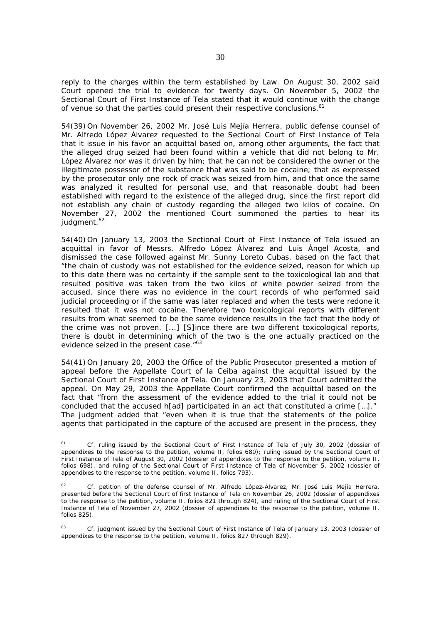reply to the charges within the term established by Law. On August 30, 2002 said Court opened the trial to evidence for twenty days. On November 5, 2002 the Sectional Court of First Instance of Tela stated that it would continue with the change of venue so that the parties could present their respective conclusions.<sup>61</sup>

54(39) On November 26, 2002 Mr. José Luis Mejía Herrera, public defense counsel of Mr. Alfredo López Álvarez requested to the Sectional Court of First Instance of Tela that it issue in his favor an acquittal based on, among other arguments, the fact that the alleged drug seized had been found within a vehicle that did not belong to Mr. López Álvarez nor was it driven by him; that he can not be considered the owner or the illegitimate possessor of the substance that was said to be cocaine; that as expressed by the prosecutor only one rock of crack was seized from him, and that once the same was analyzed it resulted for personal use, and that reasonable doubt had been established with regard to the existence of the alleged drug, since the first report did not establish any chain of custody regarding the alleged two kilos of cocaine. On November 27, 2002 the mentioned Court summoned the parties to hear its judgment.<sup>62</sup>

54(40) On January 13, 2003 the Sectional Court of First Instance of Tela issued an acquittal in favor of Messrs. Alfredo López Álvarez and Luis Ángel Acosta, and dismissed the case followed against Mr. Sunny Loreto Cubas, based on the fact that "the chain of custody was not established for the evidence seized, reason for which up to this date there was no certainty if the sample sent to the toxicological lab and that resulted positive was taken from the two kilos of white powder seized from the accused, since there was no evidence in the court records of who performed said judicial proceeding or if the same was later replaced and when the tests were redone it resulted that it was not cocaine. Therefore two toxicological reports with different results from what seemed to be the same evidence results in the fact that the body of the crime was not proven. [...] [S]ince there are two different toxicological reports, there is doubt in determining which of the two is the one actually practiced on the evidence seized in the present case."<sup>63</sup>

54(41) On January 20, 2003 the Office of the Public Prosecutor presented a motion of appeal before the Appellate Court of la Ceiba against the acquittal issued by the Sectional Court of First Instance of Tela. On January 23, 2003 that Court admitted the appeal. On May 29, 2003 the Appellate Court confirmed the acquittal based on the fact that "from the assessment of the evidence added to the trial it could not be concluded that the accused h[ad] participated in an act that constituted a crime […]." The judgment added that "even when it is true that the statements of the police agents that participated in the capture of the accused are present in the process, they

<sup>61</sup> *Cf.* ruling issued by the Sectional Court of First Instance of Tela of July 30, 2002 (dossier of appendixes to the response to the petition, volume II, folios 680); ruling issued by the Sectional Court of First Instance of Tela of August 30, 2002 (dossier of appendixes to the response to the petition, volume II, folios 698), and ruling of the Sectional Court of First Instance of Tela of November 5, 2002 (dossier of appendixes to the response to the petition, volume II, folios 793).

<sup>62</sup> *Cf.* petition of the defense counsel of Mr. Alfredo López-Álvarez, Mr. José Luis Mejía Herrera, presented before the Sectional Court of first Instance of Tela on November 26, 2002 (dossier of appendixes to the response to the petition, volume II, folios 821 through 824), and ruling of the Sectional Court of First Instance of Tela of November 27, 2002 (dossier of appendixes to the response to the petition, volume II, folios 825).

<sup>63</sup> *Cf.* judgment issued by the Sectional Court of First Instance of Tela of January 13, 2003 (dossier of appendixes to the response to the petition, volume II, folios 827 through 829).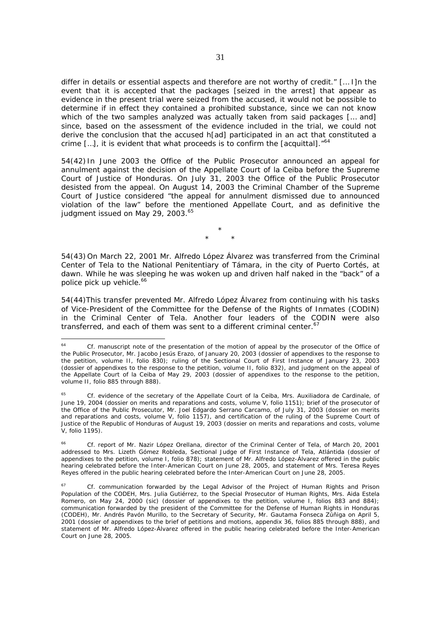differ in details or essential aspects and therefore are not worthy of credit." [… I]n the event that it is accepted that the packages [seized in the arrest] that appear as evidence in the present trial were seized from the accused, it would not be possible to determine if in effect they contained a prohibited substance, since we can not know which of the two samples analyzed was actually taken from said packages [… and] since, based on the assessment of the evidence included in the trial, we could not derive the conclusion that the accused h[ad] participated in an act that constituted a crime  $[...]$ , it is evident that what proceeds is to confirm the  $[acquittal]$ .<sup>"64</sup>

54(42) In June 2003 the Office of the Public Prosecutor announced an appeal for annulment against the decision of the Appellate Court of la Ceiba before the Supreme Court of Justice of Honduras. On July 31, 2003 the Office of the Public Prosecutor desisted from the appeal. On August 14, 2003 the Criminal Chamber of the Supreme Court of Justice considered "the appeal for annulment dismissed due to announced violation of the law" before the mentioned Appellate Court, and as definitive the judgment issued on May 29, 2003.<sup>65</sup>

> \* \* \*

54(43) On March 22, 2001 Mr. Alfredo López Álvarez was transferred from the Criminal Center of Tela to the National Penitentiary of Támara, in the city of Puerto Cortés, at dawn. While he was sleeping he was woken up and driven half naked in the "back" of a police pick up vehicle.<sup>66</sup>

54(44)This transfer prevented Mr. Alfredo López Álvarez from continuing with his tasks of Vice-President of the Committee for the Defense of the Rights of Inmates (CODIN) in the Criminal Center of Tela. Another four leaders of the CODIN were also transferred, and each of them was sent to a different criminal center.<sup>67</sup>

<sup>64</sup> *Cf.* manuscript note of the presentation of the motion of appeal by the prosecutor of the Office of the Public Prosecutor, Mr. Jacobo Jesús Erazo, of January 20, 2003 (dossier of appendixes to the response to the petition, volume II, folio 830); ruling of the Sectional Court of First Instance of January 23, 2003 (dossier of appendixes to the response to the petition, volume II, folio 832), and judgment on the appeal of the Appellate Court of la Ceiba of May 29, 2003 (dossier of appendixes to the response to the petition, volume II, folio 885 through 888).

<sup>65</sup> *Cf.* evidence of the secretary of the Appellate Court of la Ceiba, Mrs. Auxiliadora de Cardinale, of June 19, 2004 (dossier on merits and reparations and costs, volume V, folio 1151); brief of the prosecutor of the Office of the Public Prosecutor, Mr. Joel Edgardo Serrano Carcamo, of July 31, 2003 (dossier on merits and reparations and costs, volume V, folio 1157), and certification of the ruling of the Supreme Court of Justice of the Republic of Honduras of August 19, 2003 (dossier on merits and reparations and costs, volume V, folio 1195).

<sup>66</sup>*Cf.* report of Mr. Nazir López Orellana, director of the Criminal Center of Tela, of March 20, 2001 addressed to Mrs. Lizeth Gómez Robleda, Sectional Judge of First Instance of Tela, Atlántida (dossier of appendixes to the petition, volume I, folio 878); statement of Mr. Alfredo López-Álvarez offered in the public hearing celebrated before the Inter-American Court on June 28, 2005, and statement of Mrs. Teresa Reyes Reyes offered in the public hearing celebrated before the Inter-American Court on June 28, 2005.

<sup>67</sup> *Cf.* communication forwarded by the Legal Advisor of the Project of Human Rights and Prison Population of the CODEH, Mrs. Julia Gutiérrez, to the Special Prosecutor of Human Rights, Mrs. Aida Estela Romero, on May 24, 2000 (sic) (dossier of appendixes to the petition, volume I, folios 883 and 884); communication forwarded by the president of the Committee for the Defense of Human Rights in Honduras (CODEH), Mr. Andrés Pavón Murillo, to the Secretary of Security, Mr. Gautama Fonseca Zúñiga on April 5, 2001 (dossier of appendixes to the brief of petitions and motions, appendix 36, folios 885 through 888), and statement of Mr. Alfredo López-Álvarez offered in the public hearing celebrated before the Inter-American Court on June 28, 2005.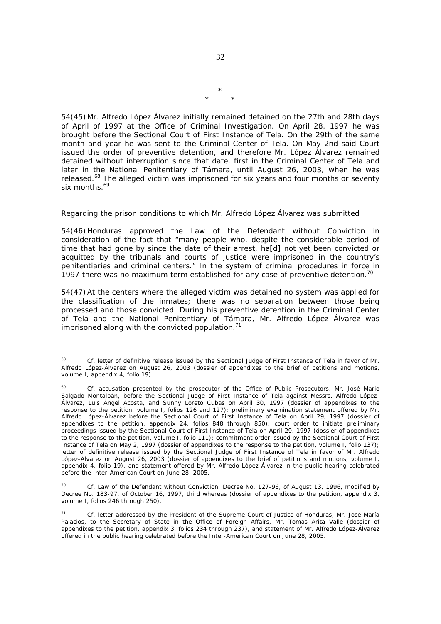54(45) Mr. Alfredo López Álvarez initially remained detained on the 27th and 28th days of April of 1997 at the Office of Criminal Investigation. On April 28, 1997 he was brought before the Sectional Court of First Instance of Tela. On the 29th of the same month and year he was sent to the Criminal Center of Tela. On May 2nd said Court issued the order of preventive detention, and therefore Mr. López Álvarez remained detained without interruption since that date, first in the Criminal Center of Tela and later in the National Penitentiary of Támara, until August 26, 2003, when he was released.<sup>68</sup> The alleged victim was imprisoned for six years and four months or seventy six months.<sup>69</sup>

#### *Regarding the prison conditions to which Mr. Alfredo López Álvarez was submitted*

54(46) Honduras approved the Law of the Defendant without Conviction in consideration of the fact that "many people who, despite the considerable period of time that had gone by since the date of their arrest, ha[d] not yet been convicted or acquitted by the tribunals and courts of justice were imprisoned in the country's penitentiaries and criminal centers." In the system of criminal procedures in force in 1997 there was no maximum term established for any case of preventive detention.<sup>70</sup>

54(47) At the centers where the alleged victim was detained no system was applied for the classification of the inmates; there was no separation between those being processed and those convicted. During his preventive detention in the Criminal Center of Tela and the National Penitentiary of Támara, Mr. Alfredo López Álvarez was imprisoned along with the convicted population. $<sup>71</sup>$ </sup>

\* \* \*

<sup>68</sup> <sup>68</sup> *Cf.* letter of definitive release issued by the Sectional Judge of First Instance of Tela in favor of Mr. Alfredo López-Álvarez on August 26, 2003 (dossier of appendixes to the brief of petitions and motions, volume I, appendix 4, folio 19).

Cf. accusation presented by the prosecutor of the Office of Public Prosecutors, Mr. José Mario Salgado Montalbán, before the Sectional Judge of First Instance of Tela against Messrs. Alfredo López-Álvarez, Luis Ángel Acosta, and Sunny Loreto Cubas on April 30, 1997 (dossier of appendixes to the response to the petition, volume I, folios 126 and 127); preliminary examination statement offered by Mr. Alfredo López-Álvarez before the Sectional Court of First Instance of Tela on April 29, 1997 (dossier of appendixes to the petition, appendix 24, folios 848 through 850); court order to initiate preliminary proceedings issued by the Sectional Court of First Instance of Tela on April 29, 1997 (dossier of appendixes to the response to the petition, volume I, folio 111); commitment order issued by the Sectional Court of First Instance of Tela on May 2, 1997 (dossier of appendixes to the response to the petition, volume I, folio 137); letter of definitive release issued by the Sectional Judge of First Instance of Tela in favor of Mr. Alfredo López-Álvarez on August 26, 2003 (dossier of appendixes to the brief of petitions and motions, volume I, appendix 4, folio 19), and statement offered by Mr. Alfredo López-Álvarez in the public hearing celebrated before the Inter-American Court on June 28, 2005.

Cf. Law of the Defendant without Conviction, Decree No. 127-96, of August 13, 1996, modified by Decree No. 183-97, of October 16, 1997, third whereas (dossier of appendixes to the petition, appendix 3, volume I, folios 246 through 250).

<sup>71</sup> *Cf.* letter addressed by the President of the Supreme Court of Justice of Honduras, Mr. José María Palacios, to the Secretary of State in the Office of Foreign Affairs, Mr. Tomas Arita Valle (dossier of appendixes to the petition, appendix 3, folios 234 through 237), and statement of Mr. Alfredo López-Álvarez offered in the public hearing celebrated before the Inter-American Court on June 28, 2005.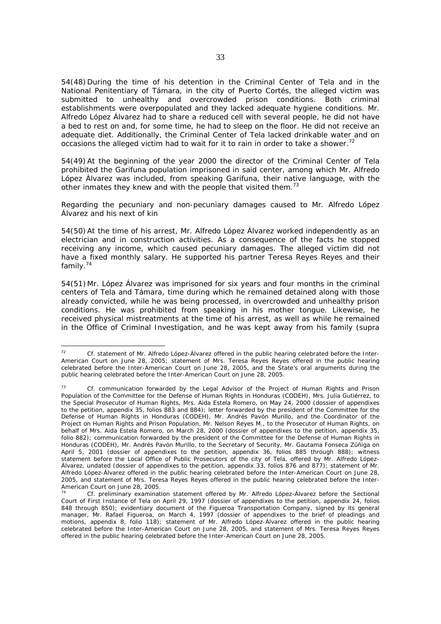54(48) During the time of his detention in the Criminal Center of Tela and in the National Penitentiary of Támara, in the city of Puerto Cortés, the alleged victim was submitted to unhealthy and overcrowded prison conditions. Both criminal establishments were overpopulated and they lacked adequate hygiene conditions. Mr. Alfredo López Álvarez had to share a reduced cell with several people, he did not have a bed to rest on and, for some time, he had to sleep on the floor. He did not receive an adequate diet. Additionally, the Criminal Center of Tela lacked drinkable water and on occasions the alleged victim had to wait for it to rain in order to take a shower.<sup>72</sup>

54(49) At the beginning of the year 2000 the director of the Criminal Center of Tela prohibited the Garifuna population imprisoned in said center, among which Mr. Alfredo López Álvarez was included, from speaking Garifuna, their native language, with the other inmates they knew and with the people that visited them.<sup>73</sup>

# *Regarding the pecuniary and non-pecuniary damages caused to Mr. Alfredo López Álvarez and his next of kin*

54(50) At the time of his arrest, Mr. Alfredo López Álvarez worked independently as an electrician and in construction activities. As a consequence of the facts he stopped receiving any income, which caused pecuniary damages. The alleged victim did not have a fixed monthly salary. He supported his partner Teresa Reyes Reyes and their family.74

54(51) Mr. López Álvarez was imprisoned for six years and four months in the criminal centers of Tela and Támara, time during which he remained detained along with those already convicted, while he was being processed, in overcrowded and unhealthy prison conditions. He was prohibited from speaking in his mother tongue. Likewise, he received physical mistreatments at the time of his arrest, as well as while he remained in the Office of Criminal Investigation, and he was kept away from his family (*supra*

 $72$ <sup>72</sup> *Cf.* statement of Mr. Alfredo López-Álvarez offered in the public hearing celebrated before the Inter-American Court on June 28, 2005; statement of Mrs. Teresa Reyes Reyes offered in the public hearing celebrated before the Inter-American Court on June 28, 2005, and the State's oral arguments during the public hearing celebrated before the Inter-American Court on June 28, 2005.

Cf. communication forwarded by the Legal Advisor of the Project of Human Rights and Prison Population of the Committee for the Defense of Human Rights in Honduras (CODEH), Mrs. Julia Gutiérrez, to the Special Prosecutor of Human Rights, Mrs. Aida Estela Romero, on May 24, 2000 (dossier of appendixes to the petition, appendix 35, folios 883 and 884); letter forwarded by the president of the Committee for the Defense of Human Rights in Honduras (CODEH), Mr. Andrés Pavón Murillo, and the Coordinator of the Project on Human Rights and Prison Population, Mr. Nelson Reyes M., to the Prosecutor of Human Rights, on behalf of Mrs. Aida Estela Romero, on March 28, 2000 (dossier of appendixes to the petition, appendix 35, folio 882); communication forwarded by the president of the Committee for the Defense of Human Rights in Honduras (CODEH), Mr. Andrés Pavón Murillo, to the Secretary of Security, Mr. Gautama Fonseca Zúñiga on April 5, 2001 (dossier of appendixes to the petition, appendix 36, folios 885 through 888); witness statement before the Local Office of Public Prosecutors of the city of Tela, offered by Mr. Alfredo López-Álvarez, undated (dossier of appendixes to the petition, appendix 33, folios 876 and 877); statement of Mr. Alfredo López-Álvarez offered in the public hearing celebrated before the Inter-American Court on June 28, 2005, and statement of Mrs. Teresa Reyes Reyes offered in the public hearing celebrated before the Inter-American Court on June 28, 2005.

<sup>74</sup> *Cf.* preliminary examination statement offered by Mr. Alfredo López-Álvarez before the Sectional Court of First Instance of Tela on April 29, 1997 (dossier of appendixes to the petition, appendix 24, folios 848 through 850); evidentiary document of the Figueroa Transportation Company, signed by its general manager, Mr. Rafael Figueroa, on March 4, 1997 (dossier of appendixes to the brief of pleadings and motions, appendix 8, folio 118); statement of Mr. Alfredo López-Álvarez offered in the public hearing celebrated before the Inter-American Court on June 28, 2005, and statement of Mrs. Teresa Reyes Reyes offered in the public hearing celebrated before the Inter-American Court on June 28, 2005.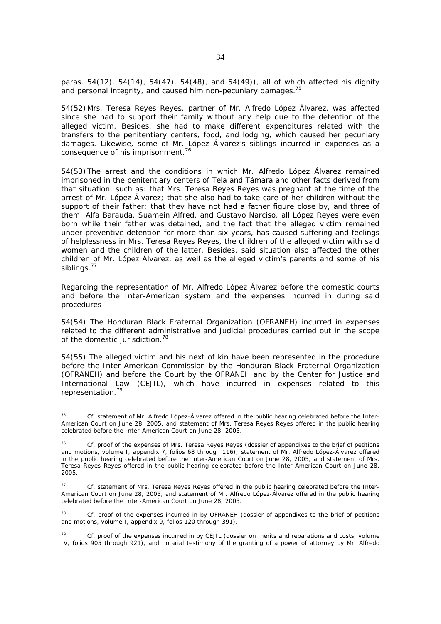paras. 54(12), 54(14), 54(47), 54(48), and 54(49)), all of which affected his dignity and personal integrity, and caused him non-pecuniary damages.<sup>75</sup>

54(52) Mrs. Teresa Reyes Reyes, partner of Mr. Alfredo López Álvarez, was affected since she had to support their family without any help due to the detention of the alleged victim. Besides, she had to make different expenditures related with the transfers to the penitentiary centers, food, and lodging, which caused her pecuniary damages. Likewise, some of Mr. López Álvarez's siblings incurred in expenses as a consequence of his imprisonment.<sup>76</sup>

54(53) The arrest and the conditions in which Mr. Alfredo López Álvarez remained imprisoned in the penitentiary centers of Tela and Támara and other facts derived from that situation, such as: that Mrs. Teresa Reyes Reyes was pregnant at the time of the arrest of Mr. López Álvarez; that she also had to take care of her children without the support of their father; that they have not had a father figure close by, and three of them, Alfa Barauda, Suamein Alfred, and Gustavo Narciso, all López Reyes were even born while their father was detained, and the fact that the alleged victim remained under preventive detention for more than six years, has caused suffering and feelings of helplessness in Mrs. Teresa Reyes Reyes, the children of the alleged victim with said women and the children of the latter. Besides, said situation also affected the other children of Mr. López Álvarez, as well as the alleged victim's parents and some of his siblings.<sup>77</sup>

*Regarding the representation of Mr. Alfredo López Álvarez before the domestic courts and before the Inter-American system and the expenses incurred in during said procedures* 

54(54) The Honduran Black Fraternal Organization (OFRANEH) incurred in expenses related to the different administrative and judicial procedures carried out in the scope of the domestic jurisdiction.<sup>78</sup>

54(55) The alleged victim and his next of kin have been represented in the procedure before the Inter-American Commission by the Honduran Black Fraternal Organization (OFRANEH) and before the Court by the OFRANEH and by the Center for Justice and International Law (CEJIL), which have incurred in expenses related to this representation.79

 $75$ <sup>75</sup> *Cf.* statement of Mr. Alfredo López-Álvarez offered in the public hearing celebrated before the Inter-American Court on June 28, 2005, and statement of Mrs. Teresa Reyes Reyes offered in the public hearing celebrated before the Inter-American Court on June 28, 2005.

<sup>76</sup>*Cf.* proof of the expenses of Mrs. Teresa Reyes Reyes (dossier of appendixes to the brief of petitions and motions, volume I, appendix 7, folios 68 through 116); statement of Mr. Alfredo López-Álvarez offered in the public hearing celebrated before the Inter-American Court on June 28, 2005, and statement of Mrs. Teresa Reyes Reyes offered in the public hearing celebrated before the Inter-American Court on June 28, 2005.

<sup>77</sup> *Cf.* statement of Mrs. Teresa Reyes Reyes offered in the public hearing celebrated before the Inter-American Court on June 28, 2005, and statement of Mr. Alfredo López-Álvarez offered in the public hearing celebrated before the Inter-American Court on June 28, 2005.

<sup>78</sup> *Cf.* proof of the expenses incurred in by OFRANEH (dossier of appendixes to the brief of petitions and motions, volume I, appendix 9, folios 120 through 391).

<sup>79</sup> *Cf.* proof of the expenses incurred in by CEJIL (dossier on merits and reparations and costs, volume IV, folios 905 through 921), and notarial testimony of the granting of a power of attorney by Mr. Alfredo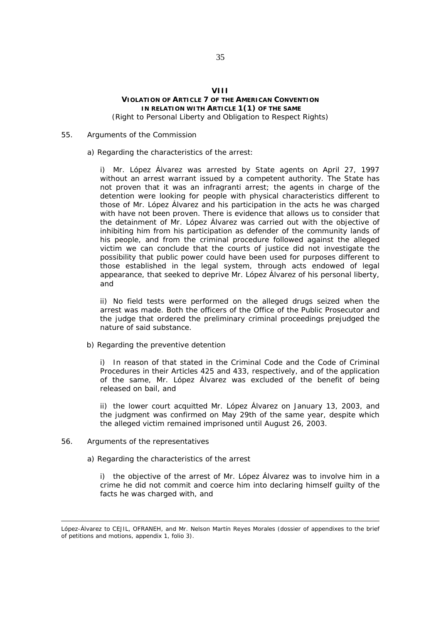# **VIII VIOLATION OF ARTICLE 7 OF THE AMERICAN CONVENTION IN RELATION WITH ARTICLE 1(1) OF THE SAME** *(Right to Personal Liberty and Obligation to Respect Rights)*

#### 55. *Arguments of the Commission*

#### a) Regarding the characteristics of the arrest:

i) Mr. López Álvarez was arrested by State agents on April 27, 1997 without an arrest warrant issued by a competent authority. The State has not proven that it was an *infragranti* arrest; the agents in charge of the detention were looking for people with physical characteristics different to those of Mr. López Álvarez and his participation in the acts he was charged with have not been proven. There is evidence that allows us to consider that the detainment of Mr. López Álvarez was carried out with the objective of inhibiting him from his participation as defender of the community lands of his people, and from the criminal procedure followed against the alleged victim we can conclude that the courts of justice did not investigate the possibility that public power could have been used for purposes different to those established in the legal system, through acts endowed of legal appearance, that seeked to deprive Mr. López Álvarez of his personal liberty, and

ii) No field tests were performed on the alleged drugs seized when the arrest was made. Both the officers of the Office of the Public Prosecutor and the judge that ordered the preliminary criminal proceedings prejudged the nature of said substance.

### b) Regarding the preventive detention

i) In reason of that stated in the Criminal Code and the Code of Criminal Procedures in their Articles 425 and 433, respectively, and of the application of the same, Mr. López Álvarez was excluded of the benefit of being released on bail, and

ii) the lower court acquitted Mr. López Álvarez on January 13, 2003, and the judgment was confirmed on May 29th of the same year, despite which the alleged victim remained imprisoned until August 26, 2003.

### 56*. Arguments of the representatives*

a) Regarding the characteristics of the arrest

i) the objective of the arrest of Mr. López Álvarez was to involve him in a crime he did not commit and coerce him into declaring himself guilty of the facts he was charged with, and

López-Álvarez to CEJIL, OFRANEH, and Mr. Nelson Martín Reyes Morales (dossier of appendixes to the brief of petitions and motions, appendix 1, folio 3).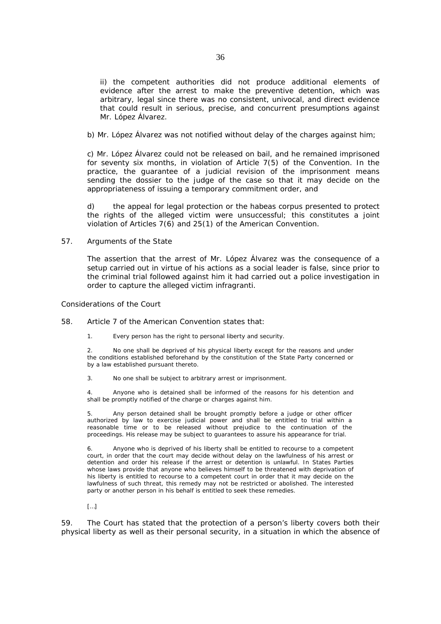ii) the competent authorities did not produce additional elements of evidence after the arrest to make the preventive detention, which was arbitrary, legal since there was no consistent, univocal, and direct evidence that could result in serious, precise, and concurrent presumptions against Mr. López Álvarez.

b) Mr. López Álvarez was not notified without delay of the charges against him;

c) Mr. López Álvarez could not be released on bail, and he remained imprisoned for seventy six months, in violation of Article 7(5) of the Convention. In the practice, the guarantee of a judicial revision of the imprisonment means sending the dossier to the judge of the case so that it may decide on the appropriateness of issuing a temporary commitment order, and

d) the appeal for legal protection or the habeas corpus presented to protect the rights of the alleged victim were unsuccessful; this constitutes a joint violation of Articles 7(6) and 25(1) of the American Convention.

### 57. *Arguments of the State*

The assertion that the arrest of Mr. López Álvarez was the consequence of a setup carried out in virtue of his actions as a social leader is false, since prior to the criminal trial followed against him it had carried out a police investigation in order to capture the alleged victim *infragranti*.

### *Considerations of the Court*

- 58. Article 7 of the American Convention states that:
	- 1. Every person has the right to personal liberty and security.

2. No one shall be deprived of his physical liberty except for the reasons and under the conditions established beforehand by the constitution of the State Party concerned or by a law established pursuant thereto.

3. No one shall be subject to arbitrary arrest or imprisonment.

4. Anyone who is detained shall be informed of the reasons for his detention and shall be promptly notified of the charge or charges against him.

5. Any person detained shall be brought promptly before a judge or other officer authorized by law to exercise judicial power and shall be entitled to trial within a reasonable time or to be released without prejudice to the continuation of the proceedings. His release may be subject to guarantees to assure his appearance for trial.

6. Anyone who is deprived of his liberty shall be entitled to recourse to a competent court, in order that the court may decide without delay on the lawfulness of his arrest or detention and order his release if the arrest or detention is unlawful. In States Parties whose laws provide that anyone who believes himself to be threatened with deprivation of his liberty is entitled to recourse to a competent court in order that it may decide on the lawfulness of such threat, this remedy may not be restricted or abolished. The interested party or another person in his behalf is entitled to seek these remedies.

[…]

59. The Court has stated that the protection of a person's liberty covers both their physical liberty as well as their personal security, in a situation in which the absence of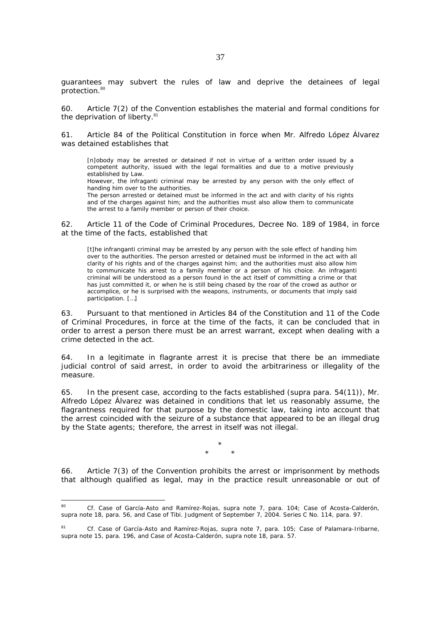guarantees may subvert the rules of law and deprive the detainees of legal protection.<sup>80</sup>

60. Article 7(2) of the Convention establishes the material and formal conditions for the deprivation of liberty.<sup>81</sup>

61. Article 84 of the Political Constitution in force when Mr. Alfredo López Álvarez was detained establishes that

[n]obody may be arrested or detained if not in virtue of a written order issued by a competent authority, issued with the legal formalities and due to a motive previously established by Law.

However, the infraganti criminal may be arrested by any person with the only effect of handing him over to the authorities.

The person arrested or detained must be informed in the act and with clarity of his rights and of the charges against him; and the authorities must also allow them to communicate the arrest to a family member or person of their choice.

62. Article 11 of the Code of Criminal Procedures, Decree No. 189 of 1984, in force at the time of the facts, established that

[t]he infranganti criminal may be arrested by any person with the sole effect of handing him over to the authorities. The person arrested or detained must be informed in the act with all clarity of his rights and of the charges against him; and the authorities must also allow him to communicate his arrest to a family member or a person of his choice. An infraganti criminal will be understood as a person found in the act itself of committing a crime or that has just committed it, or when he is still being chased by the roar of the crowd as author or accomplice, or he is surprised with the weapons, instruments, or documents that imply said participation. […]

63. Pursuant to that mentioned in Articles 84 of the Constitution and 11 of the Code of Criminal Procedures, in force at the time of the facts, it can be concluded that in order to arrest a person there must be an arrest warrant, except when dealing with a crime detected in the act.

64. In a legitimate *in flagrante* arrest it is precise that there be an immediate judicial control of said arrest, in order to avoid the arbitrariness or illegality of the measure.

65. In the present case, according to the facts established (*supra* para. 54(11)), Mr. Alfredo López Álvarez was detained in conditions that let us reasonably assume, the flagrantness required for that purpose by the domestic law, taking into account that the arrest coincided with the seizure of a substance that appeared to be an illegal drug by the State agents; therefore, the arrest in itself was not illegal.

> \* \* \*

66. Article 7(3) of the Convention prohibits the arrest or imprisonment by methods that although qualified as legal, may in the practice result unreasonable or out of

 $80<sub>o</sub>$ <sup>80</sup> *Cf. Case of García-Asto and Ramírez-Rojas, supra* note 7, para. 104; *Case of Acosta-Calderón, supra* note 18, para. 56, and *Case of Tibi.* Judgment of September 7, 2004. Series C No. 114, para. 97.

<sup>81</sup> *Cf. Case of García-Asto and Ramírez-Rojas, supra* note 7, para. 105; *Case of Palamara-Iribarne, supra* note 15, para. 196, and *Case of Acosta-Calderón, supra* note 18, para. 57.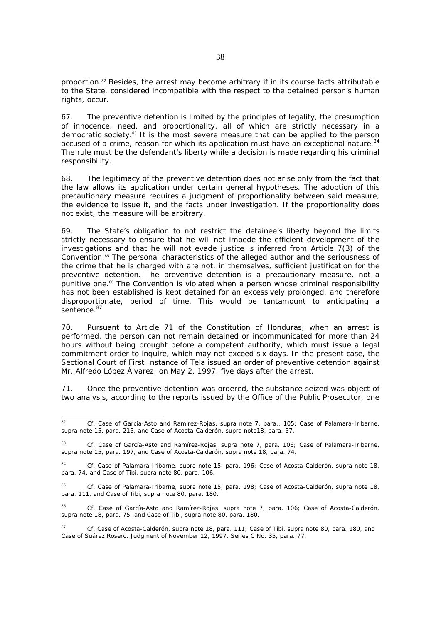proportion.<sup>82</sup> Besides, the arrest may become arbitrary if in its course facts attributable to the State, considered incompatible with the respect to the detained person's human rights, occur.

67. The preventive detention is limited by the principles of legality, the presumption of innocence, need, and proportionality, all of which are strictly necessary in a democratic society.83 It is the most severe measure that can be applied to the person accused of a crime, reason for which its application must have an exceptional nature.<sup>84</sup> The rule must be the defendant's liberty while a decision is made regarding his criminal responsibility.

68. The legitimacy of the preventive detention does not arise only from the fact that the law allows its application under certain general hypotheses. The adoption of this precautionary measure requires a judgment of proportionality between said measure, the evidence to issue it, and the facts under investigation. If the proportionality does not exist, the measure will be arbitrary.

69. The State's obligation to not restrict the detainee's liberty beyond the limits strictly necessary to ensure that he will not impede the efficient development of the investigations and that he will not evade justice is inferred from Article 7(3) of the Convention.85 The personal characteristics of the alleged author and the seriousness of the crime that he is charged with are not, in themselves, sufficient justification for the preventive detention. The preventive detention is a precautionary measure, not a punitive one.<sup>86</sup> The Convention is violated when a person whose criminal responsibility has not been established is kept detained for an excessively prolonged, and therefore disproportionate, period of time. This would be tantamount to anticipating a sentence. 87

70. Pursuant to Article 71 of the Constitution of Honduras, when an arrest is performed, the person can not remain detained or incommunicated for more than 24 hours without being brought before a competent authority, which must issue a legal commitment order to inquire, which may not exceed six days. In the present case, the Sectional Court of First Instance of Tela issued an order of preventive detention against Mr. Alfredo López Álvarez, on May 2, 1997, five days after the arrest.

71. Once the preventive detention was ordered, the substance seized was object of two analysis, according to the reports issued by the Office of the Public Prosecutor, one

 $82$ <sup>82</sup> *Cf. Case of García-Asto and Ramírez-Rojas, supra* note 7, para.. 105; *Case of Palamara-Iribarne, supra* note 15, para. 215, and *Case of Acosta-Calderón, supra* note18, para. 57.

<sup>83</sup> *Cf. Case of García-Asto and Ramírez-Rojas, supra* note 7, para. 106; *Case of Palamara-Iribarne, supra* note 15, para. 197, and *Case of Acosta-Calderón, supra* note 18, para. 74.

<sup>84</sup> *Cf. Case of Palamara-Iribarne, supra* note 15, para. 196; *Case of Acosta-Calderón, supra* note 18, para. 74, and *Case of Tibi, supra* note 80, para. 106.

<sup>85</sup> *Cf. Case of Palamara-Iribarne, supra* note 15, para. 198; *Case of Acosta-Calderón*, *supra* note 18, para. 111, and *Case of Tibi*, *supra* note 80, para. 180.

<sup>86</sup> *Cf. Case of García-Asto and Ramírez-Rojas, supra* note 7, para. 106; *Case of Acosta-Calderón, supra* note 18, para. 75, and *Case of Tibi, supra* note 80, para. 180.

<sup>87</sup> *Cf. Case of Acosta-Calderón, supra* note 18, para. 111*; Case of Tibi*, *supra* note 80, para. 180, and *Case of Suárez Rosero.* Judgment of November 12, 1997. Series C No. 35, para. 77.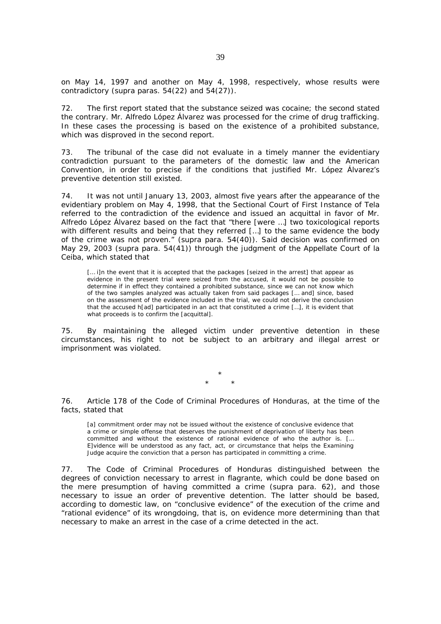on May 14, 1997 and another on May 4, 1998, respectively, whose results were contradictory (*supra* paras. 54(22) and 54(27)).

72. The first report stated that the substance seized was cocaine; the second stated the contrary. Mr. Alfredo López Álvarez was processed for the crime of drug trafficking. In these cases the processing is based on the existence of a prohibited substance, which was disproved in the second report.

73. The tribunal of the case did not evaluate in a timely manner the evidentiary contradiction pursuant to the parameters of the domestic law and the American Convention, in order to precise if the conditions that justified Mr. López Álvarez's preventive detention still existed.

74. It was not until January 13, 2003, almost five years after the appearance of the evidentiary problem on May 4, 1998, that the Sectional Court of First Instance of Tela referred to the contradiction of the evidence and issued an acquittal in favor of Mr. Alfredo López Álvarez based on the fact that "there [were …] two toxicological reports with different results and being that they referred […] to the same evidence the body of the crime was not proven." (*supra* para. 54(40)). Said decision was confirmed on May 29, 2003 (*supra* para. 54(41)) through the judgment of the Appellate Court of la Ceiba, which stated that

[... i]n the event that it is accepted that the packages [seized in the arrest] that appear as evidence in the present trial were seized from the accused, it would not be possible to determine if in effect they contained a prohibited substance, since we can not know which of the two samples analyzed was actually taken from said packages [… and] since, based on the assessment of the evidence included in the trial, we could not derive the conclusion that the accused h[ad] participated in an act that constituted a crime […], it is evident that what proceeds is to confirm the [acquittal].

75. By maintaining the alleged victim under preventive detention in these circumstances, his right to not be subject to an arbitrary and illegal arrest or imprisonment was violated.

> \* \* \*

76. Article 178 of the Code of Criminal Procedures of Honduras, at the time of the facts, stated that

[a] commitment order may not be issued without the existence of conclusive evidence that a crime or simple offense that deserves the punishment of deprivation of liberty has been committed and without the existence of rational evidence of who the author is. [… E]vidence will be understood as any fact, act, or circumstance that helps the Examining Judge acquire the conviction that a person has participated in committing a crime.

77. The Code of Criminal Procedures of Honduras distinguished between the degrees of conviction necessary to arrest in flagrante, which could be done based on the mere presumption of having committed a crime (*supra* para. 62), and those necessary to issue an order of preventive detention. The latter should be based, according to domestic law, on "conclusive evidence" of the execution of the crime and "rational evidence" of its wrongdoing, that is, on evidence more determining than that necessary to make an arrest in the case of a crime detected in the act.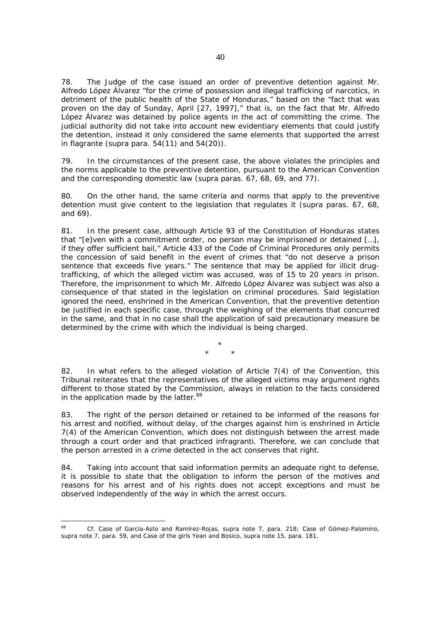78. The Judge of the case issued an order of preventive detention against Mr. Alfredo López Álvarez "for the crime of possession and illegal trafficking of narcotics, in detriment of the public health of the State of Honduras," based on the "fact that was proven on the day of Sunday, April [27, 1997]," that is, on the fact that Mr. Alfredo López Álvarez was detained by police agents in the act of committing the crime. The judicial authority did not take into account new evidentiary elements that could justify the detention, instead it only considered the same elements that supported the arrest in flagrante (*supra* para. 54(11) and 54(20)).

79. In the circumstances of the present case, the above violates the principles and the norms applicable to the preventive detention, pursuant to the American Convention and the corresponding domestic law (*supra* paras. 67, 68, 69, and 77).

80. On the other hand, the same criteria and norms that apply to the preventive detention must give content to the legislation that regulates it (*supra* paras. 67, 68, and 69).

81. In the present case, although Article 93 of the Constitution of Honduras states that "[e]ven with a commitment order, no person may be imprisoned or detained […], if they offer sufficient bail," Article 433 of the Code of Criminal Procedures only permits the concession of said benefit in the event of crimes that "do not deserve a prison sentence that exceeds five years." The sentence that may be applied for illicit drugtrafficking, of which the alleged victim was accused, was of 15 to 20 years in prison. Therefore, the imprisonment to which Mr. Alfredo López Álvarez was subject was also a consequence of that stated in the legislation on criminal procedures. Said legislation ignored the need, enshrined in the American Convention, that the preventive detention be justified in each specific case, through the weighing of the elements that concurred in the same, and that in no case shall the application of said precautionary measure be determined by the crime with which the individual is being charged.

> \* \* \*

82. In what refers to the alleged violation of Article 7(4) of the Convention, this Tribunal reiterates that the representatives of the alleged victims may argument rights different to those stated by the Commission, always in relation to the facts considered in the application made by the latter.<sup>88</sup>

83. The right of the person detained or retained to be informed of the reasons for his arrest and notified, without delay, of the charges against him is enshrined in Article 7(4) of the American Convention, which does not distinguish between the arrest made through a court order and that practiced *infragranti*. Therefore, we can conclude that the person arrested in a crime detected in the act conserves that right.

84. Taking into account that said information permits an adequate right to defense, it is possible to state that the obligation to inform the person of the motives and reasons for his arrest and of his rights does not accept exceptions and must be observed independently of the way in which the arrest occurs.

 $98$ <sup>88</sup> *Cf. Case of García-Asto and Ramírez-Rojas, supra note* 7, para. 218; *Case of Gómez-Palomino, supra note* 7, para. 59, and *Case of the girls Yean and Bosico, supra note 15*, para. 181.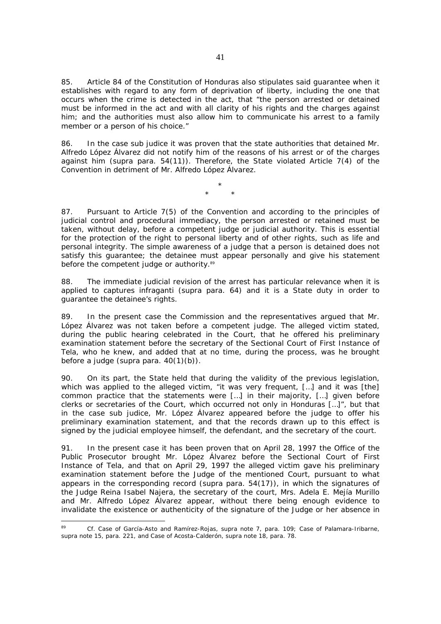85. Article 84 of the Constitution of Honduras also stipulates said guarantee when it establishes with regard to any form of deprivation of liberty, including the one that occurs when the crime is detected in the act, that "the person arrested or detained must be informed in the act and with all clarity of his rights and the charges against him; and the authorities must also allow him to communicate his arrest to a family member or a person of his choice."

86. In the case *sub judice* it was proven that the state authorities that detained Mr. Alfredo López Álvarez did not notify him of the reasons of his arrest or of the charges against him (*supra* para. 54(11)). Therefore, the State violated Article 7(4) of the Convention in detriment of Mr. Alfredo López Álvarez.

> \* \* \*

87. Pursuant to Article 7(5) of the Convention and according to the principles of judicial control and procedural immediacy, the person arrested or retained must be taken, without delay, before a competent judge or judicial authority. This is essential for the protection of the right to personal liberty and of other rights, such as life and personal integrity. The simple awareness of a judge that a person is detained does not satisfy this guarantee; the detainee must appear personally and give his statement before the competent judge or authority.<sup>89</sup>

88. The immediate judicial revision of the arrest has particular relevance when it is applied to captures *infraganti* (*supra* para. 64) and it is a State duty in order to guarantee the detainee's rights.

89. In the present case the Commission and the representatives argued that Mr. López Álvarez was not taken before a competent judge. The alleged victim stated, during the public hearing celebrated in the Court, that he offered his preliminary examination statement before the secretary of the Sectional Court of First Instance of Tela, who he knew, and added that at no time, during the process, was he brought before a judge (*supra* para. 40(1)(b)).

90. On its part, the State held that during the validity of the previous legislation, which was applied to the alleged victim, "it was very frequent, [...] and it was [the] common practice that the statements were […] in their majority, […] given before clerks or secretaries of the Court, which occurred not only in Honduras […]", but that in the case *sub judice,* Mr. López Álvarez appeared before the judge to offer his preliminary examination statement, and that the records drawn up to this effect is signed by the judicial employee himself, the defendant, and the secretary of the court.

91. In the present case it has been proven that on April 28, 1997 the Office of the Public Prosecutor brought Mr. López Álvarez before the Sectional Court of First Instance of Tela, and that on April 29, 1997 the alleged victim gave his preliminary examination statement before the Judge of the mentioned Court, pursuant to what appears in the corresponding record (*supra* para. 54(17)), in which the signatures of the Judge Reina Isabel Najera, the secretary of the court, Mrs. Adela E. Mejía Murillo and Mr. Alfredo López Álvarez appear, without there being enough evidence to invalidate the existence or authenticity of the signature of the Judge or her absence in

-

<sup>89</sup> *Cf. Case of García-Asto and Ramírez-Rojas, supra note* 7, para. 109; *Case of Palamara-Iribarne, supra* note 15, para. 221, and *Case of Acosta-Calderón, supra* note 18, para. 78.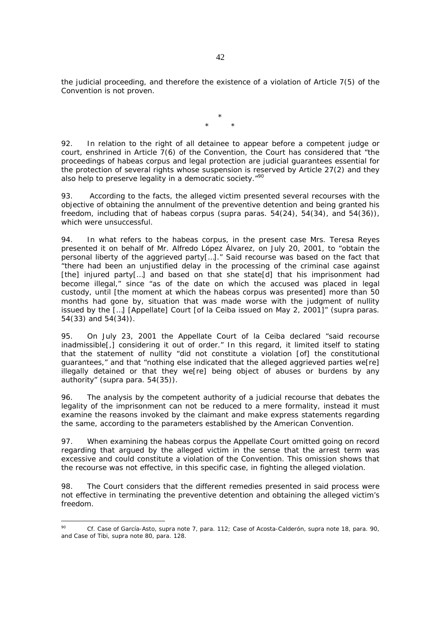the judicial proceeding, and therefore the existence of a violation of Article 7(5) of the Convention is not proven.

> \* \* \*

92. In relation to the right of all detainee to appear before a competent judge or court, enshrined in Article 7(6) of the Convention, the Court has considered that "the proceedings of habeas corpus and legal protection are judicial guarantees essential for the protection of several rights whose suspension is reserved by Article 27(2) and they also help to preserve legality in a democratic society."<sup>90</sup>

93. According to the facts, the alleged victim presented several recourses with the objective of obtaining the annulment of the preventive detention and being granted his freedom, including that of habeas corpus (*supra* paras. 54(24), 54(34), and 54(36)), which were unsuccessful.

94. In what refers to the habeas corpus, in the present case Mrs. Teresa Reyes presented it on behalf of Mr. Alfredo López Álvarez, on July 20, 2001, to "obtain the personal liberty of the aggrieved party[…]." Said recourse was based on the fact that "there had been an unjustified delay in the processing of the criminal case against [the] injured party[...] and based on that she state[d] that his imprisonment had become illegal," since "as of the date on which the accused was placed in legal custody, until [the moment at which the *habeas corpus* was presented] more than 50 months had gone by, situation that was made worse with the judgment of nullity issued by the […] [Appellate] Court [of la Ceiba issued on May 2, 2001]" (*supra* paras. 54(33) and 54(34)).

95. On July 23, 2001 the Appellate Court of la Ceiba declared "said recourse inadmissible[,] considering it out of order." In this regard, it limited itself to stating that the statement of nullity "did not constitute a violation [of] the constitutional guarantees," and that "nothing else indicated that the alleged aggrieved parties we[re] illegally detained or that they we[re] being object of abuses or burdens by any authority" (*supra* para. 54(35)).

96. The analysis by the competent authority of a judicial recourse that debates the legality of the imprisonment can not be reduced to a mere formality, instead it must examine the reasons invoked by the claimant and make express statements regarding the same, according to the parameters established by the American Convention.

97. When examining the habeas corpus the Appellate Court omitted going on record regarding that argued by the alleged victim in the sense that the arrest term was excessive and could constitute a violation of the Convention. This omission shows that the recourse was not effective, in this specific case, in fighting the alleged violation.

98. The Court considers that the different remedies presented in said process were not effective in terminating the preventive detention and obtaining the alleged victim's freedom.

 $\circ$ <sup>90</sup> *Cf. Case of García-Asto, supra* note 7, para. 112; *Case of Acosta-Calderón, supra* note 18, para. 90, and *Case of Tibi, supra* note 80, para. 128.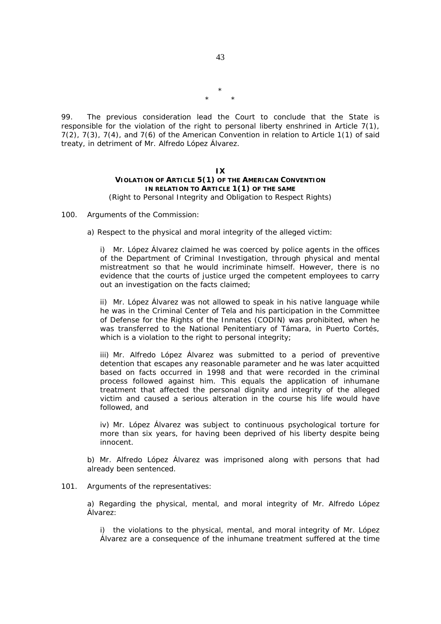\* \* \*

99. The previous consideration lead the Court to conclude that the State is responsible for the violation of the right to personal liberty enshrined in Article 7(1), 7(2), 7(3), 7(4), and 7(6) of the American Convention in relation to Article 1(1) of said treaty, in detriment of Mr. Alfredo López Álvarez.

#### **IX**

# **VIOLATION OF ARTICLE 5(1) OF THE AMERICAN CONVENTION IN RELATION TO ARTICLE 1(1) OF THE SAME** *(Right to Personal Integrity and Obligation to Respect Rights)*

### 100*. Arguments of the Commission:*

a) Respect to the physical and moral integrity of the alleged victim:

i) Mr. López Álvarez claimed he was coerced by police agents in the offices of the Department of Criminal Investigation, through physical and mental mistreatment so that he would incriminate himself. However, there is no evidence that the courts of justice urged the competent employees to carry out an investigation on the facts claimed;

ii) Mr. López Álvarez was not allowed to speak in his native language while he was in the Criminal Center of Tela and his participation in the Committee of Defense for the Rights of the Inmates (CODIN) was prohibited, when he was transferred to the National Penitentiary of Támara, in Puerto Cortés, which is a violation to the right to personal integrity;

iii) Mr. Alfredo López Álvarez was submitted to a period of preventive detention that escapes any reasonable parameter and he was later acquitted based on facts occurred in 1998 and that were recorded in the criminal process followed against him. This equals the application of inhumane treatment that affected the personal dignity and integrity of the alleged victim and caused a serious alteration in the course his life would have followed, and

iv) Mr. López Álvarez was subject to continuous psychological torture for more than six years, for having been deprived of his liberty despite being innocent.

b) Mr. Alfredo López Álvarez was imprisoned along with persons that had already been sentenced.

#### 101*. Arguments of the representatives:*

a) Regarding the physical, mental, and moral integrity of Mr. Alfredo López Álvarez:

i) the violations to the physical, mental, and moral integrity of Mr. López Álvarez are a consequence of the inhumane treatment suffered at the time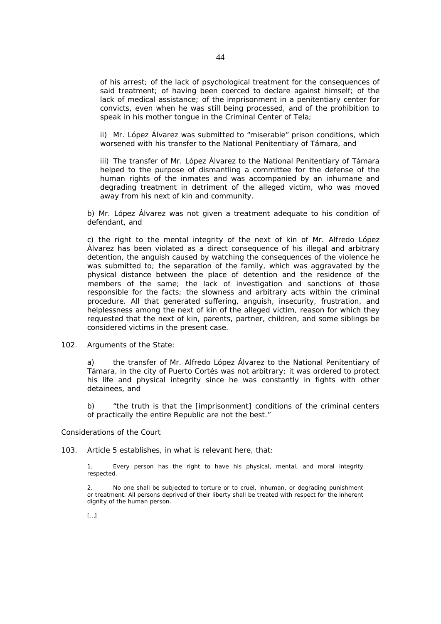of his arrest; of the lack of psychological treatment for the consequences of said treatment; of having been coerced to declare against himself; of the lack of medical assistance; of the imprisonment in a penitentiary center for convicts, even when he was still being processed, and of the prohibition to speak in his mother tongue in the Criminal Center of Tela;

ii) Mr. López Álvarez was submitted to "miserable" prison conditions, which worsened with his transfer to the National Penitentiary of Támara, and

iii) The transfer of Mr. López Álvarez to the National Penitentiary of Támara helped to the purpose of dismantling a committee for the defense of the human rights of the inmates and was accompanied by an inhumane and degrading treatment in detriment of the alleged victim, who was moved away from his next of kin and community.

b) Mr. López Álvarez was not given a treatment adequate to his condition of defendant, and

c) the right to the mental integrity of the next of kin of Mr. Alfredo López Álvarez has been violated as a direct consequence of his illegal and arbitrary detention, the anguish caused by watching the consequences of the violence he was submitted to; the separation of the family, which was aggravated by the physical distance between the place of detention and the residence of the members of the same; the lack of investigation and sanctions of those responsible for the facts; the slowness and arbitrary acts within the criminal procedure. All that generated suffering, anguish, insecurity, frustration, and helplessness among the next of kin of the alleged victim, reason for which they requested that the next of kin, parents, partner, children, and some siblings be considered victims in the present case.

### 102*. Arguments of the State:*

a) the transfer of Mr. Alfredo López Álvarez to the National Penitentiary of Támara, in the city of Puerto Cortés was not arbitrary; it was ordered to protect his life and physical integrity since he was constantly in fights with other detainees, and

b) "the truth is that the [imprisonment] conditions of the criminal centers of practically the entire Republic are not the best."

#### *Considerations of the Court*

103. Article 5 establishes, in what is relevant here, that:

1. Every person has the right to have his physical, mental, and moral integrity respected.

2. No one shall be subjected to torture or to cruel, inhuman, or degrading punishment or treatment. All persons deprived of their liberty shall be treated with respect for the inherent dignity of the human person.

 $[...]$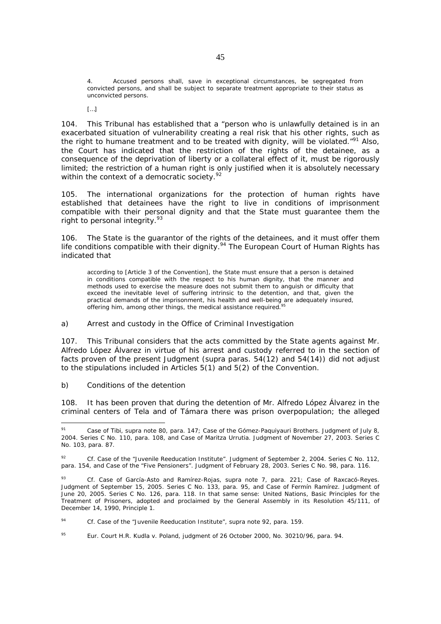4. Accused persons shall, save in exceptional circumstances, be segregated from convicted persons, and shall be subject to separate treatment appropriate to their status as unconvicted persons.

 $[...]$ 

104. This Tribunal has established that a "person who is unlawfully detained is in an exacerbated situation of vulnerability creating a real risk that his other rights, such as the right to humane treatment and to be treated with dignity, will be violated."<sup>91</sup> Also, the Court has indicated that the restriction of the rights of the detainee, as a consequence of the deprivation of liberty or a collateral effect of it, must be rigorously limited; the restriction of a human right is only justified when it is absolutely necessary within the context of a democratic society. $92$ 

105. The international organizations for the protection of human rights have established that detainees have the right to live in conditions of imprisonment compatible with their personal dignity and that the State must guarantee them the right to personal integrity.<sup>93</sup>

106. The State is the guarantor of the rights of the detainees, and it must offer them life conditions compatible with their dignity.<sup>94</sup> The European Court of Human Rights has indicated that

according to [Article 3 of the Convention], the State must ensure that a person is detained in conditions compatible with the respect to his human dignity, that the manner and methods used to exercise the measure does not submit them to anguish or difficulty that exceed the inevitable level of suffering intrinsic to the detention, and that, given the practical demands of the imprisonment, his health and well-being are adequately insured, offering him, among other things, the medical assistance required.

#### *a) Arrest and custody in the Office of Criminal Investigation*

107. This Tribunal considers that the acts committed by the State agents against Mr. Alfredo López Álvarez in virtue of his arrest and custody referred to in the section of facts proven of the present Judgment (*supra* paras. 54(12) and 54(14)) did not adjust to the stipulations included in Articles 5(1) and 5(2) of the Convention.

### *b) Conditions of the detention*

1

108. It has been proven that during the detention of Mr. Alfredo López Álvarez in the criminal centers of Tela and of Támara there was prison overpopulation; the alleged

<sup>91</sup> *Case of Tibi, supra* note 80, para. 147; *Case of the Gómez-Paquiyauri Brothers.* Judgment of July 8, 2004. Series C No. 110, para. 108, and *Case of Maritza Urrutia.* Judgment of November 27, 2003. Series C No. 103, para. 87.

<sup>92</sup> *Cf. Case of the "Juvenile Reeducation Institute".* Judgment of September 2, 2004. Series C No. 112, para. 154, and *Case of the "Five Pensioners"*. Judgment of February 28, 2003. Series C No. 98, para. 116.

<sup>93</sup> *Cf. Case of García-Asto and Ramírez-Rojas, supra* note 7, para. 221; *Case of Raxcacó-Reyes.*  Judgment of September 15, 2005. Series C No. 133, para. 95, and *Case of Fermín Ramírez.* Judgment of June 20, 2005. Series C No. 126, para. 118. In that same sense: United Nations, Basic Principles for the Treatment of Prisoners, adopted and proclaimed by the General Assembly in its Resolution 45/111, of December 14, 1990, Principle 1.

<sup>94</sup> *Cf. Case of the "Juvenile Reeducation Institute", supra* note 92, para. 159.

<sup>95</sup> *Eur. Court H.R. Kudla v. Poland, judgment of 26 October 2000*, No. 30210/96, para. 94.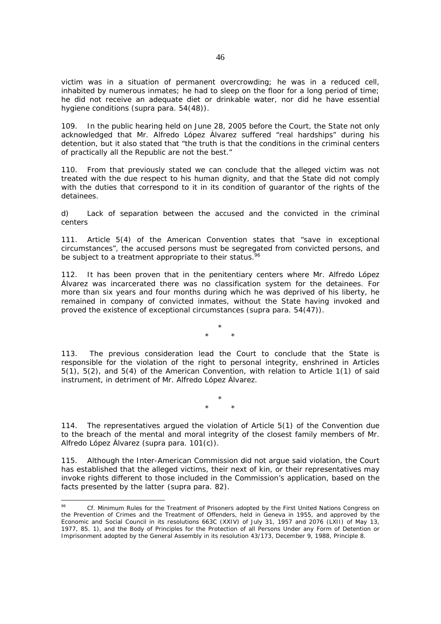victim was in a situation of permanent overcrowding; he was in a reduced cell, inhabited by numerous inmates; he had to sleep on the floor for a long period of time; he did not receive an adequate diet or drinkable water, nor did he have essential hygiene conditions (*supra* para. 54(48)).

109. In the public hearing held on June 28, 2005 before the Court, the State not only acknowledged that Mr. Alfredo López Álvarez suffered "real hardships" during his detention, but it also stated that "the truth is that the conditions in the criminal centers of practically all the Republic are not the best."

110. From that previously stated we can conclude that the alleged victim was not treated with the due respect to his human dignity, and that the State did not comply with the duties that correspond to it in its condition of guarantor of the rights of the detainees.

*d) Lack of separation between the accused and the convicted in the criminal centers* 

111. Article 5(4) of the American Convention states that "save in exceptional circumstances", the accused persons must be segregated from convicted persons, and be subject to a treatment appropriate to their status.<sup>96</sup>

112. It has been proven that in the penitentiary centers where Mr. Alfredo López Álvarez was incarcerated there was no classification system for the detainees. For more than six years and four months during which he was deprived of his liberty, he remained in company of convicted inmates, without the State having invoked and proved the existence of exceptional circumstances (*supra* para. 54(47)).

> \* \* \*

113. The previous consideration lead the Court to conclude that the State is responsible for the violation of the right to personal integrity, enshrined in Articles 5(1), 5(2), and 5(4) of the American Convention, with relation to Article 1(1) of said instrument, in detriment of Mr. Alfredo López Álvarez.

> \* \* \*

114. The representatives argued the violation of Article 5(1) of the Convention due to the breach of the mental and moral integrity of the closest family members of Mr. Alfredo López Álvarez (*supra* para. 101(c)).

115. Although the Inter-American Commission did not argue said violation, the Court has established that the alleged victims, their next of kin, or their representatives may invoke rights different to those included in the Commission's application, based on the facts presented by the latter (*supra* para. 82).

 $96$ Cf. Minimum Rules for the Treatment of Prisoners adopted by the First United Nations Congress on the Prevention of Crimes and the Treatment of Offenders, held in Geneva in 1955, and approved by the Economic and Social Council in its resolutions 663C (XXIV) of July 31, 1957 and 2076 (LXII) of May 13, 1977, 85. 1), and the Body of Principles for the Protection of all Persons Under any Form of Detention or Imprisonment adopted by the General Assembly in its resolution 43/173, December 9, 1988, Principle 8.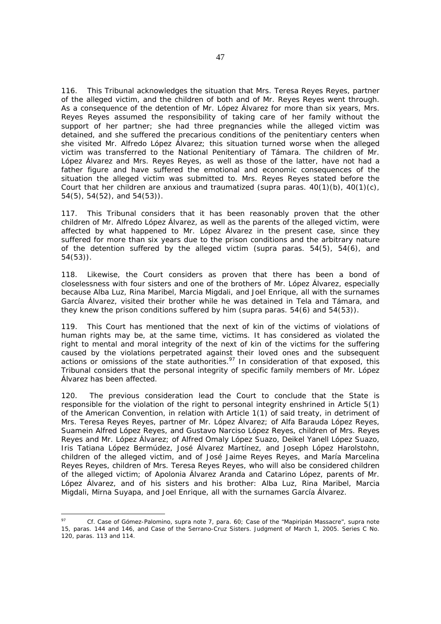116. This Tribunal acknowledges the situation that Mrs. Teresa Reyes Reyes, partner of the alleged victim, and the children of both and of Mr. Reyes Reyes went through. As a consequence of the detention of Mr. López Álvarez for more than six years, Mrs. Reyes Reyes assumed the responsibility of taking care of her family without the support of her partner; she had three pregnancies while the alleged victim was detained, and she suffered the precarious conditions of the penitentiary centers when she visited Mr. Alfredo López Álvarez; this situation turned worse when the alleged victim was transferred to the National Penitentiary of Támara. The children of Mr. López Álvarez and Mrs. Reyes Reyes, as well as those of the latter, have not had a father figure and have suffered the emotional and economic consequences of the situation the alleged victim was submitted to. Mrs. Reyes Reyes stated before the Court that her children are anxious and traumatized (*supra* paras. 40(1)(b), 40(1)(c), 54(5), 54(52), and 54(53)).

117. This Tribunal considers that it has been reasonably proven that the other children of Mr. Alfredo López Álvarez, as well as the parents of the alleged victim, were affected by what happened to Mr. López Álvarez in the present case, since they suffered for more than six years due to the prison conditions and the arbitrary nature of the detention suffered by the alleged victim (*supra* paras. 54(5), 54(6), and 54(53)).

118. Likewise, the Court considers as proven that there has been a bond of closelessness with four sisters and one of the brothers of Mr. López Álvarez, especially because Alba Luz, Rina Maribel, Marcia Migdali, and Joel Enrique, all with the surnames García Álvarez, visited their brother while he was detained in Tela and Támara, and they knew the prison conditions suffered by him (*supra* paras. 54(6) and 54(53)).

119. This Court has mentioned that the next of kin of the victims of violations of human rights may be, at the same time, victims. It has considered as violated the right to mental and moral integrity of the next of kin of the victims for the suffering caused by the violations perpetrated against their loved ones and the subsequent actions or omissions of the state authorities.<sup>97</sup> In consideration of that exposed, this Tribunal considers that the personal integrity of specific family members of Mr. López Álvarez has been affected.

120. The previous consideration lead the Court to conclude that the State is responsible for the violation of the right to personal integrity enshrined in Article 5(1) of the American Convention, in relation with Article 1(1) of said treaty, in detriment of Mrs. Teresa Reyes Reyes, partner of Mr. López Álvarez; of Alfa Barauda López Reyes, Suamein Alfred López Reyes, and Gustavo Narciso López Reyes, children of Mrs. Reyes Reyes and Mr. López Álvarez; of Alfred Omaly López Suazo, Deikel Yanell López Suazo, Iris Tatiana López Bermúdez, José Álvarez Martínez, and Joseph López Harolstohn, children of the alleged victim, and of José Jaime Reyes Reyes, and María Marcelina Reyes Reyes, children of Mrs. Teresa Reyes Reyes, who will also be considered children of the alleged victim; of Apolonia Álvarez Aranda and Catarino López, parents of Mr. López Álvarez, and of his sisters and his brother: Alba Luz, Rina Maribel, Marcia Migdali, Mirna Suyapa, and Joel Enrique, all with the surnames García Álvarez.

1

<sup>97</sup> *Cf. Case of Gómez-Palomino, supra* note 7, para. 60; *Case of the "Mapiripán Massacre"*, *supra* note 15, paras. 144 and 146, and *Case of the Serrano-Cruz Sisters*. Judgment of March 1, 2005. Series C No. 120, paras. 113 and 114.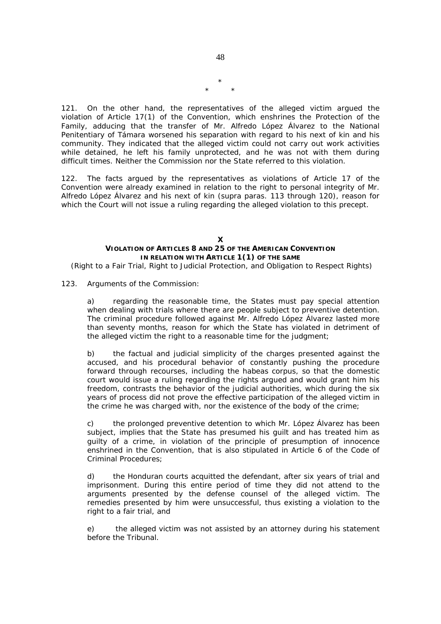\* \* \*

121. On the other hand, the representatives of the alleged victim argued the violation of Article 17(1) of the Convention, which enshrines the Protection of the Family, adducing that the transfer of Mr. Alfredo López Álvarez to the National Penitentiary of Támara worsened his separation with regard to his next of kin and his community. They indicated that the alleged victim could not carry out work activities while detained, he left his family unprotected, and he was not with them during difficult times. Neither the Commission nor the State referred to this violation.

122. The facts argued by the representatives as violations of Article 17 of the Convention were already examined in relation to the right to personal integrity of Mr. Alfredo López Álvarez and his next of kin (*supra* paras. 113 through 120), reason for which the Court will not issue a ruling regarding the alleged violation to this precept.

### **X VIOLATION OF ARTICLES 8 AND 25 OF THE AMERICAN CONVENTION IN RELATION WITH ARTICLE 1(1) OF THE SAME**

 *(Right to a Fair Trial, Right to Judicial Protection, and Obligation to Respect Rights)* 

### 123. *Arguments of the Commission:*

a) regarding the reasonable time, the States must pay special attention when dealing with trials where there are people subject to preventive detention. The criminal procedure followed against Mr. Alfredo López Álvarez lasted more than seventy months, reason for which the State has violated in detriment of the alleged victim the right to a reasonable time for the judgment;

b) the factual and judicial simplicity of the charges presented against the accused, and his procedural behavior of constantly pushing the procedure forward through recourses, including the habeas corpus, so that the domestic court would issue a ruling regarding the rights argued and would grant him his freedom, contrasts the behavior of the judicial authorities, which during the six years of process did not prove the effective participation of the alleged victim in the crime he was charged with, nor the existence of the body of the crime;

c) the prolonged preventive detention to which Mr. López Álvarez has been subject, implies that the State has presumed his guilt and has treated him as guilty of a crime, in violation of the principle of presumption of innocence enshrined in the Convention, that is also stipulated in Article 6 of the Code of Criminal Procedures;

d) the Honduran courts acquitted the defendant, after six years of trial and imprisonment. During this entire period of time they did not attend to the arguments presented by the defense counsel of the alleged victim. The remedies presented by him were unsuccessful, thus existing a violation to the right to a fair trial, and

e) the alleged victim was not assisted by an attorney during his statement before the Tribunal.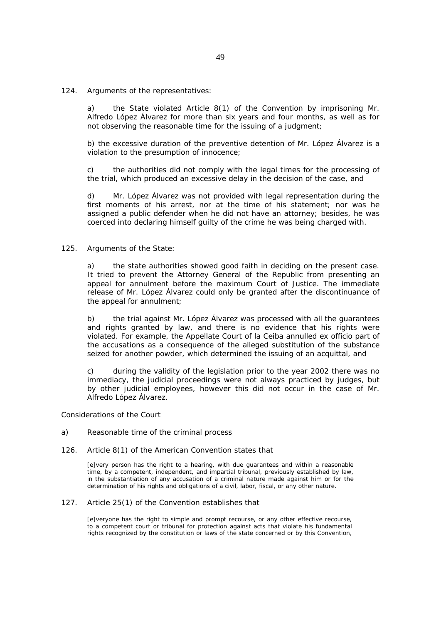#### 124. *Arguments of the representatives:*

a) the State violated Article 8(1) of the Convention by imprisoning Mr. Alfredo López Álvarez for more than six years and four months, as well as for not observing the reasonable time for the issuing of a judgment;

b) the excessive duration of the preventive detention of Mr. López Álvarez is a violation to the presumption of innocence;

c) the authorities did not comply with the legal times for the processing of the trial, which produced an excessive delay in the decision of the case, and

d) Mr. López Álvarez was not provided with legal representation during the first moments of his arrest, nor at the time of his statement; nor was he assigned a public defender when he did not have an attorney; besides, he was coerced into declaring himself guilty of the crime he was being charged with.

### 125. *Arguments of the State:*

a) the state authorities showed good faith in deciding on the present case. It tried to prevent the Attorney General of the Republic from presenting an appeal for annulment before the maximum Court of Justice. The immediate release of Mr. López Álvarez could only be granted after the discontinuance of the appeal for annulment;

b) the trial against Mr. López Álvarez was processed with all the guarantees and rights granted by law, and there is no evidence that his rights were violated. For example, the Appellate Court of la Ceiba annulled ex officio part of the accusations as a consequence of the alleged substitution of the substance seized for another powder, which determined the issuing of an acquittal, and

c) during the validity of the legislation prior to the year 2002 there was no immediacy, the judicial proceedings were not always practiced by judges, but by other judicial employees, however this did not occur in the case of Mr. Alfredo López Álvarez.

*Considerations of the Court* 

#### *a) Reasonable time of the criminal process*

#### 126. Article 8(1) of the American Convention states that

[e]very person has the right to a hearing, with due guarantees and within a reasonable time, by a competent, independent, and impartial tribunal, previously established by law, in the substantiation of any accusation of a criminal nature made against him or for the determination of his rights and obligations of a civil, labor, fiscal, or any other nature.

# 127. Article 25(1) of the Convention establishes that

[e]veryone has the right to simple and prompt recourse, or any other effective recourse, to a competent court or tribunal for protection against acts that violate his fundamental rights recognized by the constitution or laws of the state concerned or by this Convention,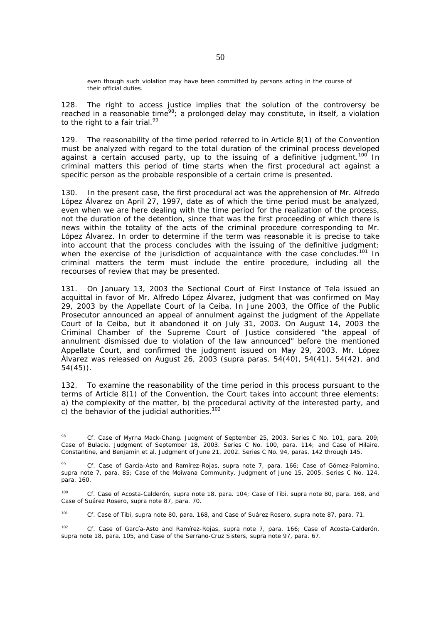even though such violation may have been committed by persons acting in the course of their official duties.

128. The right to access justice implies that the solution of the controversy be reached in a reasonable time<sup>98</sup>; a prolonged delay may constitute, in itself, a violation to the right to a fair trial.<sup>99</sup>

129. The reasonability of the time period referred to in Article 8(1) of the Convention must be analyzed with regard to the total duration of the criminal process developed against a certain accused party, up to the issuing of a definitive judgment.<sup>100</sup> In criminal matters this period of time starts when the first procedural act against a specific person as the probable responsible of a certain crime is presented.

130. In the present case, the first procedural act was the apprehension of Mr. Alfredo López Álvarez on April 27, 1997, date as of which the time period must be analyzed, even when we are here dealing with the time period for the realization of the process, not the duration of the detention, since that was the first proceeding of which there is news within the totality of the acts of the criminal procedure corresponding to Mr. López Álvarez. In order to determine if the term was reasonable it is precise to take into account that the process concludes with the issuing of the definitive judgment; when the exercise of the jurisdiction of acquaintance with the case concludes.<sup>101</sup> In criminal matters the term must include the entire procedure, including all the recourses of review that may be presented.

131. On January 13, 2003 the Sectional Court of First Instance of Tela issued an acquittal in favor of Mr. Alfredo López Álvarez, judgment that was confirmed on May 29, 2003 by the Appellate Court of la Ceiba. In June 2003, the Office of the Public Prosecutor announced an appeal of annulment against the judgment of the Appellate Court of la Ceiba, but it abandoned it on July 31, 2003. On August 14, 2003 the Criminal Chamber of the Supreme Court of Justice considered "the appeal of annulment dismissed due to violation of the law announced" before the mentioned Appellate Court, and confirmed the judgment issued on May 29, 2003. Mr. López Álvarez was released on August 26, 2003 (*supra* paras. 54(40), 54(41), 54(42), and 54(45)).

132. To examine the reasonability of the time period in this process pursuant to the terms of Article 8(1) of the Convention, the Court takes into account three elements: a) the complexity of the matter, b) the procedural activity of the interested party, and c) the behavior of the judicial authorities.<sup>102</sup>

<sup>98</sup> 98 *Cf. Case of Myrna Mack-Chang*. Judgment of September 25, 2003. Series C No. 101, para. 209; *Case of Bulacio.* Judgment of September 18, 2003. Series C No. 100*,* para. 114; and *Case of Hilaire, Constantine, and Benjamin et al.* Judgment of June 21, 2002. Series C No. 94, paras. 142 through 145.

<sup>99</sup> *Cf. Case of García-Asto and Ramírez-Rojas, supra* note 7, para. 166; *Case of Gómez-Palomino, supra* note 7, para. 85; *Case of the Moiwana Community.* Judgment of June 15, 2005. Series C No. 124*,* para. 160.

<sup>100</sup> *Cf. Case of Acosta-Calderón, supra* note 18, para. 104; *Case of Tibi, supra* note 80, para. 168, and *Case of Suárez Rosero*, *supra* note 87, para. 70.

<sup>101</sup> *Cf. Case of Tibi, supra* note 80, para. 168, and *Case of Suárez Rosero, supra* note 87, para. 71.

<sup>102</sup> *Cf. Case of García-Asto and Ramírez-Rojas, supra* note 7, para. 166; *Case of Acosta-Calderón, supra* note 18, para. 105, and *Case of the Serrano-Cruz Sisters, supra* note 97, para. 67.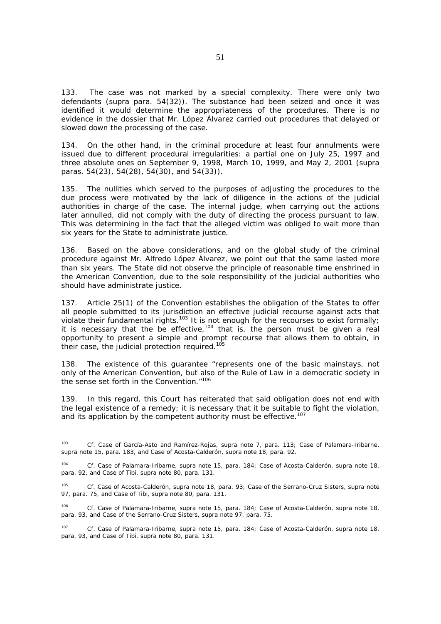133. The case was not marked by a special complexity. There were only two defendants (*supra* para. 54(32)). The substance had been seized and once it was identified it would determine the appropriateness of the procedures. There is no evidence in the dossier that Mr. López Álvarez carried out procedures that delayed or slowed down the processing of the case.

134. On the other hand, in the criminal procedure at least four annulments were issued due to different procedural irregularities: a partial one on July 25, 1997 and three absolute ones on September 9, 1998, March 10, 1999, and May 2, 2001 (*supra*  paras. 54(23), 54(28), 54(30), and 54(33)).

135. The nullities which served to the purposes of adjusting the procedures to the due process were motivated by the lack of diligence in the actions of the judicial authorities in charge of the case. The internal judge, when carrying out the actions later annulled, did not comply with the duty of directing the process pursuant to law. This was determining in the fact that the alleged victim was obliged to wait more than six years for the State to administrate justice.

136. Based on the above considerations, and on the global study of the criminal procedure against Mr. Alfredo López Álvarez, we point out that the same lasted more than six years. The State did not observe the principle of reasonable time enshrined in the American Convention, due to the sole responsibility of the judicial authorities who should have administrate justice.

137. Article 25(1) of the Convention establishes the obligation of the States to offer all people submitted to its jurisdiction an effective judicial recourse against acts that violate their fundamental rights.103 It is not enough for the recourses to exist formally; it is necessary that the be effective,<sup>104</sup> that is, the person must be given a real opportunity to present a simple and prompt recourse that allows them to obtain, in their case, the judicial protection required.<sup>105</sup>

138. The existence of this guarantee "represents one of the basic mainstays, not only of the American Convention, but also of the Rule of Law in a democratic society in the sense set forth in the Convention."<sup>106</sup>

139. In this regard, this Court has reiterated that said obligation does not end with the legal existence of a remedy; it is necessary that it be suitable to fight the violation, and its application by the competent authority must be effective.<sup>107</sup>

<sup>103</sup> <sup>103</sup> *Cf. Case of García-Asto and Ramírez-Rojas, supra* note 7, para. 113; *Case of Palamara-Iribarne, supra* note 15, para. 183, and *Case of Acosta-Calderón, supra* note 18, para. 92.

<sup>104</sup> *Cf. Case of Palamara-Iribarne, supra* note 15, para. 184; *Case of Acosta-Calderón, supra* note 18, para. 92, and *Case of Tibi, supra* note 80, para. 131.

<sup>105</sup> *Cf. Case of Acosta-Calderón, supra* note 18, para. 93; *Case of the Serrano-Cruz Sisters, supra* note 97, para. 75, and *Case of Tibi, supra* note 80, para. 131.

<sup>106</sup> *Cf. Case of Palamara-Iribarne, supra* note 15, para. 184; *Case of Acosta-Calderón, supra* note 18, para. 93, and *Case of the Serrano-Cruz Sisters, supra* note 97, para. 75.

<sup>107</sup> *Cf. Case of Palamara-Iribarne, supra* note 15, para. 184; *Case of Acosta-Calderón*, *supra* note 18, para. 93, and *Case of Tibi, supra* note 80, para. 131.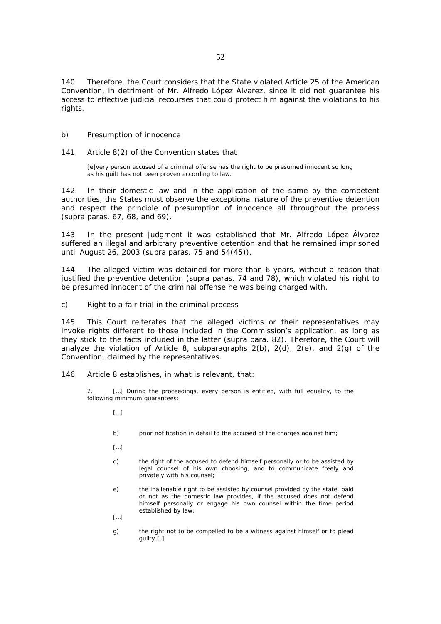140. Therefore, the Court considers that the State violated Article 25 of the American Convention, in detriment of Mr. Alfredo López Álvarez, since it did not guarantee his access to effective judicial recourses that could protect him against the violations to his rights.

### *b) Presumption of innocence*

### 141. Article 8(2) of the Convention states that

[e]very person accused of a criminal offense has the right to be presumed innocent so long as his guilt has not been proven according to law.

142. In their domestic law and in the application of the same by the competent authorities, the States must observe the exceptional nature of the preventive detention and respect the principle of presumption of innocence all throughout the process (*supra* paras. 67, 68, and 69).

143. In the present judgment it was established that Mr. Alfredo López Álvarez suffered an illegal and arbitrary preventive detention and that he remained imprisoned until August 26, 2003 (*supra* paras. 75 and 54(45)).

144. The alleged victim was detained for more than 6 years, without a reason that justified the preventive detention (*supra* paras. 74 and 78), which violated his right to be presumed innocent of the criminal offense he was being charged with.

### *c) Right to a fair trial in the criminal process*

145. This Court reiterates that the alleged victims or their representatives may invoke rights different to those included in the Commission's application, as long as they stick to the facts included in the latter (*supra* para. 82). Therefore, the Court will analyze the violation of Article 8, subparagraphs  $2(b)$ ,  $2(d)$ ,  $2(e)$ , and  $2(g)$  of the Convention, claimed by the representatives.

146. Article 8 establishes, in what is relevant, that:

2. […] During the proceedings, every person is entitled, with full equality, to the following minimum guarantees:

- […]
- b) prior notification in detail to the accused of the charges against him;
- […]
- d) the right of the accused to defend himself personally or to be assisted by legal counsel of his own choosing, and to communicate freely and privately with his counsel;
- e) the inalienable right to be assisted by counsel provided by the state, paid or not as the domestic law provides, if the accused does not defend himself personally or engage his own counsel within the time period established by law;
- […]
- g) the right not to be compelled to be a witness against himself or to plead guilty [.]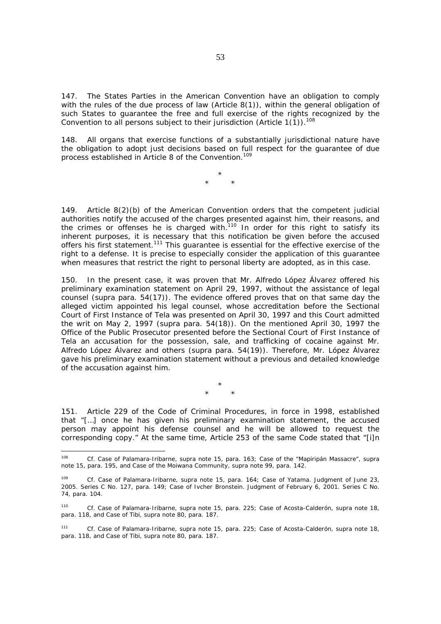147. The States Parties in the American Convention have an obligation to comply with the rules of the due process of law (Article 8(1)), within the general obligation of such States to quarantee the free and full exercise of the rights recognized by the Convention to all persons subject to their jurisdiction (Article  $1(1)$ ).<sup>108</sup>

148. All organs that exercise functions of a substantially jurisdictional nature have the obligation to adopt just decisions based on full respect for the guarantee of due process established in Article 8 of the Convention.<sup>109</sup>

> \* \* \*

149. Article 8(2)(b) of the American Convention orders that the competent judicial authorities notify the accused of the charges presented against him, their reasons, and the crimes or offenses he is charged with.<sup>110</sup> In order for this right to satisfy its inherent purposes, it is necessary that this notification be given before the accused offers his first statement.<sup>111</sup> This guarantee is essential for the effective exercise of the right to a defense. It is precise to especially consider the application of this guarantee when measures that restrict the right to personal liberty are adopted, as in this case.

150. In the present case, it was proven that Mr. Alfredo López Álvarez offered his preliminary examination statement on April 29, 1997, without the assistance of legal counsel (*supra* para. 54(17)). The evidence offered proves that on that same day the alleged victim appointed his legal counsel, whose accreditation before the Sectional Court of First Instance of Tela was presented on April 30, 1997 and this Court admitted the writ on May 2, 1997 (*supra* para. 54(18)). On the mentioned April 30, 1997 the Office of the Public Prosecutor presented before the Sectional Court of First Instance of Tela an accusation for the possession, sale, and trafficking of cocaine against Mr. Alfredo López Álvarez and others (*supra* para. 54(19)). Therefore, Mr. López Álvarez gave his preliminary examination statement without a previous and detailed knowledge of the accusation against him.

> \* \* \*

151. Article 229 of the Code of Criminal Procedures, in force in 1998, established that "[…] once he has given his preliminary examination statement, the accused person may appoint his defense counsel and he will be allowed to request the corresponding copy." At the same time, Article 253 of the same Code stated that "[i]n

<sup>108</sup> <sup>108</sup> *Cf. Case of Palamara-Iribarne, supra* note 15, para. 163*; Case of the "Mapiripán Massacre"*, *supra* note 15, para. 195, and *Case of the Moiwana Community, supra* note 99, para. 142.

<sup>109</sup> *Cf. Case of Palamara-Iribarne, supra* note 15, para. 164; *Case of Yatama.* Judgment of June 23, 2005. Series C No. 127, para. 149; *Case of Ivcher Bronstein*. Judgment of February 6, 2001. Series C No. 74, para. 104.

<sup>110</sup> *Cf. Case of Palamara-Iribarne, supra* note 15, para. 225; *Case of Acosta-Calderón*, *supra* note 18, para. 118, and *Case of Tibi, supra* note 80, para. 187.

<sup>111</sup> *Cf. Case of Palamara-Iribarne, supra note* 15, para. 225; *Case of Acosta-Calderón*, *supra* note 18, para. 118, and *Case of Tibi*, *supra* note 80, para. 187.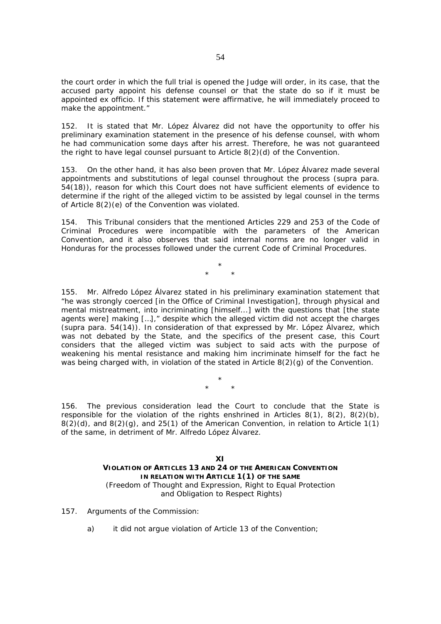the court order in which the full trial is opened the Judge will order, in its case, that the accused party appoint his defense counsel or that the state do so if it must be appointed ex officio. If this statement were affirmative, he will immediately proceed to make the appointment."

152. It is stated that Mr. López Álvarez did not have the opportunity to offer his preliminary examination statement in the presence of his defense counsel, with whom he had communication some days after his arrest. Therefore, he was not guaranteed the right to have legal counsel pursuant to Article 8(2)(d) of the Convention.

153. On the other hand, it has also been proven that Mr. López Álvarez made several appointments and substitutions of legal counsel throughout the process (*supra* para. 54(18)), reason for which this Court does not have sufficient elements of evidence to determine if the right of the alleged victim to be assisted by legal counsel in the terms of Article 8(2)(e) of the Convention was violated.

154. This Tribunal considers that the mentioned Articles 229 and 253 of the Code of Criminal Procedures were incompatible with the parameters of the American Convention, and it also observes that said internal norms are no longer valid in Honduras for the processes followed under the current Code of Criminal Procedures.

> \* \* \*

155. Mr. Alfredo López Álvarez stated in his preliminary examination statement that "he was strongly coerced [in the Office of Criminal Investigation], through physical and mental mistreatment, into incriminating [himself...] with the questions that [the state agents were] making […]," despite which the alleged victim did not accept the charges (*supra* para. 54(14)). In consideration of that expressed by Mr. López Álvarez, which was not debated by the State, and the specifics of the present case, this Court considers that the alleged victim was subject to said acts with the purpose of weakening his mental resistance and making him incriminate himself for the fact he was being charged with, in violation of the stated in Article 8(2)(g) of the Convention.

> \* \* \*

156. The previous consideration lead the Court to conclude that the State is responsible for the violation of the rights enshrined in Articles  $8(1)$ ,  $8(2)$ ,  $8(2)(b)$ ,  $8(2)(d)$ , and  $8(2)(g)$ , and  $25(1)$  of the American Convention, in relation to Article 1(1) of the same, in detriment of Mr. Alfredo López Álvarez.

> **XI VIOLATION OF ARTICLES 13 AND 24 OF THE AMERICAN CONVENTION IN RELATION WITH ARTICLE 1(1) OF THE SAME** *(Freedom of Thought and Expression, Right to Equal Protection and Obligation to Respect Rights)*

- 157*. Arguments of the Commission:* 
	- a) it did not argue violation of Article 13 of the Convention;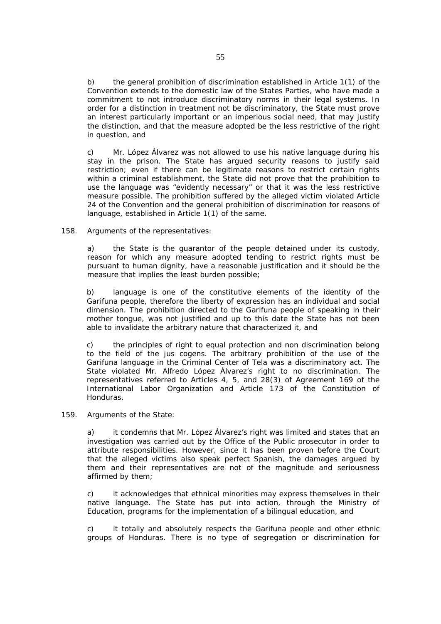b) the general prohibition of discrimination established in Article 1(1) of the Convention extends to the domestic law of the States Parties, who have made a commitment to not introduce discriminatory norms in their legal systems. In order for a distinction in treatment not be discriminatory, the State must prove an interest particularly important or an imperious social need, that may justify the distinction, and that the measure adopted be the less restrictive of the right in question, and

c) Mr. López Álvarez was not allowed to use his native language during his stay in the prison. The State has argued security reasons to justify said restriction; even if there can be legitimate reasons to restrict certain rights within a criminal establishment, the State did not prove that the prohibition to use the language was "evidently necessary" or that it was the less restrictive measure possible. The prohibition suffered by the alleged victim violated Article 24 of the Convention and the general prohibition of discrimination for reasons of language, established in Article 1(1) of the same.

### 158. *Arguments of the representatives:*

a) the State is the guarantor of the people detained under its custody, reason for which any measure adopted tending to restrict rights must be pursuant to human dignity, have a reasonable justification and it should be the measure that implies the least burden possible;

b) language is one of the constitutive elements of the identity of the Garifuna people, therefore the liberty of expression has an individual and social dimension. The prohibition directed to the Garifuna people of speaking in their mother tongue, was not justified and up to this date the State has not been able to invalidate the arbitrary nature that characterized it, and

c) the principles of right to equal protection and non discrimination belong to the field of the *jus cogens.* The arbitrary prohibition of the use of the Garifuna language in the Criminal Center of Tela was a discriminatory act. The State violated Mr. Alfredo López Álvarez's right to no discrimination. The representatives referred to Articles 4, 5, and 28(3) of Agreement 169 of the International Labor Organization and Article 173 of the Constitution of Honduras.

#### 159. *Arguments of the State:*

a) it condemns that Mr. López Álvarez's right was limited and states that an investigation was carried out by the Office of the Public prosecutor in order to attribute responsibilities. However, since it has been proven before the Court that the alleged victims also speak perfect Spanish, the damages argued by them and their representatives are not of the magnitude and seriousness affirmed by them;

c) it acknowledges that ethnical minorities may express themselves in their native language. The State has put into action, through the Ministry of Education, programs for the implementation of a bilingual education, and

c) it totally and absolutely respects the Garifuna people and other ethnic groups of Honduras. There is no type of segregation or discrimination for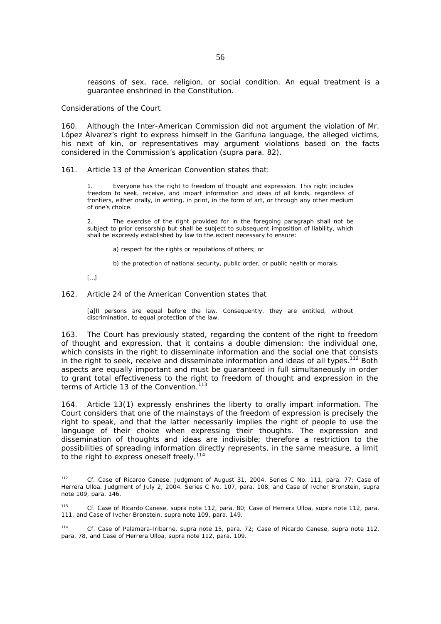reasons of sex, race, religion, or social condition. An equal treatment is a guarantee enshrined in the Constitution.

#### *Considerations of the Court*

160. Although the Inter-American Commission did not argument the violation of Mr. López Álvarez's right to express himself in the Garifuna language, the alleged victims, his next of kin, or representatives may argument violations based on the facts considered in the Commission's application (*supra* para. 82).

### 161. Article 13 of the American Convention states that:

1. Everyone has the right to freedom of thought and expression. This right includes freedom to seek, receive, and impart information and ideas of all kinds, regardless of frontiers, either orally, in writing, in print, in the form of art, or through any other medium of one's choice.

2. The exercise of the right provided for in the foregoing paragraph shall not be subject to prior censorship but shall be subject to subsequent imposition of liability, which shall be expressly established by law to the extent necessary to ensure:

a) respect for the rights or reputations of others; or

b) the protection of national security, public order, or public health or morals.

[…]

#### 162. Article 24 of the American Convention states that

[a]ll persons are equal before the law. Consequently, they are entitled, without discrimination, to equal protection of the law.

163. The Court has previously stated, regarding the content of the right to freedom of thought and expression, that it contains a double dimension: the individual one, which consists in the right to disseminate information and the social one that consists in the right to seek, receive and disseminate information and ideas of all types.<sup>112</sup> Both aspects are equally important and must be guaranteed in full simultaneously in order to grant total effectiveness to the right to freedom of thought and expression in the terms of Article 13 of the Convention.<sup>113</sup>

164. Article 13(1) expressly enshrines the liberty to orally impart information. The Court considers that one of the mainstays of the freedom of expression is precisely the right to speak, and that the latter necessarily implies the right of people to use the language of their choice when expressing their thoughts. The expression and dissemination of thoughts and ideas are indivisible; therefore a restriction to the possibilities of spreading information directly represents, in the same measure, a limit to the right to express oneself freely.<sup>114</sup>

 $112$ 112 *Cf. Case of Ricardo Canese*. Judgment of August 31, 2004. Series C No. 111, para. 77; *Case of Herrera Ulloa*. Judgment of July 2, 2004. Series C No. 107, para. 108, and *Case of Ivcher Bronstein, supra*  note 109, para. 146.

<sup>113</sup> *Cf. Case of Ricardo Canese, supra* note 112, para. 80; *Case of Herrera Ulloa*, *supra* note 112, para. 111, and *Case of Ivcher Bronstein, supra* note 109, para. 149.

<sup>114</sup> *Cf. Case of Palamara-Iribarne, supra* note 15, para. 72; *Case of Ricardo Canese, supra* note 112, para. 78, and *Case of Herrera Ulloa, supra* note 112, para. 109.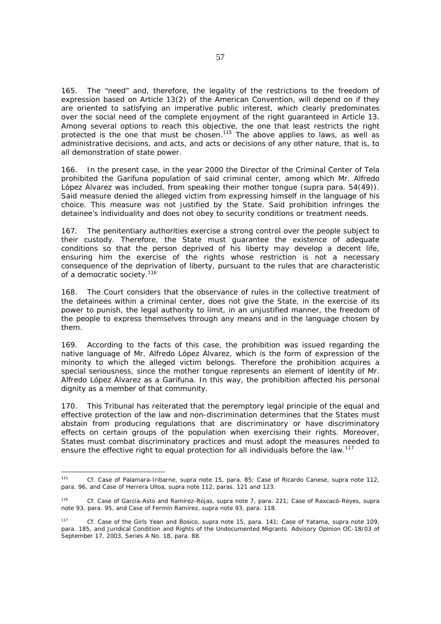165. The "need" and, therefore, the legality of the restrictions to the freedom of expression based on Article 13(2) of the American Convention, will depend on if they are oriented to satisfying an imperative public interest, which clearly predominates over the social need of the complete enjoyment of the right guaranteed in Article 13. Among several options to reach this objective, the one that least restricts the right protected is the one that must be chosen.<sup>115</sup> The above applies to laws, as well as administrative decisions, and acts, and acts or decisions of any other nature, that is, to all demonstration of state power.

166. In the present case, in the year 2000 the Director of the Criminal Center of Tela prohibited the Garifuna population of said criminal center, among which Mr. Alfredo López Álvarez was included, from speaking their mother tongue (*supra* para. 54(49)). Said measure denied the alleged victim from expressing himself in the language of his choice. This measure was not justified by the State. Said prohibition infringes the detainee's individuality and does not obey to security conditions or treatment needs.

167. The penitentiary authorities exercise a strong control over the people subject to their custody. Therefore, the State must guarantee the existence of adequate conditions so that the person deprived of his liberty may develop a decent life, ensuring him the exercise of the rights whose restriction is not a necessary consequence of the deprivation of liberty, pursuant to the rules that are characteristic of a democratic society.<sup>116</sup>

168. The Court considers that the observance of rules in the collective treatment of the detainees within a criminal center, does not give the State, in the exercise of its power to punish, the legal authority to limit, in an unjustified manner, the freedom of the people to express themselves through any means and in the language chosen by them.

169. According to the facts of this case, the prohibition was issued regarding the native language of Mr. Alfredo López Álvarez, which is the form of expression of the minority to which the alleged victim belongs. Therefore the prohibition acquires a special seriousness, since the mother tongue represents an element of identity of Mr. Alfredo López Álvarez as a Garifuna. In this way, the prohibition affected his personal dignity as a member of that community.

170. This Tribunal has reiterated that the peremptory legal principle of the equal and effective protection of the law and non-discrimination determines that the States must abstain from producing regulations that are discriminatory or have discriminatory effects on certain groups of the population when exercising their rights. Moreover, States must combat discriminatory practices and must adopt the measures needed to ensure the effective right to equal protection for all individuals before the law.<sup>117</sup>

-

<sup>115</sup> *Cf. Case of Palamara-Iribarne, supra* note 15, para. 85; *Case of Ricardo Canese*, *supra* note 112, para. 96, and *Case of Herrera Ulloa, supra* note 112, paras. 121 and 123.

<sup>116</sup> *Cf. Case of García-Asto and Ramírez-Rojas, supra* note 7, para. 221; *Case of Raxcacó-Reyes, supra*  note 93, para. 95, and *Case of Fermín Ramírez*, *supra* note 93, para. 118.

<sup>117</sup> *Cf. Case of the Girls Yean and Bosico*, *supra* note 15, para. 141; *Case of Yatama*, *supra* note 109, para. 185, and *Juridical Condition and Rights of the Undocumented Migrants*. Advisory Opinion OC-18/03 of September 17, 2003, Series A No. 18, para. 88.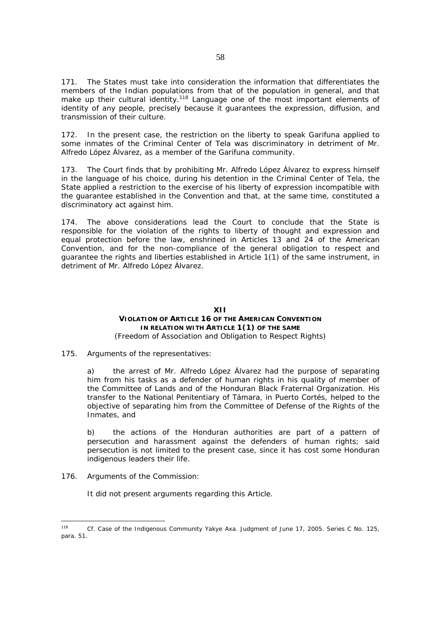171. The States must take into consideration the information that differentiates the members of the Indian populations from that of the population in general, and that make up their cultural identity.<sup>118</sup> Language one of the most important elements of identity of any people, precisely because it guarantees the expression, diffusion, and transmission of their culture.

172. In the present case, the restriction on the liberty to speak Garifuna applied to some inmates of the Criminal Center of Tela was discriminatory in detriment of Mr. Alfredo López Álvarez, as a member of the Garifuna community.

173. The Court finds that by prohibiting Mr. Alfredo López Álvarez to express himself in the language of his choice, during his detention in the Criminal Center of Tela, the State applied a restriction to the exercise of his liberty of expression incompatible with the guarantee established in the Convention and that, at the same time, constituted a discriminatory act against him.

174. The above considerations lead the Court to conclude that the State is responsible for the violation of the rights to liberty of thought and expression and equal protection before the law, enshrined in Articles 13 and 24 of the American Convention, and for the non-compliance of the general obligation to respect and guarantee the rights and liberties established in Article 1(1) of the same instrument, in detriment of Mr. Alfredo López Álvarez.

### **XII VIOLATION OF ARTICLE 16 OF THE AMERICAN CONVENTION IN RELATION WITH ARTICLE 1(1) OF THE SAME** *(Freedom of Association and Obligation to Respect Rights)*

### 175. *Arguments of the representatives:*

a) the arrest of Mr. Alfredo López Álvarez had the purpose of separating him from his tasks as a defender of human rights in his quality of member of the Committee of Lands and of the Honduran Black Fraternal Organization. His transfer to the National Penitentiary of Támara, in Puerto Cortés, helped to the objective of separating him from the Committee of Defense of the Rights of the Inmates, and

b) the actions of the Honduran authorities are part of a pattern of persecution and harassment against the defenders of human rights; said persecution is not limited to the present case, since it has cost some Honduran indigenous leaders their life.

### 176. *Arguments of the Commission:*

It did not present arguments regarding this Article.

<sup>118</sup> <sup>118</sup> *Cf. Case of the Indigenous Community Yakye Axa.* Judgment of June 17, 2005. Series C No. 125*,*  para. 51.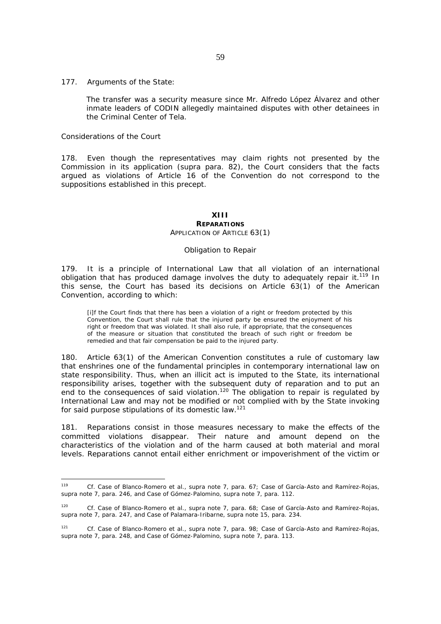#### 177. *Arguments of the State:*

The transfer was a security measure since Mr. Alfredo López Álvarez and other inmate leaders of CODIN allegedly maintained disputes with other detainees in the Criminal Center of Tela.

#### *Considerations of the Court*

178. Even though the representatives may claim rights not presented by the Commission in its application (*supra* para. 82), the Court considers that the facts argued as violations of Article 16 of the Convention do not correspond to the suppositions established in this precept.

# **XIII**

#### **REPARATIONS** *APPLICATION OF ARTICLE 63(1)*

#### *Obligation to Repair*

179. It is a principle of International Law that all violation of an international obligation that has produced damage involves the duty to adequately repair it.<sup>119</sup> In this sense, the Court has based its decisions on Article 63(1) of the American Convention, according to which:

[i]f the Court finds that there has been a violation of a right or freedom protected by this Convention, the Court shall rule that the injured party be ensured the enjoyment of his right or freedom that was violated. It shall also rule, if appropriate, that the consequences of the measure or situation that constituted the breach of such right or freedom be remedied and that fair compensation be paid to the injured party.

180. Article 63(1) of the American Convention constitutes a rule of customary law that enshrines one of the fundamental principles in contemporary international law on state responsibility. Thus, when an illicit act is imputed to the State, its international responsibility arises, together with the subsequent duty of reparation and to put an end to the consequences of said violation.<sup>120</sup> The obligation to repair is regulated by International Law and may not be modified or not complied with by the State invoking for said purpose stipulations of its domestic law.<sup>121</sup>

181. Reparations consist in those measures necessary to make the effects of the committed violations disappear. Their nature and amount depend on the characteristics of the violation and of the harm caused at both material and moral levels. Reparations cannot entail either enrichment or impoverishment of the victim or

 $119$ <sup>119</sup> *Cf. Case of Blanco-Romero et al., supra* note 7, para. 67; *Case of García-Asto and Ramírez-Rojas, supra* note 7, para. 246, and *Case of Gómez-Palomino, supra* note 7, para. 112.

<sup>120</sup> *Cf. Case of Blanco-Romero et al., supra* note 7, para. 68; *Case of García-Asto and Ramírez-Rojas, supra* note 7, para. 247, and *Case of Palamara-Iribarne, supra* note 15, para. 234.

<sup>121</sup> *Cf. Case of Blanco-Romero et al., supra* note 7, para. 98; *Case of García-Asto and Ramírez-Rojas, supra* note 7, para. 248, and *Case of Gómez-Palomino, supra* note 7, para. 113.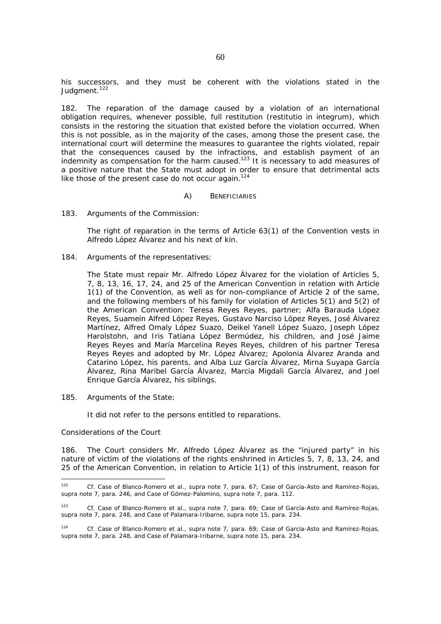his successors, and they must be coherent with the violations stated in the Judgment.<sup>122</sup>

182. The reparation of the damage caused by a violation of an international obligation requires, whenever possible, full restitution (*restitutio in integrum),* which consists in the restoring the situation that existed before the violation occurred. When this is not possible, as in the majority of the cases, among those the present case, the international court will determine the measures to guarantee the rights violated, repair that the consequences caused by the infractions, and establish payment of an indemnity as compensation for the harm caused.<sup>123</sup> It is necessary to add measures of a positive nature that the State must adopt in order to ensure that detrimental acts like those of the present case do not occur again.<sup>124</sup>

#### *A) BENEFICIARIES*

#### 183*. Arguments of the Commission:*

The right of reparation in the terms of Article 63(1) of the Convention vests in Alfredo López Álvarez and his next of kin.

184*. Arguments of the representatives:* 

The State must repair Mr. Alfredo López Álvarez for the violation of Articles 5, 7, 8, 13, 16, 17, 24, and 25 of the American Convention in relation with Article 1(1) of the Convention, as well as for non-compliance of Article 2 of the same, and the following members of his family for violation of Articles 5(1) and 5(2) of the American Convention: Teresa Reyes Reyes, partner; Alfa Barauda López Reyes, Suamein Alfred López Reyes, Gustavo Narciso López Reyes, José Álvarez Martínez, Alfred Omaly López Suazo, Deikel Yanell López Suazo, Joseph López Harolstohn, and Iris Tatiana López Bermúdez, his children, and José Jaime Reyes Reyes and María Marcelina Reyes Reyes, children of his partner Teresa Reyes Reyes and adopted by Mr. López Álvarez; Apolonia Álvarez Aranda and Catarino López, his parents, and Alba Luz García Álvarez, Mirna Suyapa García Álvarez, Rina Maribel García Álvarez, Marcia Migdali García Álvarez, and Joel Enrique García Álvarez, his siblings.

185*. Arguments of the State:* 

It did not refer to the persons entitled to reparations.

#### *Considerations of the Court*

186. The Court considers Mr. Alfredo López Álvarez as the "injured party" in his nature of victim of the violations of the rights enshrined in Articles 5, 7, 8, 13, 24, and 25 of the American Convention, in relation to Article 1(1) of this instrument, reason for

 $122$ 122 *Cf. Case of Blanco-Romero et al., supra* note 7, para. 67; *Case of García-Asto and Ramírez-Rojas, supra* note 7, para. 246, and *Case of Gómez-Palomino, supra* note 7, para. 112.

<sup>123</sup> *Cf. Case of Blanco-Romero et al., supra* note 7, para. 69; *Case of García-Asto and Ramírez-Rojas, supra* note 7, para. 248, and *Case of Palamara-Iribarne, supra* note 15, para. 234.

<sup>124</sup> *Cf. Case of Blanco-Romero et al., supra* note 7, para. 69; *Case of García-Asto and Ramírez-Rojas, supra* note 7, para. 248, and *Case of Palamara-Iribarne, supra* note 15, para. 234.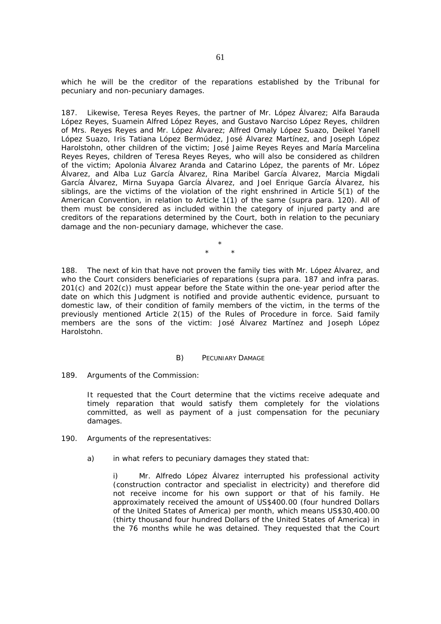which he will be the creditor of the reparations established by the Tribunal for pecuniary and non-pecuniary damages.

187. Likewise, Teresa Reyes Reyes, the partner of Mr. López Álvarez; Alfa Barauda López Reyes, Suamein Alfred López Reyes, and Gustavo Narciso López Reyes, children of Mrs. Reyes Reyes and Mr. López Álvarez; Alfred Omaly López Suazo, Deikel Yanell López Suazo, Iris Tatiana López Bermúdez, José Álvarez Martínez, and Joseph López Harolstohn, other children of the victim; José Jaime Reyes Reyes and María Marcelina Reyes Reyes, children of Teresa Reyes Reyes, who will also be considered as children of the victim; Apolonia Álvarez Aranda and Catarino López, the parents of Mr. López Álvarez, and Alba Luz García Álvarez, Rina Maribel García Álvarez, Marcia Migdali García Álvarez, Mirna Suyapa García Álvarez, and Joel Enrique García Álvarez, his siblings, are the victims of the violation of the right enshrined in Article 5(1) of the American Convention, in relation to Article 1(1) of the same (*supra* para. 120). All of them must be considered as included within the category of injured party and are creditors of the reparations determined by the Court, both in relation to the pecuniary damage and the non-pecuniary damage, whichever the case.

> \* \* \*

188. The next of kin that have not proven the family ties with Mr. López Álvarez, and who the Court considers beneficiaries of reparations (*supra* para. 187 and *infra* paras. 201(c) and 202(c)) must appear before the State within the one-year period after the date on which this Judgment is notified and provide authentic evidence, pursuant to domestic law, of their condition of family members of the victim, in the terms of the previously mentioned Article 2(15) of the Rules of Procedure in force. Said family members are the sons of the victim: José Álvarez Martínez and Joseph López Harolstohn.

### *B) PECUNIARY DAMAGE*

### 189*. Arguments of the Commission:*

It requested that the Court determine that the victims receive adequate and timely reparation that would satisfy them completely for the violations committed, as well as payment of a just compensation for the pecuniary damages.

- 190*. Arguments of the representatives:* 
	- a) in what refers to pecuniary damages they stated that:

i) Mr. Alfredo López Álvarez interrupted his professional activity (construction contractor and specialist in electricity) and therefore did not receive income for his own support or that of his family. He approximately received the amount of US\$400.00 (four hundred Dollars of the United States of America) per month, which means US\$30,400.00 (thirty thousand four hundred Dollars of the United States of America) in the 76 months while he was detained. They requested that the Court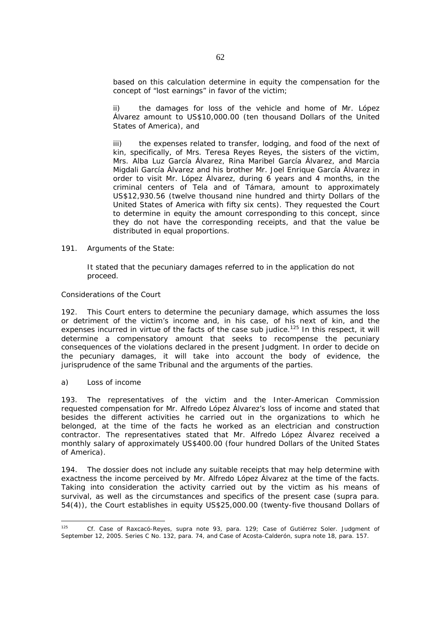based on this calculation determine in equity the compensation for the concept of "lost earnings" in favor of the victim;

ii) the damages for loss of the vehicle and home of Mr. López Álvarez amount to US\$10,000.00 (ten thousand Dollars of the United States of America), and

iii) the expenses related to transfer, lodging, and food of the next of kin, specifically, of Mrs. Teresa Reyes Reyes, the sisters of the victim, Mrs. Alba Luz García Álvarez, Rina Maribel García Álvarez, and Marcia Migdali García Álvarez and his brother Mr. Joel Enrique García Álvarez in order to visit Mr. López Álvarez, during 6 years and 4 months, in the criminal centers of Tela and of Támara, amount to approximately US\$12,930.56 (twelve thousand nine hundred and thirty Dollars of the United States of America with fifty six cents). They requested the Court to determine in equity the amount corresponding to this concept, since they do not have the corresponding receipts, and that the value be distributed in equal proportions.

### 191. *Arguments of the State:*

It stated that the pecuniary damages referred to in the application do not proceed.

# *Considerations of the Court*

192. This Court enters to determine the pecuniary damage, which assumes the loss or detriment of the victim's income and, in his case, of his next of kin, and the expenses incurred in virtue of the facts of the case *sub judice.*125 In this respect, it will determine a compensatory amount that seeks to recompense the pecuniary consequences of the violations declared in the present Judgment. In order to decide on the pecuniary damages, it will take into account the body of evidence, the jurisprudence of the same Tribunal and the arguments of the parties.

### *a) Loss of income*

193. The representatives of the victim and the Inter-American Commission requested compensation for Mr. Alfredo López Álvarez's loss of income and stated that besides the different activities he carried out in the organizations to which he belonged, at the time of the facts he worked as an electrician and construction contractor. The representatives stated that Mr. Alfredo López Álvarez received a monthly salary of approximately US\$400.00 (four hundred Dollars of the United States of America).

194. The dossier does not include any suitable receipts that may help determine with exactness the income perceived by Mr. Alfredo López Álvarez at the time of the facts. Taking into consideration the activity carried out by the victim as his means of survival, as well as the circumstances and specifics of the present case (*supra* para. 54(4)), the Court establishes in equity US\$25,000.00 (twenty-five thousand Dollars of

<sup>125</sup> 125 *Cf. Case of Raxcacó-Reyes, supra* note 93, para. 129; *Case of Gutiérrez Soler.* Judgment of September 12, 2005. Series C No. 132, para. 74, and *Case of Acosta-Calderón*, *supra* note 18, para. 157.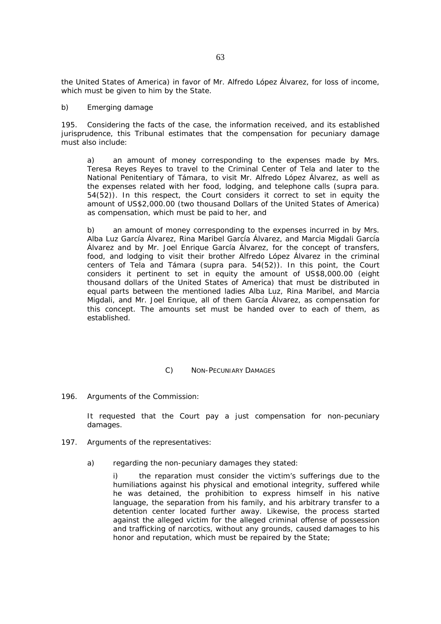the United States of America) in favor of Mr. Alfredo López Álvarez, for loss of income, which must be given to him by the State.

### *b) Emerging damage*

195. Considering the facts of the case, the information received, and its established jurisprudence, this Tribunal estimates that the compensation for pecuniary damage must also include:

a) an amount of money corresponding to the expenses made by Mrs. Teresa Reyes Reyes to travel to the Criminal Center of Tela and later to the National Penitentiary of Támara, to visit Mr. Alfredo López Álvarez, as well as the expenses related with her food, lodging, and telephone calls (*supra* para. 54(52)). In this respect, the Court considers it correct to set in equity the amount of US\$2,000.00 (two thousand Dollars of the United States of America) as compensation, which must be paid to her, and

b) an amount of money corresponding to the expenses incurred in by Mrs. Alba Luz García Álvarez, Rina Maribel García Álvarez, and Marcia Migdali García Álvarez and by Mr. Joel Enrique García Álvarez, for the concept of transfers, food, and lodging to visit their brother Alfredo López Álvarez in the criminal centers of Tela and Támara (*supra* para. 54(52)). In this point, the Court considers it pertinent to set in equity the amount of US\$8,000.00 (eight thousand dollars of the United States of America) that must be distributed in equal parts between the mentioned ladies Alba Luz, Rina Maribel, and Marcia Migdali, and Mr. Joel Enrique, all of them García Álvarez, as compensation for this concept. The amounts set must be handed over to each of them, as established.

### *C) NON-PECUNIARY DAMAGES*

### 196*. Arguments of the Commission:*

It requested that the Court pay a just compensation for non-pecuniary damages.

- 197*. Arguments of the representatives:* 
	- a) regarding the non-pecuniary damages they stated:

i) the reparation must consider the victim's sufferings due to the humiliations against his physical and emotional integrity, suffered while he was detained, the prohibition to express himself in his native language, the separation from his family, and his arbitrary transfer to a detention center located further away. Likewise, the process started against the alleged victim for the alleged criminal offense of possession and trafficking of narcotics, without any grounds, caused damages to his honor and reputation, which must be repaired by the State;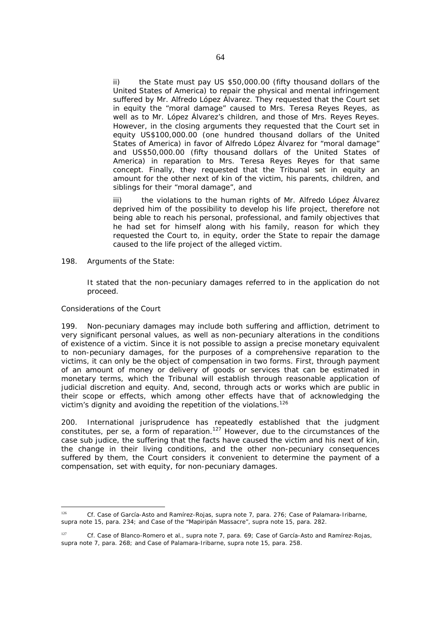ii) the State must pay US \$50,000.00 (fifty thousand dollars of the United States of America) to repair the physical and mental infringement suffered by Mr. Alfredo López Álvarez. They requested that the Court set in equity the "moral damage" caused to Mrs. Teresa Reyes Reyes, as well as to Mr. López Álvarez's children, and those of Mrs. Reyes Reyes. However, in the closing arguments they requested that the Court set in equity US\$100,000.00 (one hundred thousand dollars of the United States of America) in favor of Alfredo López Álvarez for "moral damage" and US\$50,000.00 (fifty thousand dollars of the United States of America) in reparation to Mrs. Teresa Reyes Reyes for that same concept. Finally, they requested that the Tribunal set in equity an amount for the other next of kin of the victim, his parents, children, and siblings for their "moral damage", and

iii) the violations to the human rights of Mr. Alfredo López Álvarez deprived him of the possibility to develop his life project, therefore not being able to reach his personal, professional, and family objectives that he had set for himself along with his family, reason for which they requested the Court to, in equity, order the State to repair the damage caused to the life project of the alleged victim.

198*. Arguments of the State:* 

It stated that the non-pecuniary damages referred to in the application do not proceed.

### *Considerations of the Court*

199. Non-pecuniary damages may include both suffering and affliction, detriment to very significant personal values, as well as non-pecuniary alterations in the conditions of existence of a victim. Since it is not possible to assign a precise monetary equivalent to non-pecuniary damages, for the purposes of a comprehensive reparation to the victims, it can only be the object of compensation in two forms. First, through payment of an amount of money or delivery of goods or services that can be estimated in monetary terms, which the Tribunal will establish through reasonable application of judicial discretion and equity. And, second, through acts or works which are public in their scope or effects, which among other effects have that of acknowledging the victim's dignity and avoiding the repetition of the violations.<sup>126</sup>

200. International jurisprudence has repeatedly established that the judgment constitutes, per se, a form of reparation.<sup>127</sup> However, due to the circumstances of the case *sub judice*, the suffering that the facts have caused the victim and his next of kin, the change in their living conditions, and the other non-pecuniary consequences suffered by them, the Court considers it convenient to determine the payment of a compensation, set with equity, for non-pecuniary damages.

 $126$ <sup>126</sup> *Cf. Case of García-Asto and Ramírez-Rojas, supra* note 7, para. 276; *Case of Palamara-Iribarne, supra* note 15, para. 234; and *Case of the "Mapiripán Massacre", supra* note 15, para. 282.

<sup>127</sup> *Cf. Case of Blanco-Romero et al., supra* note 7, para. 69; *Case of García-Asto and Ramírez-Rojas, supra* note 7, para. 268; and *Case of Palamara-Iribarne, supra* note 15, para. 258.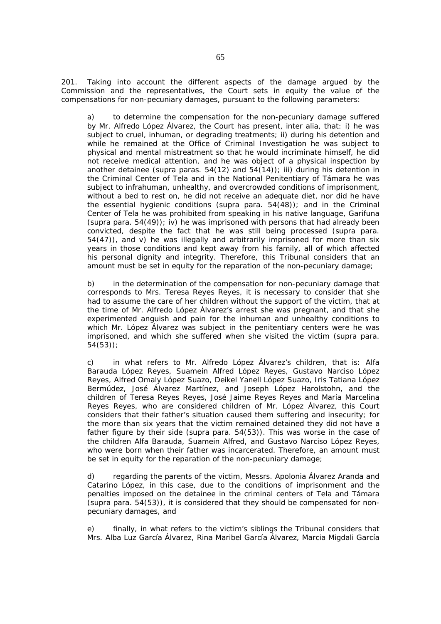201. Taking into account the different aspects of the damage argued by the Commission and the representatives, the Court sets in equity the value of the compensations for non-pecuniary damages, pursuant to the following parameters:

a) to determine the compensation for the non-pecuniary damage suffered by Mr. Alfredo López Álvarez, the Court has present, *inter alia,* that: i) he was subject to cruel, inhuman, or degrading treatments; ii) during his detention and while he remained at the Office of Criminal Investigation he was subject to physical and mental mistreatment so that he would incriminate himself, he did not receive medical attention, and he was object of a physical inspection by another detainee (*supra* paras. 54(12) and 54(14)); iii) during his detention in the Criminal Center of Tela and in the National Penitentiary of Támara he was subject to infrahuman, unhealthy, and overcrowded conditions of imprisonment, without a bed to rest on, he did not receive an adequate diet, nor did he have the essential hygienic conditions (*supra* para. 54(48)); and in the Criminal Center of Tela he was prohibited from speaking in his native language, Garifuna (*supra* para. 54(49)); iv) he was imprisoned with persons that had already been convicted, despite the fact that he was still being processed (*supra* para. 54(47)), and v) he was illegally and arbitrarily imprisoned for more than six years in those conditions and kept away from his family, all of which affected his personal dignity and integrity. Therefore, this Tribunal considers that an amount must be set in equity for the reparation of the non-pecuniary damage;

b) in the determination of the compensation for non-pecuniary damage that corresponds to Mrs. Teresa Reyes Reyes, it is necessary to consider that she had to assume the care of her children without the support of the victim, that at the time of Mr. Alfredo López Álvarez's arrest she was pregnant, and that she experimented anguish and pain for the inhuman and unhealthy conditions to which Mr. López Álvarez was subject in the penitentiary centers were he was imprisoned, and which she suffered when she visited the victim (*supra* para. 54(53));

c) in what refers to Mr. Alfredo López Álvarez's children, that is: Alfa Barauda López Reyes, Suamein Alfred López Reyes, Gustavo Narciso López Reyes, Alfred Omaly López Suazo, Deikel Yanell López Suazo, Iris Tatiana López Bermúdez, José Álvarez Martínez, and Joseph López Harolstohn, and the children of Teresa Reyes Reyes, José Jaime Reyes Reyes and María Marcelina Reyes Reyes, who are considered children of Mr. López Álvarez, this Court considers that their father's situation caused them suffering and insecurity; for the more than six years that the victim remained detained they did not have a father figure by their side (*supra* para. 54(53)). This was worse in the case of the children Alfa Barauda, Suamein Alfred, and Gustavo Narciso López Reyes, who were born when their father was incarcerated. Therefore, an amount must be set in equity for the reparation of the non-pecuniary damage;

d) regarding the parents of the victim, Messrs. Apolonia Álvarez Aranda and Catarino López, in this case, due to the conditions of imprisonment and the penalties imposed on the detainee in the criminal centers of Tela and Támara (*supra* para. 54(53)), it is considered that they should be compensated for nonpecuniary damages, and

e) finally, in what refers to the victim's siblings the Tribunal considers that Mrs. Alba Luz García Álvarez, Rina Maribel García Álvarez, Marcia Migdali García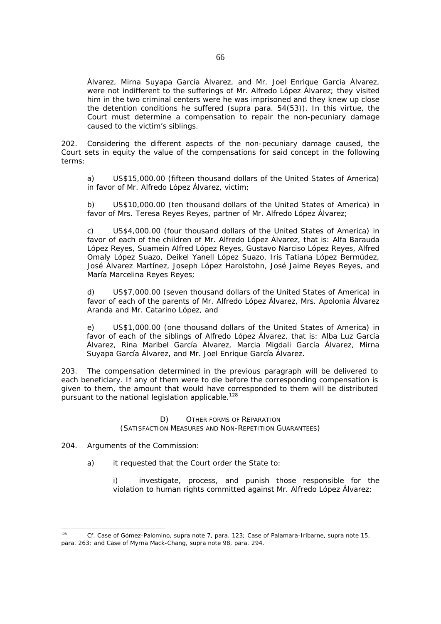Álvarez, Mirna Suyapa García Álvarez, and Mr. Joel Enrique García Álvarez, were not indifferent to the sufferings of Mr. Alfredo López Álvarez; they visited him in the two criminal centers were he was imprisoned and they knew up close the detention conditions he suffered (*supra* para. 54(53)). In this virtue, the Court must determine a compensation to repair the non-pecuniary damage caused to the victim's siblings.

202. Considering the different aspects of the non-pecuniary damage caused, the Court sets in equity the value of the compensations for said concept in the following terms:

a) US\$15,000.00 (fifteen thousand dollars of the United States of America) in favor of Mr. Alfredo López Álvarez, victim;

b) US\$10,000.00 (ten thousand dollars of the United States of America) in favor of Mrs. Teresa Reyes Reyes, partner of Mr. Alfredo López Álvarez;

c) US\$4,000.00 (four thousand dollars of the United States of America) in favor of each of the children of Mr. Alfredo López Álvarez, that is: Alfa Barauda López Reyes, Suamein Alfred López Reyes, Gustavo Narciso López Reyes, Alfred Omaly López Suazo, Deikel Yanell López Suazo, Iris Tatiana López Bermúdez, José Álvarez Martínez, Joseph López Harolstohn, José Jaime Reyes Reyes, and María Marcelina Reves Reves:

d) US\$7,000.00 (seven thousand dollars of the United States of America) in favor of each of the parents of Mr. Alfredo López Álvarez, Mrs. Apolonia Álvarez Aranda and Mr. Catarino López, and

e) US\$1,000.00 (one thousand dollars of the United States of America) in favor of each of the siblings of Alfredo López Álvarez, that is: Alba Luz García Álvarez, Rina Maribel García Álvarez, Marcia Migdali García Álvarez, Mirna Suyapa García Álvarez, and Mr. Joel Enrique García Álvarez.

203. The compensation determined in the previous paragraph will be delivered to each beneficiary. If any of them were to die before the corresponding compensation is given to them, the amount that would have corresponded to them will be distributed pursuant to the national legislation applicable.<sup>128</sup>

# *D) OTHER FORMS OF REPARATION (SATISFACTION MEASURES AND NON-REPETITION GUARANTEES)*

204. *Arguments of the Commission:* 

a) it requested that the Court order the State to:

i) investigate, process, and punish those responsible for the violation to human rights committed against Mr. Alfredo López Álvarez;

 $128$ <sup>128</sup> *Cf. Case of Gómez-Palomino, supra* note 7, para. 123; *Case of Palamara-Iribarne, supra* note 15, para. 263; and *Case of Myrna Mack-Chang, supra* note 98, para. 294.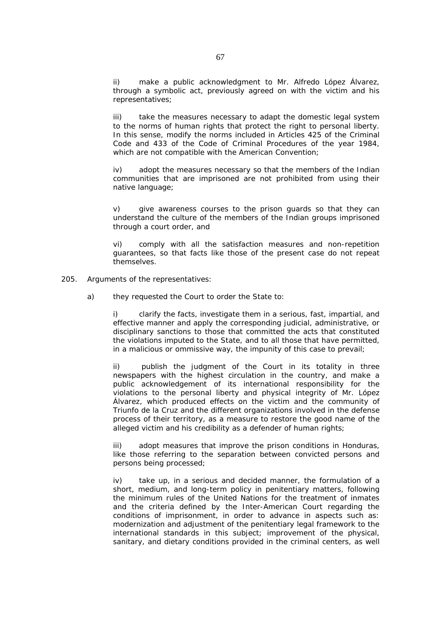ii) make a public acknowledgment to Mr. Alfredo López Álvarez, through a symbolic act, previously agreed on with the victim and his representatives;

iii) take the measures necessary to adapt the domestic legal system to the norms of human rights that protect the right to personal liberty. In this sense, modify the norms included in Articles 425 of the Criminal Code and 433 of the Code of Criminal Procedures of the year 1984, which are not compatible with the American Convention;

iv) adopt the measures necessary so that the members of the Indian communities that are imprisoned are not prohibited from using their native language;

v) give awareness courses to the prison guards so that they can understand the culture of the members of the Indian groups imprisoned through a court order, and

vi) comply with all the satisfaction measures and non-repetition guarantees, so that facts like those of the present case do not repeat themselves.

- 205. *Arguments of the representatives:* 
	- a) they requested the Court to order the State to:

i) clarify the facts, investigate them in a serious, fast, impartial, and effective manner and apply the corresponding judicial, administrative, or disciplinary sanctions to those that committed the acts that constituted the violations imputed to the State, and to all those that have permitted, in a malicious or ommissive way, the impunity of this case to prevail;

ii) publish the judgment of the Court in its totality in three newspapers with the highest circulation in the country, and make a public acknowledgement of its international responsibility for the violations to the personal liberty and physical integrity of Mr. López Álvarez, which produced effects on the victim and the community of Triunfo de la Cruz and the different organizations involved in the defense process of their territory, as a measure to restore the good name of the alleged victim and his credibility as a defender of human rights;

iii) adopt measures that improve the prison conditions in Honduras, like those referring to the separation between convicted persons and persons being processed;

iv) take up, in a serious and decided manner, the formulation of a short, medium, and long-term policy in penitentiary matters, following the minimum rules of the United Nations for the treatment of inmates and the criteria defined by the Inter-American Court regarding the conditions of imprisonment, in order to advance in aspects such as: modernization and adjustment of the penitentiary legal framework to the international standards in this subject; improvement of the physical, sanitary, and dietary conditions provided in the criminal centers, as well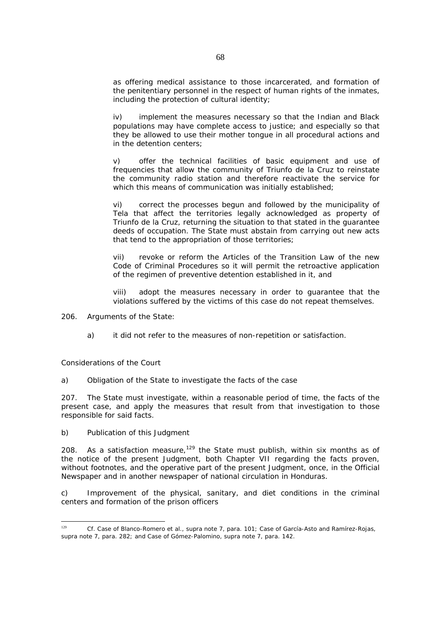as offering medical assistance to those incarcerated, and formation of the penitentiary personnel in the respect of human rights of the inmates, including the protection of cultural identity;

iv) implement the measures necessary so that the Indian and Black populations may have complete access to justice; and especially so that they be allowed to use their mother tongue in all procedural actions and in the detention centers;

v) offer the technical facilities of basic equipment and use of frequencies that allow the community of Triunfo de la Cruz to reinstate the community radio station and therefore reactivate the service for which this means of communication was initially established;

vi) correct the processes begun and followed by the municipality of Tela that affect the territories legally acknowledged as property of Triunfo de la Cruz, returning the situation to that stated in the guarantee deeds of occupation. The State must abstain from carrying out new acts that tend to the appropriation of those territories;

vii) revoke or reform the Articles of the Transition Law of the new Code of Criminal Procedures so it will permit the retroactive application of the regimen of preventive detention established in it, and

viii) adopt the measures necessary in order to guarantee that the violations suffered by the victims of this case do not repeat themselves.

206. *Arguments of the State:* 

a) it did not refer to the measures of non-repetition or satisfaction.

*Considerations of the Court* 

*a) Obligation of the State to investigate the facts of the case*

207. The State must investigate, within a reasonable period of time, the facts of the present case, and apply the measures that result from that investigation to those responsible for said facts.

*b) Publication of this Judgment* 

208. As a satisfaction measure,<sup>129</sup> the State must publish, within six months as of the notice of the present Judgment, both Chapter VII regarding the facts proven, without footnotes, and the operative part of the present Judgment, once, in the Official Newspaper and in another newspaper of national circulation in Honduras.

*c) Improvement of the physical, sanitary, and diet conditions in the criminal centers and formation of the prison officers* 

 $129$ <sup>129</sup> *Cf. Case of Blanco-Romero et al., supra* note 7, para. 101; *Case of García-Asto and Ramírez-Rojas, supra* note 7, para. 282; and *Case of Gómez-Palomino, supra* note 7, para. 142.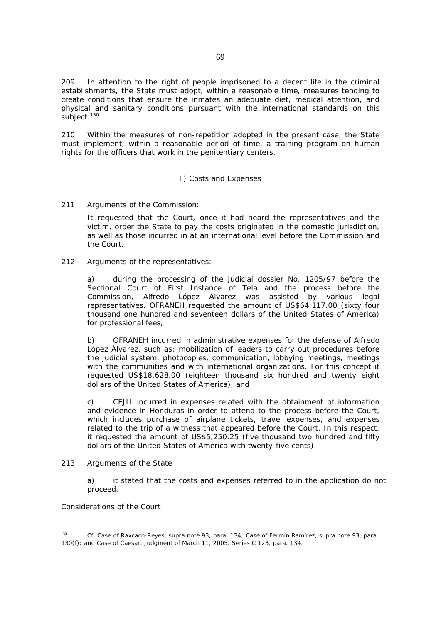209. In attention to the right of people imprisoned to a decent life in the criminal establishments, the State must adopt, within a reasonable time, measures tending to create conditions that ensure the inmates an adequate diet, medical attention, and physical and sanitary conditions pursuant with the international standards on this subject.<sup>130</sup>

210. Within the measures of non-repetition adopted in the present case, the State must implement, within a reasonable period of time, a training program on human rights for the officers that work in the penitentiary centers.

# *F) Costs and Expenses*

# 211*. Arguments of the Commission:*

It requested that the Court, once it had heard the representatives and the victim, order the State to pay the costs originated in the domestic jurisdiction, as well as those incurred in at an international level before the Commission and the Court.

# 212. *Arguments of the representatives:*

a) during the processing of the judicial dossier No. 1205/97 before the Sectional Court of First Instance of Tela and the process before the Commission, Alfredo López Álvarez was assisted by various legal representatives. OFRANEH requested the amount of US\$64,117.00 (sixty four thousand one hundred and seventeen dollars of the United States of America) for professional fees;

b) OFRANEH incurred in administrative expenses for the defense of Alfredo López Álvarez, such as: mobilization of leaders to carry out procedures before the judicial system, photocopies, communication, lobbying meetings, meetings with the communities and with international organizations. For this concept it requested US\$18,628.00 (eighteen thousand six hundred and twenty eight dollars of the United States of America), and

c) CEJIL incurred in expenses related with the obtainment of information and evidence in Honduras in order to attend to the process before the Court, which includes purchase of airplane tickets, travel expenses, and expenses related to the trip of a witness that appeared before the Court. In this respect, it requested the amount of US\$5,250.25 (five thousand two hundred and fifty dollars of the United States of America with twenty-five cents).

### 213. *Arguments of the State*

a) it stated that the costs and expenses referred to in the application do not proceed.

# *Considerations of the Court*

 $130$ <sup>130</sup> *Cf. Case of Raxcacó-Reyes, supra* note 93, para. 134; *Case of Fermín Ramírez, supra* note 93, para. 130(f); and *Case of Caesar.* Judgment of March 11, 2005. Series C 123, para. 134.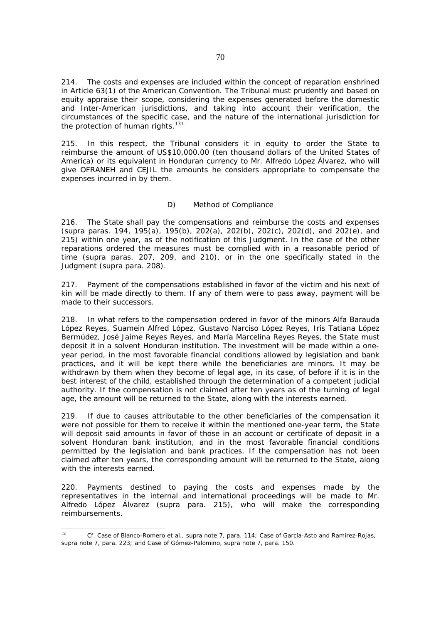214. The costs and expenses are included within the concept of reparation enshrined in Article 63(1) of the American Convention. The Tribunal must prudently and based on equity appraise their scope, considering the expenses generated before the domestic and Inter-American jurisdictions, and taking into account their verification, the circumstances of the specific case, and the nature of the international jurisdiction for the protection of human rights. $131$ 

215. In this respect, the Tribunal considers it in equity to order the State to reimburse the amount of US\$10,000.00 (ten thousand dollars of the United States of America) or its equivalent in Honduran currency to Mr. Alfredo López Álvarez, who will give OFRANEH and CEJIL the amounts he considers appropriate to compensate the expenses incurred in by them.

# *D) Method of Compliance*

216. The State shall pay the compensations and reimburse the costs and expenses (*supra* paras. 194, 195(a), 195(b), 202(a), 202(b), 202(c), 202(d), and 202(e), and 215) within one year, as of the notification of this Judgment. In the case of the other reparations ordered the measures must be complied with in a reasonable period of time (*supra* paras. 207, 209, and 210), or in the one specifically stated in the Judgment (*supra* para. 208).

217. Payment of the compensations established in favor of the victim and his next of kin will be made directly to them. If any of them were to pass away, payment will be made to their successors.

218. In what refers to the compensation ordered in favor of the minors Alfa Barauda López Reyes, Suamein Alfred López, Gustavo Narciso López Reyes, Iris Tatiana López Bermúdez, José Jaime Reyes Reyes, and María Marcelina Reyes Reyes, the State must deposit it in a solvent Honduran institution. The investment will be made within a oneyear period, in the most favorable financial conditions allowed by legislation and bank practices, and it will be kept there while the beneficiaries are minors. It may be withdrawn by them when they become of legal age, in its case, of before if it is in the best interest of the child, established through the determination of a competent judicial authority. If the compensation is not claimed after ten years as of the turning of legal age, the amount will be returned to the State, along with the interests earned.

219. If due to causes attributable to the other beneficiaries of the compensation it were not possible for them to receive it within the mentioned one-year term, the State will deposit said amounts in favor of those in an account or certificate of deposit in a solvent Honduran bank institution, and in the most favorable financial conditions permitted by the legislation and bank practices. If the compensation has not been claimed after ten years, the corresponding amount will be returned to the State, along with the interests earned.

220. Payments destined to paying the costs and expenses made by the representatives in the internal and international proceedings will be made to Mr. Alfredo López Álvarez (*supra* para. 215), who will make the corresponding reimbursements.

 $131$ <sup>131</sup> *Cf. Case of Blanco-Romero et al., supra* note 7, para. 114; *Case of García-Asto and Ramírez-Rojas, supra* note 7, para. 223; and *Case of Gómez-Palomino, supra* note 7, para. 150.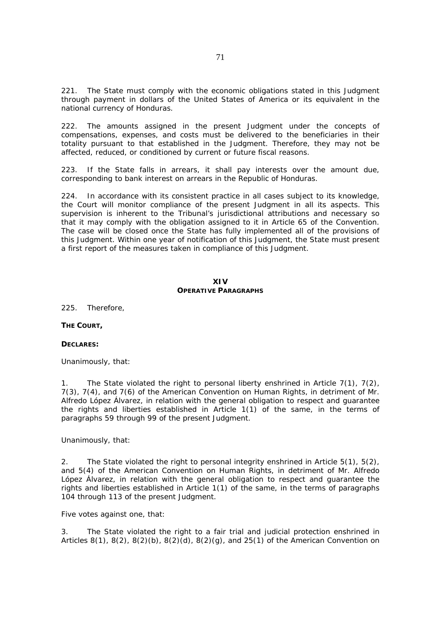221. The State must comply with the economic obligations stated in this Judgment through payment in dollars of the United States of America or its equivalent in the national currency of Honduras.

222. The amounts assigned in the present Judgment under the concepts of compensations, expenses, and costs must be delivered to the beneficiaries in their totality pursuant to that established in the Judgment. Therefore, they may not be affected, reduced, or conditioned by current or future fiscal reasons.

223. If the State falls in arrears, it shall pay interests over the amount due, corresponding to bank interest on arrears in the Republic of Honduras.

224. In accordance with its consistent practice in all cases subject to its knowledge, the Court will monitor compliance of the present Judgment in all its aspects. This supervision is inherent to the Tribunal's jurisdictional attributions and necessary so that it may comply with the obligation assigned to it in Article 65 of the Convention. The case will be closed once the State has fully implemented all of the provisions of this Judgment. Within one year of notification of this Judgment, the State must present a first report of the measures taken in compliance of this Judgment.

### **XIV OPERATIVE PARAGRAPHS**

225. Therefore,

**THE COURT,** 

### **DECLARES:**

Unanimously, that:

1. The State violated the right to personal liberty enshrined in Article  $7(1)$ ,  $7(2)$ , 7(3), 7(4), and 7(6) of the American Convention on Human Rights, in detriment of Mr. Alfredo López Álvarez, in relation with the general obligation to respect and guarantee the rights and liberties established in Article 1(1) of the same, in the terms of paragraphs 59 through 99 of the present Judgment.

Unanimously, that:

2. The State violated the right to personal integrity enshrined in Article 5(1), 5(2), and 5(4) of the American Convention on Human Rights, in detriment of Mr. Alfredo López Álvarez, in relation with the general obligation to respect and guarantee the rights and liberties established in Article 1(1) of the same, in the terms of paragraphs 104 through 113 of the present Judgment.

Five votes against one, that:

3. The State violated the right to a fair trial and judicial protection enshrined in Articles 8(1), 8(2), 8(2)(b), 8(2)(d), 8(2)(g), and 25(1) of the American Convention on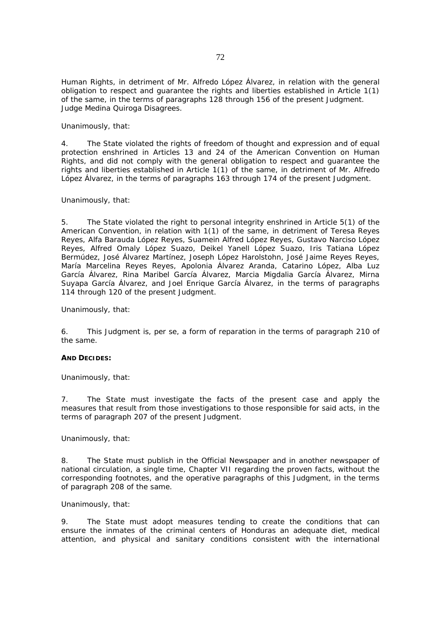Human Rights, in detriment of Mr. Alfredo López Álvarez, in relation with the general obligation to respect and guarantee the rights and liberties established in Article 1(1) of the same, in the terms of paragraphs 128 through 156 of the present Judgment. Judge Medina Quiroga Disagrees.

Unanimously, that:

4. The State violated the rights of freedom of thought and expression and of equal protection enshrined in Articles 13 and 24 of the American Convention on Human Rights, and did not comply with the general obligation to respect and guarantee the rights and liberties established in Article 1(1) of the same, in detriment of Mr. Alfredo López Álvarez, in the terms of paragraphs 163 through 174 of the present Judgment.

### Unanimously, that:

5. The State violated the right to personal integrity enshrined in Article 5(1) of the American Convention, in relation with 1(1) of the same, in detriment of Teresa Reyes Reyes, Alfa Barauda López Reyes, Suamein Alfred López Reyes, Gustavo Narciso López Reyes, Alfred Omaly López Suazo, Deikel Yanell López Suazo, Iris Tatiana López Bermúdez, José Álvarez Martínez, Joseph López Harolstohn, José Jaime Reyes Reyes, María Marcelina Reyes Reyes, Apolonia Álvarez Aranda, Catarino López, Alba Luz García Álvarez, Rina Maribel García Álvarez, Marcia Migdalia García Álvarez, Mirna Suyapa García Álvarez, and Joel Enrique García Álvarez, in the terms of paragraphs 114 through 120 of the present Judgment.

Unanimously, that:

6. This Judgment is, *per se,* a form of reparation in the terms of paragraph 210 of the same.

### **AND DECIDES:**

Unanimously, that:

7. The State must investigate the facts of the present case and apply the measures that result from those investigations to those responsible for said acts, in the terms of paragraph 207 of the present Judgment.

Unanimously, that:

8. The State must publish in the Official Newspaper and in another newspaper of national circulation, a single time, Chapter VII regarding the proven facts, without the corresponding footnotes, and the operative paragraphs of this Judgment, in the terms of paragraph 208 of the same.

### Unanimously, that:

9. The State must adopt measures tending to create the conditions that can ensure the inmates of the criminal centers of Honduras an adequate diet, medical attention, and physical and sanitary conditions consistent with the international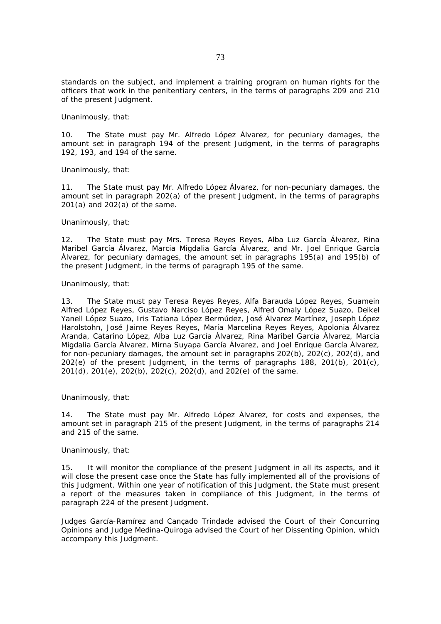standards on the subject, and implement a training program on human rights for the officers that work in the penitentiary centers, in the terms of paragraphs 209 and 210 of the present Judgment.

Unanimously, that:

10. The State must pay Mr. Alfredo López Álvarez, for pecuniary damages, the amount set in paragraph 194 of the present Judgment, in the terms of paragraphs 192, 193, and 194 of the same.

Unanimously, that:

11. The State must pay Mr. Alfredo López Álvarez, for non-pecuniary damages, the amount set in paragraph 202(a) of the present Judgment, in the terms of paragraphs 201(a) and 202(a) of the same.

Unanimously, that:

12. The State must pay Mrs. Teresa Reyes Reyes, Alba Luz García Álvarez, Rina Maribel García Álvarez, Marcia Migdalia García Álvarez, and Mr. Joel Enrique García Álvarez, for pecuniary damages, the amount set in paragraphs 195(a) and 195(b) of the present Judgment, in the terms of paragraph 195 of the same.

Unanimously, that:

13. The State must pay Teresa Reyes Reyes, Alfa Barauda López Reyes, Suamein Alfred López Reyes, Gustavo Narciso López Reyes, Alfred Omaly López Suazo, Deikel Yanell López Suazo, Iris Tatiana López Bermúdez, José Álvarez Martínez, Joseph López Harolstohn, José Jaime Reyes Reyes, María Marcelina Reyes Reyes, Apolonia Álvarez Aranda, Catarino López, Alba Luz García Álvarez, Rina Maribel García Álvarez, Marcia Migdalia García Álvarez, Mirna Suyapa García Álvarez, and Joel Enrique García Álvarez, for non-pecuniary damages, the amount set in paragraphs 202(b), 202(c), 202(d), and 202(e) of the present Judgment, in the terms of paragraphs 188, 201(b), 201(c), 201(d), 201(e), 202(b), 202(c), 202(d), and 202(e) of the same.

Unanimously, that:

14. The State must pay Mr. Alfredo López Álvarez, for costs and expenses, the amount set in paragraph 215 of the present Judgment, in the terms of paragraphs 214 and 215 of the same.

Unanimously, that:

15. It will monitor the compliance of the present Judgment in all its aspects, and it will close the present case once the State has fully implemented all of the provisions of this Judgment. Within one year of notification of this Judgment, the State must present a report of the measures taken in compliance of this Judgment, in the terms of paragraph 224 of the present Judgment.

Judges García-Ramírez and Cançado Trindade advised the Court of their Concurring Opinions and Judge Medina-Quiroga advised the Court of her Dissenting Opinion, which accompany this Judgment.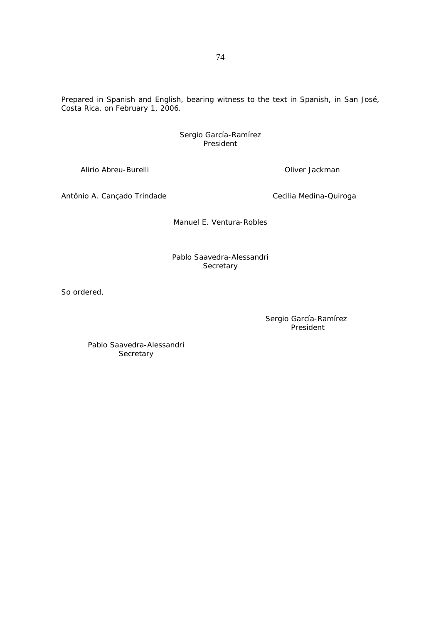Prepared in Spanish and English, bearing witness to the text in Spanish, in San José, Costa Rica, on February 1, 2006.

#### Sergio García-Ramírez President

Alirio Abreu-Burelli **Oliver Jackman** 

Antônio A. Cançado Trindade **Cecilia Medina-Quiroga** 

Manuel E. Ventura-Robles

# Pablo Saavedra-Alessandri **Secretary**

So ordered,

Sergio García-Ramírez President

Pablo Saavedra-Alessandri **Secretary**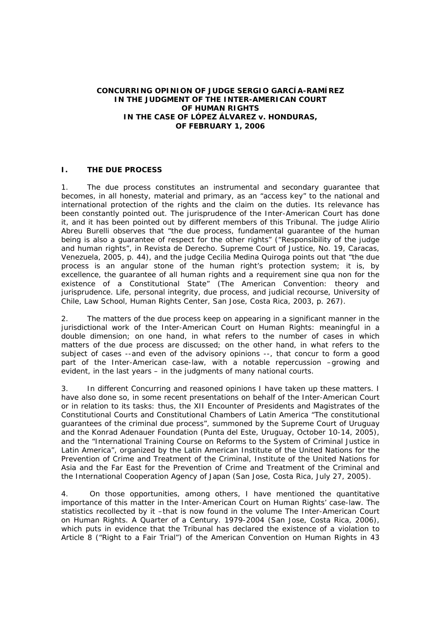#### **CONCURRING OPINION OF JUDGE SERGIO GARCÍA-RAMÍREZ IN THE JUDGMENT OF THE INTER-AMERICAN COURT OF HUMAN RIGHTS IN THE** *CASE OF LÓPEZ ÁLVAREZ v. HONDURAS***, OF FEBRUARY 1, 2006**

## **I. THE DUE PROCESS**

1. The due process constitutes an instrumental and secondary guarantee that becomes, in all honesty, material and primary, as an "access key" to the national and international protection of the rights and the claim on the duties. Its relevance has been constantly pointed out. The jurisprudence of the Inter-American Court has done it, and it has been pointed out by different members of this Tribunal. The judge Alirio Abreu Burelli observes that "the due process, fundamental guarantee of the human being is also a guarantee of respect for the other rights" ("Responsibility of the judge and human rights", in *Revista de Derecho*. Supreme Court of Justice, No. 19, Caracas, Venezuela, 2005, p. 44), and the judge Cecilia Medina Quiroga points out that "the due process is an angular stone of the human right's protection system; it is, by excellence, the guarantee of all human rights and a requirement *sine qua non* for the existence of a Constitutional State" (*The American Convention: theory and jurisprudence. Life, personal integrity, due process, and judicial recourse*, University of Chile, Law School, Human Rights Center, San Jose, Costa Rica, 2003, p. 267).

2. The matters of the due process keep on appearing in a significant manner in the jurisdictional work of the Inter-American Court on Human Rights: meaningful in a double dimension; on one hand, in what refers to the number of cases in which matters of the due process are discussed; on the other hand, in what refers to the subject of cases --and even of the advisory opinions --, that concur to form a good part of the Inter-American case-law, with a notable repercussion –growing and evident, in the last years – in the judgments of many national courts.

3. In different *Concurring and reasoned opinions* I have taken up these matters. I have also done so, in some recent presentations on behalf of the Inter-American Court or in relation to its tasks: thus, the XII Encounter of Presidents and Magistrates of the Constitutional Courts and Constitutional Chambers of Latin America "The constitutional guarantees of the criminal due process", summoned by the Supreme Court of Uruguay and the Konrad Adenauer Foundation (Punta del Este, Uruguay, October 10-14, 2005), and the "International Training Course on Reforms to the System of Criminal Justice in Latin America", organized by the Latin American Institute of the United Nations for the Prevention of Crime and Treatment of the Criminal, Institute of the United Nations for Asia and the Far East for the Prevention of Crime and Treatment of the Criminal and the International Cooperation Agency of Japan (San Jose, Costa Rica, July 27, 2005).

4. On those opportunities, among others, I have mentioned the quantitative importance of this matter in the Inter-American Court on Human Rights' case-law. The statistics recollected by it –that is now found in the volume *The Inter-American Court on Human Rights. A Quarter of a Century. 1979-2004* (San Jose, Costa Rica, 2006), which puts in evidence that the Tribunal has declared the existence of a violation to Article 8 ("Right to a Fair Trial") of the American Convention on Human Rights in 43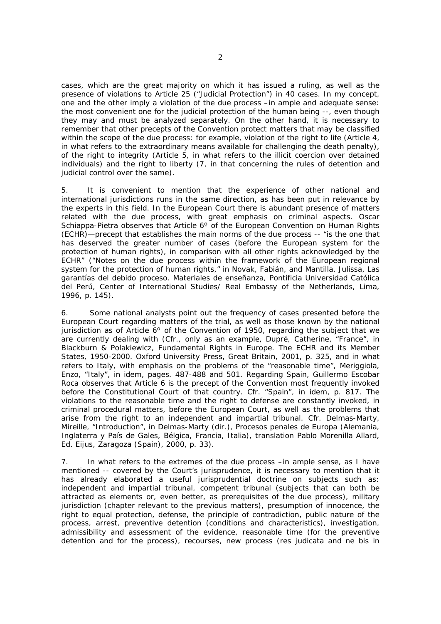cases, which are the great majority on which it has issued a ruling, as well as the presence of violations to Article 25 ("Judicial Protection") in 40 cases. In my concept, one and the other imply a violation of the due process –in ample and adequate sense: the most convenient one for the judicial protection of the human being --, even though they may and must be analyzed separately. On the other hand, it is necessary to remember that other precepts of the Convention protect matters that may be classified within the scope of the due process: for example, violation of the right to life (Article 4, in what refers to the extraordinary means available for challenging the death penalty), of the right to integrity (Article 5, in what refers to the illicit coercion over detained individuals) and the right to liberty (7, in that concerning the rules of detention and judicial control over the same).

5. It is convenient to mention that the experience of other national and international jurisdictions runs in the same direction, as has been put in relevance by the experts in this field. In the European Court there is abundant presence of matters related with the due process, with great emphasis on criminal aspects. Oscar Schiappa-Pietra observes that Article 6° of the European Convention on Human Rights (ECHR)—precept that establishes the main norms of the due process -- "is the one that has deserved the greater number of cases (before the European system for the protection of human rights), in comparison with all other rights acknowledged by the ECHR" ("Notes on the due process within the framework of the European regional system for the protection of human rights," in Novak, Fabián, and Mantilla, Julissa, *Las garantías del debido proceso. Materiales de enseñanza,* Pontificia Universidad Católica del Perú, Center of International Studies/ Real Embassy of the Netherlands, Lima, 1996, p. 145).

6. Some national analysts point out the frequency of cases presented before the European Court regarding matters of the trial, as well as those known by the national jurisdiction as of Article  $6^\circ$  of the Convention of 1950, regarding the subject that we are currently dealing with (Cfr., only as an example, Dupré, Catherine, "France", in Blackburn & Polakiewicz, *Fundamental Rights in Europe. The ECHR and its Member States, 1950-2000.* Oxford University Press, Great Britain, 2001, p. 325, and in what refers to Italy, with emphasis on the problems of the "reasonable time", Meriggiola, Enzo, "Italy", in *idem,* pages. 487-488 and 501. Regarding Spain, Guillermo Escobar Roca observes that Article 6 is the precept of the Convention most frequently invoked before the Constitutional Court of that country. Cfr. "Spain", in *idem*, p. 817. The violations to the reasonable time and the right to defense are constantly invoked, in criminal procedural matters, before the European Court, as well as the problems that arise from the right to an independent and impartial tribunal. Cfr. Delmas-Marty, Mireille, "Introduction", in Delmas-Marty (dir.), *Procesos penales de Europa (Alemania, Inglaterra y País de Gales, Bélgica, Francia, Italia)*, translation Pablo Morenilla Allard, Ed. Eijus, Zaragoza (Spain), 2000, p. 33).

7. In what refers to the extremes of the due process –in ample sense, as I have mentioned -- covered by the Court's jurisprudence, it is necessary to mention that it has already elaborated a useful jurisprudential doctrine on subjects such as: independent and impartial tribunal, competent tribunal (subjects that can both be attracted as elements or, even better, as prerequisites of the due process), military jurisdiction (chapter relevant to the previous matters), presumption of innocence, the right to equal protection, defense, the principle of contradiction, public nature of the process, arrest, preventive detention (conditions and characteristics), investigation, admissibility and assessment of the evidence, reasonable time (for the preventive detention and for the process), recourses, new process (res judicata and *ne bis in*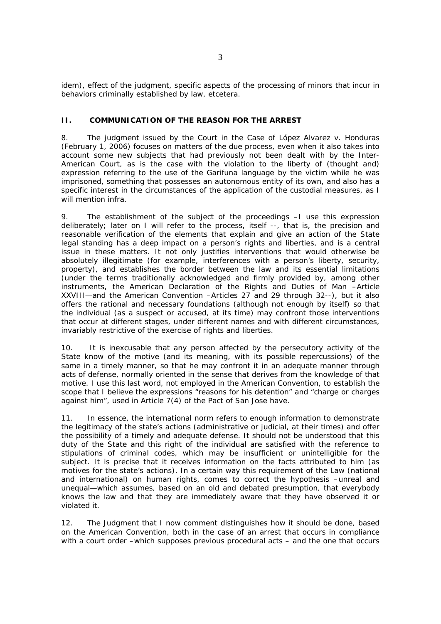*idem*), effect of the judgment, specific aspects of the processing of minors that incur in behaviors criminally established by law, etcetera.

## **II. COMMUNICATION OF THE REASON FOR THE ARREST**

8. The judgment issued by the Court in the *Case of López Alvarez v. Honduras* (February 1, 2006) focuses on matters of the due process, even when it also takes into account some new subjects that had previously not been dealt with by the Inter-American Court, as is the case with the violation to the liberty of (thought and) expression referring to the use of the Garifuna language by the victim while he was imprisoned, something that possesses an autonomous entity of its own, and also has a specific interest in the circumstances of the application of the custodial measures, as I will mention *infra*.

9. The *establishment of the subject of the proceedings* –I use this expression deliberately; later on I will refer to the process, itself --, that is, the precision and reasonable verification of the elements that explain and give an action of the State legal standing has a deep impact on a person's rights and liberties, and is a central issue in these matters. It not only justifies interventions that would otherwise be absolutely illegitimate (for example, interferences with a person's liberty, security, property), and establishes the border between the law and its essential limitations (under the terms traditionally acknowledged and firmly provided by, among other instruments, the American Declaration of the Rights and Duties of Man –Article XXVIII—and the American Convention –Articles 27 and 29 through 32--), but it also offers the rational and necessary foundations (although not enough by itself) so that the individual (as a suspect or accused, at its time) may confront those interventions that occur at different stages, under different names and with different circumstances, invariably restrictive of the exercise of rights and liberties.

10. It is inexcusable that any person affected by the persecutory activity of the State know of the motive (and its meaning, with its possible repercussions) of the same in a timely manner, so that he may confront it in an adequate manner through acts of defense, normally oriented in the sense that derives from the knowledge of that motive. I use this last word, not employed in the American Convention, to establish the scope that I believe the expressions "reasons for his detention" and "charge or charges against him", used in Article 7(4) of the Pact of San Jose have.

11. In essence, the international norm refers to enough information to demonstrate the legitimacy of the state's actions (administrative or judicial, at their times) and offer the possibility of a timely and adequate defense. It should not be understood that this duty of the State and this right of the individual are satisfied with the reference to stipulations of criminal codes, which may be insufficient or unintelligible for the subject. It is precise that it receives information on the facts attributed to him (as motives for the state's actions). In a certain way this requirement of the Law (national and international) on human rights, comes to correct the hypothesis –unreal and unequal—which assumes, based on an old and debated presumption, that everybody knows the law and that they are immediately aware that they have observed it or violated it.

12. The *Judgment* that I now comment distinguishes how it should be done, based on the American Convention, both in the case of an arrest that occurs in compliance with a court order –which supposes previous procedural acts – and the one that occurs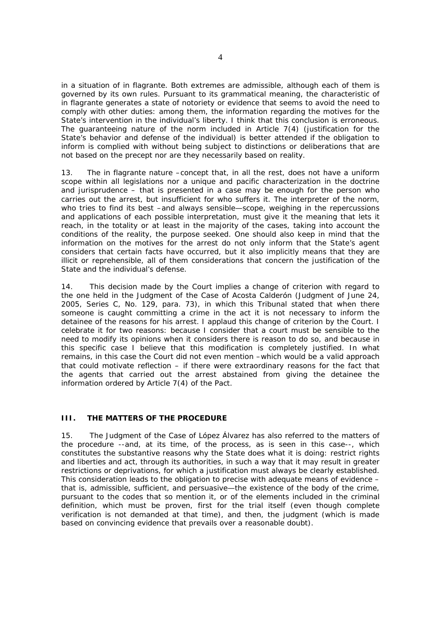in a situation of in flagrante. Both extremes are admissible, although each of them is governed by its own rules. Pursuant to its grammatical meaning, the characteristic of in flagrante generates a state of notoriety or evidence that seems to avoid the need to comply with other duties: among them, the information regarding the motives for the State's intervention in the individual's liberty. I think that this conclusion is erroneous. The guaranteeing nature of the norm included in Article 7(4) (justification for the State's behavior and defense of the individual) is better attended if the obligation to inform is complied with without being subject to distinctions or deliberations that are not based on the precept nor are they necessarily based on reality.

13. The in flagrante nature –concept that, in all the rest, does not have a uniform scope within all legislations nor a unique and pacific characterization in the doctrine and jurisprudence – that is presented in a case may be enough for the person who carries out the arrest, but insufficient for who suffers it. The interpreter of the norm, who tries to find its best –and always sensible—scope, weighing in the repercussions and applications of each possible interpretation, must give it the meaning that lets it reach, in the totality or at least in the majority of the cases, taking into account the conditions of the reality, the purpose seeked. One should also keep in mind that the information on the motives for the arrest do not only inform that the State's agent considers that certain facts have occurred, but it also implicitly means that they are illicit or reprehensible, all of them considerations that concern the justification of the State and the individual's defense.

14. This decision made by the Court implies a change of criterion with regard to the one held in the *Judgment* of the *Case of Acosta Calderón* (Judgment of June 24, 2005, Series C, No. 129, para. 73), in which this Tribunal stated that when there someone is caught committing a crime in the act it is not necessary to inform the detainee of the reasons for his arrest*.* I applaud this change of criterion by the Court. I celebrate it for two reasons: because I consider that a court must be sensible to the need to modify its opinions when it considers there is reason to do so, and because in this specific case I believe that this modification is completely justified. In what remains, in this case the Court did not even mention –which would be a valid approach that could motivate reflection – if there were extraordinary reasons for the fact that the agents that carried out the arrest abstained from giving the detainee the information ordered by Article 7(4) of the Pact.

## **III. THE MATTERS OF THE PROCEDURE**

15. The *Judgment* of the *Case of López Álvarez* has also referred to the *matters of the procedure* --and, at its time, of the process, as is seen in this case--, which constitutes the substantive reasons why the State does what it is doing: restrict rights and liberties and act, through its authorities, in such a way that it may result in greater restrictions or deprivations, for which a justification must always be clearly established. This consideration leads to the obligation to precise with adequate means of evidence – that is, admissible, sufficient, and persuasive—the existence of the body of the crime, pursuant to the codes that so mention it, or of the elements included in the criminal definition, which must be proven, first for the trial itself (even though complete verification is not demanded at that time), and then, the judgment (which is made based on convincing evidence that prevails over a reasonable doubt).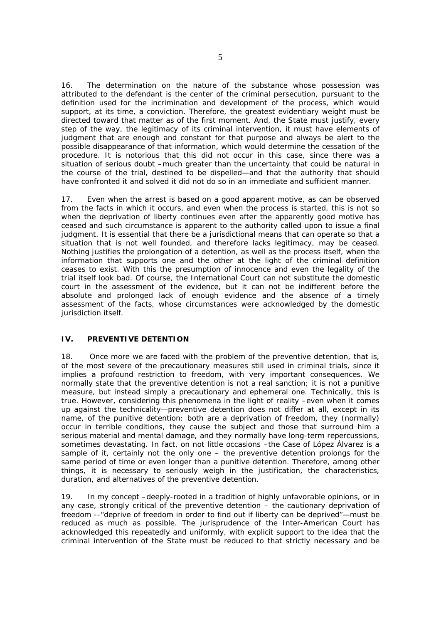16. The determination on the nature of the substance whose possession was attributed to the defendant is the center of the criminal persecution, pursuant to the definition used for the incrimination and development of the process, which would support, at its time, a conviction. Therefore, the greatest evidentiary weight must be directed toward that matter as of the first moment. And, the State must justify, every step of the way, the legitimacy of its criminal intervention, it must have elements of judgment that are enough and constant for that purpose and always be alert to the possible disappearance of that information, which would determine the cessation of the procedure. It is notorious that this did not occur in this case, since there was a situation of serious doubt –much greater than the uncertainty that could be natural in the course of the trial, destined to be dispelled—and that the authority that should have confronted it and solved it did not do so in an immediate and sufficient manner.

17. Even when the arrest is based on a good apparent motive, as can be observed from the facts in which it occurs, and even when the process is started, this is not so when the deprivation of liberty continues even after the apparently good motive has ceased and such circumstance is apparent to the authority called upon to issue a final judgment. It is essential that there be a jurisdictional means that can operate so that a situation that is not well founded, and therefore lacks legitimacy, may be ceased. Nothing justifies the prolongation of a detention, as well as the process itself, when the information that supports one and the other at the light of the criminal definition ceases to exist. With this the presumption of innocence and even the legality of the trial itself look bad. Of course, the International Court can not substitute the domestic court in the assessment of the evidence, but it can not be indifferent before the absolute and prolonged lack of enough evidence and the absence of a timely assessment of the facts, whose circumstances were acknowledged by the domestic jurisdiction itself.

## **IV. PREVENTIVE DETENTION**

18. Once more we are faced with the problem of the *preventive detention,* that is, of the most severe of the precautionary measures still used in criminal trials, since it implies a profound restriction to freedom, with very important consequences. We normally state that the preventive detention is not a real sanction; it is not a punitive measure, but instead simply a precautionary and ephemeral one. Technically, this is true. However, considering this phenomena in the light of reality –even when it comes up against the technicality—preventive detention does not differ at all, except in its name, of the punitive detention: both are a deprivation of freedom, they (normally) occur in terrible conditions, they cause the subject and those that surround him a serious material and mental damage, and they normally have long-term repercussions, sometimes devastating. In fact, on not little occasions –the *Case of López Álvarez* is a sample of it, certainly not the only one – the preventive detention prolongs for the same period of time or even longer than a punitive detention. Therefore, among other things, it is necessary to seriously weigh in the justification, the characteristics, duration, and alternatives of the preventive detention.

19. In my concept –deeply-rooted in a tradition of highly unfavorable opinions, or in any case, strongly critical of the preventive detention – the cautionary deprivation of freedom --"deprive of freedom in order to find out if liberty can be deprived"—must be reduced as much as possible. The jurisprudence of the Inter-American Court has acknowledged this repeatedly and uniformly, with explicit support to the idea that the criminal intervention of the State must be reduced to that strictly necessary and be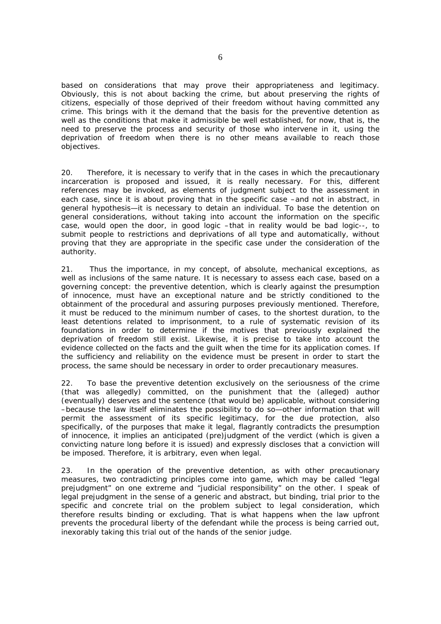based on considerations that may prove their appropriateness and legitimacy. Obviously, this is not about backing the crime, but about preserving the rights of citizens, especially of those deprived of their freedom without having committed any crime. This brings with it the demand that the basis for the preventive detention as well as the conditions that make it admissible be well established, for now, that is, the need to preserve the process and security of those who intervene in it, using the deprivation of freedom when there is no other means available to reach those objectives.

20. Therefore, it is necessary to verify that in the cases in which the precautionary incarceration is proposed and issued, it is really necessary. For this, different references may be invoked, as elements of judgment subject to the assessment in each case, since it is about proving that in the specific case –and not in abstract, in general hypothesis—it is necessary to detain an individual. To base the detention on general considerations, without taking into account the information on the specific case, would open the door, in good logic –that in reality would be bad logic--, to submit people to restrictions and deprivations of all type and automatically, without proving that they are appropriate in the specific case under the consideration of the authority.

21. Thus the importance, in my concept, of absolute, mechanical exceptions, as well as inclusions of the same nature. It is necessary to assess each case, based on a governing concept: the preventive detention, which is clearly against the presumption of innocence, must have an exceptional nature and be strictly conditioned to the obtainment of the procedural and assuring purposes previously mentioned. Therefore, it must be reduced to the minimum number of cases, to the shortest duration, to the least detentions related to imprisonment, to a rule of systematic revision of its foundations in order to determine if the motives that previously explained the deprivation of freedom still exist. Likewise, it is precise to take into account the evidence collected on the facts and the guilt when the time for its application comes. If the sufficiency and reliability on the evidence must be present in order to start the process, the same should be necessary in order to order precautionary measures.

22. To base the preventive detention exclusively on the seriousness of the crime (that was allegedly) committed, on the punishment that the (alleged) author (eventually) deserves and the sentence (that would be) applicable, without considering –because the law itself eliminates the possibility to do so—other information that will permit the assessment of its specific legitimacy, for the due protection, also specifically, of the purposes that make it legal, flagrantly contradicts the presumption of innocence, it implies an anticipated (pre)judgment of the verdict (which is given a convicting nature long before it is issued) and expressly discloses that a conviction will be imposed. Therefore, it is arbitrary, even when legal.

23. In the operation of the preventive detention, as with other precautionary measures, two contradicting principles come into game, which may be called "legal prejudgment" on one extreme and "judicial responsibility" on the other. I speak of legal prejudgment in the sense of a generic and abstract, but binding, trial prior to the specific and concrete trial on the problem subject to legal consideration, which therefore results binding or excluding. That is what happens when the law upfront prevents the procedural liberty of the defendant while the process is being carried out, inexorably taking this trial out of the hands of the senior judge.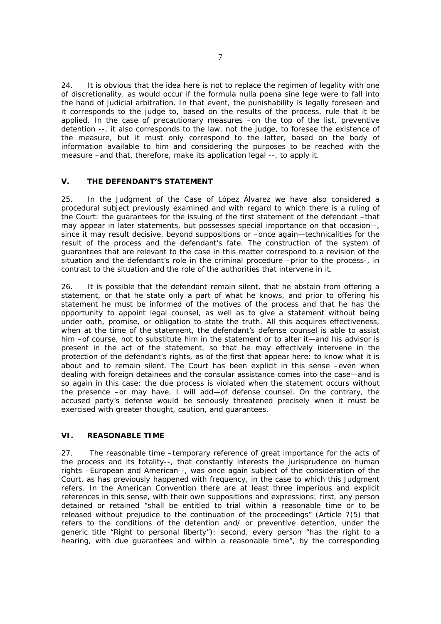24. It is obvious that the idea here is not to replace the regimen of legality with one of discretionality, as would occur if the formula *nulla poena sine lege* were to fall into the hand of judicial arbitration. In that event, the punishability is legally foreseen and it corresponds to the judge to, based on the results of the process, rule that it be applied. In the case of precautionary measures –on the top of the list, preventive detention --, it also corresponds to the law, not the judge, to foresee the existence of the measure, but it must only correspond to the latter, based on the body of information available to him and considering the purposes to be reached with the measure –and that, therefore, make its application legal --, to apply it.

## **V. THE DEFENDANT'S STATEMENT**

25. In the *Judgment* of the *Case of López Álvarez* we have also considered a procedural subject previously examined and with regard to which there is a ruling of the Court: the *guarantees for the issuing of the first statement* of the defendant –that may appear in later statements, but possesses special importance on that occasion--, since it may result decisive, beyond suppositions or –once again—technicalities for the result of the process and the defendant's fate. The construction of the system of guarantees that are relevant to the case in this matter correspond to a revision of the situation and the defendant's role in the criminal procedure –prior to the process-, in contrast to the situation and the role of the authorities that intervene in it.

26. It is possible that the defendant remain silent, that he abstain from offering a statement, or that he state only a part of what he knows, and prior to offering his statement he must be informed of the motives of the process and that he has the opportunity to appoint legal counsel, as well as to give a statement without being under oath, promise, or obligation to state the truth. All this acquires effectiveness, when at the time of the statement, the defendant's defense counsel is able to assist him –of course, not to substitute him in the statement or to alter it—and his advisor is present in the act of the statement, so that he may effectively intervene in the protection of the defendant's rights, as of the first that appear here: to know what it is about and to remain silent. The Court has been explicit in this sense –even when dealing with foreign detainees and the consular assistance comes into the case—and is so again in this case: the due process is violated when the statement occurs without the presence –or may have, I will add—of defense counsel. On the contrary, the accused party's defense would be seriously threatened precisely when it must be exercised with greater thought, caution, and guarantees.

## **VI. REASONABLE TIME**

27. The *reasonable time* –temporary reference of great importance for the acts of the process and its totality--, that constantly interests the jurisprudence on human rights –European and American--, was once again subject of the consideration of the Court, as has previously happened with frequency, in the case to which this *Judgment*  refers. In the American Convention there are at least three imperious and explicit references in this sense, with their own suppositions and expressions: first, any person detained or retained "shall be entitled to trial within a *reasonable time* or to be released without prejudice to the continuation of the proceedings" (Article 7(5) that refers to the conditions of the detention and/ or preventive detention, under the generic title "Right to personal liberty"); second, every person "has the right to a hearing, with due guarantees and within a *reasonable time"*, by the corresponding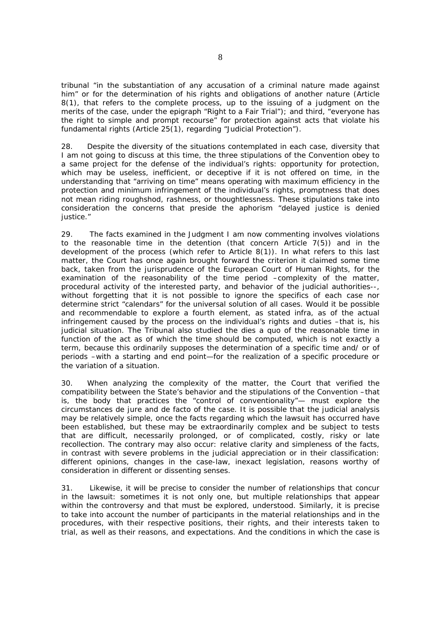tribunal "in the substantiation of any accusation of a criminal nature made against him" or for the determination of his rights and obligations of another nature (Article 8(1), that refers to the complete process, up to the issuing of a judgment on the merits of the case, under the epigraph "Right to a Fair Trial"); and third, "everyone has the right to simple and *prompt* recourse" for protection against acts that violate his fundamental rights (Article 25(1), regarding "Judicial Protection").

28. Despite the diversity of the situations contemplated in each case, diversity that I am not going to discuss at this time, the three stipulations of the Convention obey to a same project for the defense of the individual's rights: opportunity for protection, which may be useless, inefficient, or deceptive if it is not offered on time, in the understanding that "arriving on time" means operating with maximum efficiency in the protection and minimum infringement of the individual's rights, promptness that does not mean riding roughshod, rashness, or thoughtlessness. These stipulations take into consideration the concerns that preside the aphorism "delayed justice is denied justice."

29. The facts examined in the *Judgment* I am now commenting involves violations to the reasonable time in the detention (that concern Article 7(5)) and in the development of the process (which refer to Article 8(1)). In what refers to this last matter, the Court has once again brought forward the criterion it claimed some time back, taken from the jurisprudence of the European Court of Human Rights, for the examination of the reasonability of the time period –complexity of the matter, procedural activity of the interested party, and behavior of the judicial authorities--, without forgetting that it is not possible to ignore the specifics of each case nor determine strict "calendars" for the universal solution of all cases. Would it be possible and recommendable to explore a fourth element, as stated *infra,* as of the *actual infringement caused by the process on the individual's rights and duties –that is, his judicial situation.* The Tribunal also studied the *dies a quo* of the reasonable time in function of the *act as of which the time should be computed,* which is not exactly a term, because this ordinarily supposes the determination of a specific time and/ or of periods –with a starting and end point—for the realization of a specific procedure or the variation of a situation.

30. When analyzing the complexity of the matter, the Court that verified the compatibility between the State's behavior and the stipulations of the Convention –that is, the body that practices the "control of conventionality"— must explore the circumstances *de jure* and *de facto* of the case. It is possible that the judicial analysis may be relatively simple, once the facts regarding which the lawsuit has occurred have been established, but these may be extraordinarily complex and be subject to tests that are difficult, necessarily prolonged, or of complicated, costly, risky or late recollection. The contrary may also occur: relative clarity and simpleness of the facts, in contrast with severe problems in the judicial appreciation or in their classification: different opinions, changes in the case-law, inexact legislation, reasons worthy of consideration in different or dissenting senses.

31. Likewise, it will be precise to consider the number of relationships that concur in the lawsuit: sometimes it is not only one, but multiple relationships that appear within the controversy and that must be explored, understood. Similarly, it is precise to take into account the number of participants in the material relationships and in the procedures, with their respective positions, their rights, and their interests taken to trial, as well as their reasons, and expectations. And the conditions in which the case is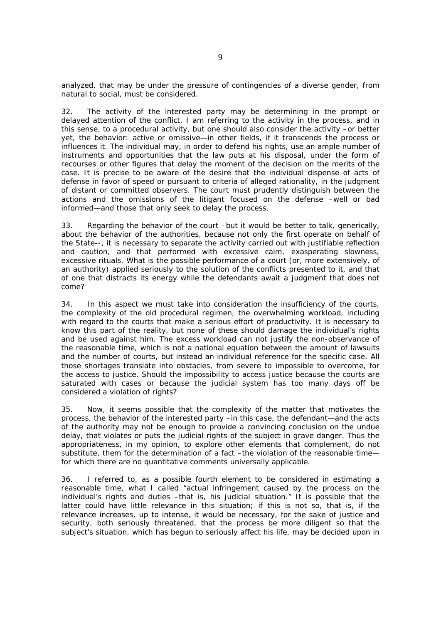analyzed, that may be under the pressure of contingencies of a diverse gender, from natural to social, must be considered.

32. The activity of the interested party may be determining in the prompt or delayed attention of the conflict. I am referring to the activity in the process, and in this sense, to a procedural activity, but one should also consider the activity –or better yet, the behavior: active or omissive—in other fields, if it transcends the process or influences it. The individual may, in order to defend his rights, use an ample number of instruments and opportunities that the law puts at his disposal, under the form of recourses or other figures that delay the moment of the decision on the merits of the case. It is precise to be aware of the desire that the individual dispense of acts of defense in favor of speed or pursuant to criteria of alleged rationality, in the judgment of distant or committed observers. The court must prudently distinguish between the actions and the omissions of the litigant focused on the defense –well or bad informed—and those that only seek to delay the process.

33. Regarding the behavior of the court –but it would be better to talk, generically, about the behavior of the authorities, because not only the first operate on behalf of the State--, it is necessary to separate the activity carried out with justifiable reflection and caution, and that performed with excessive calm, exasperating slowness, excessive rituals. What is the possible performance of a court (or, more extensively, of an authority) applied seriously to the solution of the conflicts presented to it, and that of one that distracts its energy while the defendants await a judgment that does not come?

34. In this aspect we must take into consideration the insufficiency of the courts, the complexity of the old procedural regimen, the overwhelming workload, including with regard to the courts that make a serious effort of productivity. It is necessary to know this part of the reality, but none of these should damage the individual's rights and be used against him. The excess workload can not justify the non-observance of the reasonable time, which is not a national equation between the amount of lawsuits and the number of courts, but instead an individual reference for the specific case. All those shortages translate into obstacles, from severe to impossible to overcome, for the access to justice. Should the impossibility to access justice because the courts are saturated with cases or because the judicial system has too many days off be considered a violation of rights?

35. Now, it seems possible that the complexity of the matter that motivates the process, the behavior of the interested party –in this case, the defendant—and the acts of the authority may not be enough to provide a convincing conclusion on the undue delay, that violates or puts the judicial rights of the subject in grave danger. Thus the appropriateness, in my opinion, to explore other elements that complement, do not substitute, them for the determination of a fact –the violation of the reasonable time for which there are no quantitative comments universally applicable.

36. I referred to, as a possible fourth element to be considered in estimating a reasonable time, what I called "*actual infringement caused by the process on the individual's rights and duties –that is, his judicial situation*." It is possible that the latter could have little relevance in this situation; if this is not so, that is, if the relevance increases, up to intense, it would be necessary, for the sake of justice and security, both seriously threatened, that the process be more diligent so that the subject's situation, which has begun to seriously affect his life, may be decided upon in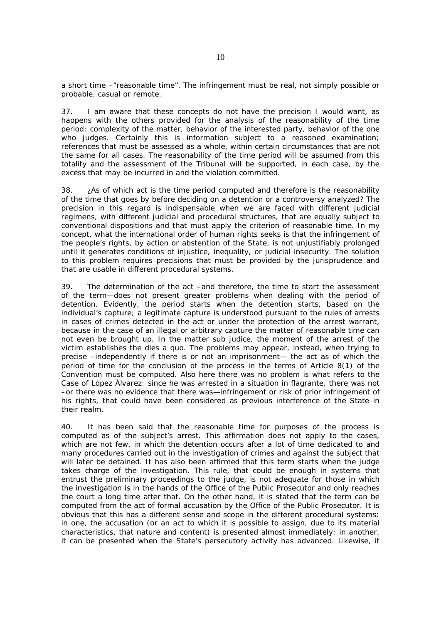a short time –"reasonable time". The infringement must be real, not simply possible or probable, casual or remote.

37. I am aware that these concepts do not have the precision I would want, as happens with the others provided for the analysis of the reasonability of the time period: complexity of the matter, behavior of the interested party, behavior of the one who judges. Certainly this is information subject to a reasoned examination; references that must be assessed as a whole, within certain circumstances that are not the same for all cases. The reasonability of the time period will be assumed from this totality and the assessment of the Tribunal will be supported, in each case, by the excess that may be incurred in and the violation committed.

38. *¿As of which act is the time period computed and therefore is the reasonability of the time that goes by before deciding on a detention or a controversy analyzed?* The precision in this regard is indispensable when we are faced with different judicial regimens, with different judicial and procedural structures, that are equally subject to conventional dispositions and that must apply the criterion of reasonable time. In my concept, what the international order of human rights seeks is that the infringement of the people's rights, by action or abstention of the State, is not unjustifiably prolonged until it generates conditions of injustice, inequality, or judicial insecurity. The solution to this problem requires precisions that must be provided by the jurisprudence and that are usable in different procedural systems.

39. The determination of the act –and therefore, the time to start the assessment of the term—does not present greater problems when dealing with the period of detention. Evidently, the period starts when the detention starts, based on the individual's capture; a legitimate capture is understood pursuant to the rules of arrests in cases of crimes detected in the act or under the protection of the arrest warrant, because in the case of an illegal or arbitrary capture the matter of reasonable time can not even be brought up. In the matter *sub judice*, the moment of the arrest of the victim establishes the *dies a quo*. The problems may appear, instead, when trying to precise –independently if there is or not an imprisonment— the act as of which the period of time for the conclusion of the process in the terms of Article 8(1) of the Convention must be computed. Also here there was no problem is what refers to the *Case of López Álvarez:* since he was arrested in a situation in flagrante, there was not –or there was no evidence that there was—infringement or risk of prior infringement of his rights, that could have been considered as previous interference of the State in their realm.

40. It has been said that the reasonable time for purposes of the process is computed as of the subject's arrest. This affirmation does not apply to the cases, which are not few, in which the detention occurs after a lot of time dedicated to and many procedures carried out in the investigation of crimes and against the subject that will later be detained. It has also been affirmed that this term starts when the judge takes charge of the investigation. This rule, that could be enough in systems that entrust the preliminary proceedings to the judge, is not adequate for those in which the investigation is in the hands of the Office of the Public Prosecutor and only reaches the court a long time after that. On the other hand, it is stated that the term can be computed from the act of formal accusation by the Office of the Public Prosecutor. It is obvious that this has a different sense and scope in the different procedural systems: in one, the accusation (or an act to which it is possible to assign, due to its material characteristics, that nature and content) is presented almost immediately; in another, it can be presented when the State's persecutory activity has advanced. Likewise, it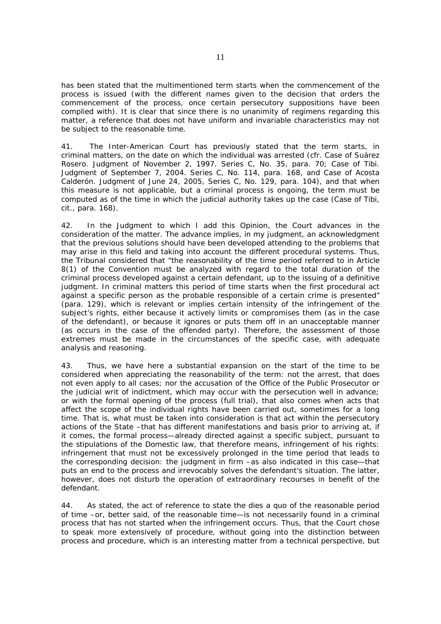has been stated that the multimentioned term starts when the commencement of the process is issued (with the different names given to the decision that orders the commencement of the process, once certain persecutory suppositions have been complied with). It is clear that since there is no unanimity of regimens regarding this matter, a reference that does not have uniform and invariable characteristics may not be subject to the reasonable time.

41. The Inter-American Court has previously stated that the term starts, in criminal matters, on the date on which the individual was arrested (cfr. *Case of Suárez Rosero. Judgment of November 2, 1997*. Series C, No. 35, para. 70; *Case of Tibi*. *Judgment of September 7, 2004.* Series C, No. 114, para. 168, and *Case of Acosta Calderón*. *Judgment of June 24, 2005,* Series C, No. 129, para. 104), and that when this measure is not applicable, but a criminal process is ongoing, the term must be computed as of the time in which the judicial authority takes up the case (*Case of Tibi*, cit., para. 168).

42. In the *Judgment* to which I add this *Opinion,* the Court advances in the consideration of the matter. The advance implies, in my judgment, an acknowledgment that the previous solutions should have been developed attending to the problems that may arise in this field and taking into account the different procedural systems. Thus, the Tribunal considered that "the reasonability of the time period referred to in Article 8(1) of the Convention must be analyzed with regard to the total duration of the criminal process developed against a certain defendant, up to the issuing of a definitive judgment. In criminal matters this period of time starts when the first procedural act against a specific person as the probable responsible of a certain crime is presented" (para. 129), which is relevant or implies certain intensity of the infringement of the subject's rights, either because it actively limits or compromises them (as in the case of the defendant), or because it ignores or puts them off in an unacceptable manner (as occurs in the case of the offended party). Therefore, the assessment of those extremes must be made in the circumstances of the specific case, with adequate analysis and reasoning.

43. Thus, we have here a substantial expansion on the start of the time to be considered when appreciating the reasonability of the term: not the arrest, that does not even apply to all cases; nor the accusation of the Office of the Public Prosecutor or the judicial writ of indictment, which may occur with the persecution well in advance; or with the formal opening of the process (full trial), that also comes when acts that affect the scope of the individual rights have been carried out, sometimes for a long time. That is, what must be taken into consideration *is that act within the persecutory actions of the State –that has different manifestations and basis prior to arriving at, if it comes, the formal process—already directed against a specific subject, pursuant to the stipulations of the Domestic law, that therefore means, infringement of his rights:*  infringement that must not be excessively prolonged in the time period that leads to the corresponding decision: the judgment in firm –as also indicated in this case—that puts an end to the process and irrevocably solves the defendant's situation. The latter, however, does not disturb the operation of extraordinary recourses in benefit of the defendant.

44. As stated, the act of reference to state the *dies a quo* of the reasonable period of time –or, better said, of the reasonable time—is not necessarily found in a criminal process that has not started when the infringement occurs. Thus, that the Court chose to speak more extensively of procedure, without going into the distinction between process and procedure, which is an interesting matter from a technical perspective, but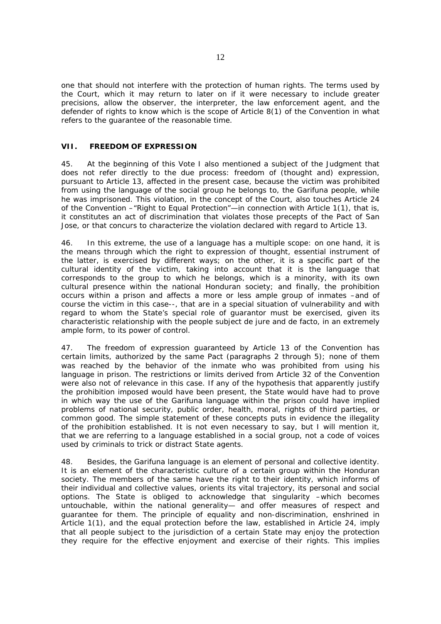one that should not interfere with the protection of human rights. The terms used by the Court, which it may return to later on if it were necessary to include greater precisions, allow the observer, the interpreter, the law enforcement agent, and the defender of rights to know which is the scope of Article 8(1) of the Convention in what refers to the guarantee of the reasonable time.

## **VII. FREEDOM OF EXPRESSION**

45. At the beginning of this *Vote* I also mentioned a subject of the *Judgment* that does not refer directly to the due process: freedom of (thought and) expression, pursuant to Article 13, affected in the present case, because the victim was prohibited from using the language of the social group he belongs to, the Garifuna people, while he was imprisoned. This violation, in the concept of the Court, also touches Article 24 of the Convention –"Right to Equal Protection"—in connection with Article 1(1), that is, it constitutes an act of discrimination that violates those precepts of the Pact of San Jose, or that concurs to characterize the violation declared with regard to Article 13.

46. In this extreme, the use of a language has a multiple scope: on one hand, it is the means through which the right to expression of thought, essential instrument of the latter, is exercised by different ways; on the other, it is a specific part of the cultural identity of the victim, taking into account that it is the language that corresponds to the group to which he belongs, which is a minority, with its own cultural presence within the national Honduran society; and finally, the prohibition occurs within a prison and affects a more or less ample group of inmates –and of course the victim in this case--, that are in a special situation of vulnerability and with regard to whom the State's special role of guarantor must be exercised, given its characteristic relationship with the people subject *de jure* and *de facto*, in an extremely ample form, to its power of control.

47. The freedom of expression guaranteed by Article 13 of the Convention has certain limits, authorized by the same Pact (paragraphs 2 through 5); none of them was reached by the behavior of the inmate who was prohibited from using his language in prison. The restrictions or limits derived from Article 32 of the Convention were also not of relevance in this case. If any of the hypothesis that apparently justify the prohibition imposed would have been present, the State would have had to prove in which way the use of the Garifuna language within the prison could have implied problems of national security, public order, health, moral, rights of third parties, or common good. The simple statement of these concepts puts in evidence the illegality of the prohibition established. It is not even necessary to say, but I will mention it, that we are referring to a language established in a social group, not a code of voices used by criminals to trick or distract State agents.

48. Besides, the Garifuna language is an element of personal and collective identity. It is an element of the characteristic culture of a certain group within the Honduran society. The members of the same have the right to their identity, which informs of their individual and collective values, orients its vital trajectory, its personal and social options. The State is obliged to acknowledge that singularity –which becomes untouchable, within the national generality— and offer measures of respect and guarantee for them. The principle of equality and non-discrimination, enshrined in Article 1(1), and the equal protection before the law, established in Article 24, imply that all people subject to the jurisdiction of a certain State may enjoy the protection they require for the effective enjoyment and exercise of their rights. This implies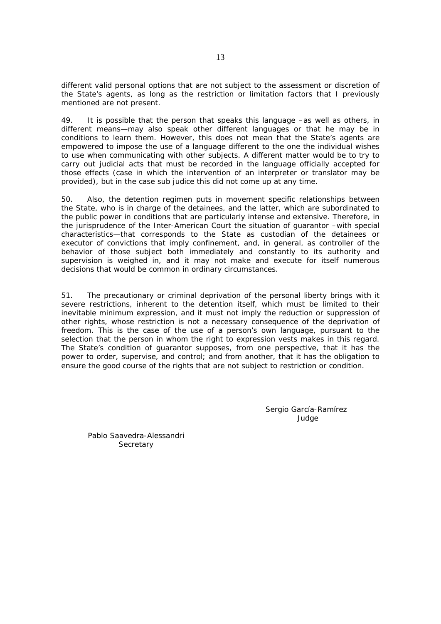different valid personal options that are not subject to the assessment or discretion of the State's agents, as long as the restriction or limitation factors that I previously mentioned are not present.

49. It is possible that the person that speaks this language –as well as others, in different means—may also speak other different languages or that he may be in conditions to learn them. However, this does not mean that the State's agents are empowered to impose the use of a language different to the one the individual wishes to use when communicating with other subjects. A different matter would be to try to carry out judicial acts that must be recorded in the language officially accepted for those effects (case in which the intervention of an interpreter or translator may be provided), but in the case *sub judice* this did not come up at any time.

50. Also, the detention regimen puts in movement specific relationships between the State, who is in charge of the detainees, and the latter, which are subordinated to the public power in conditions that are particularly intense and extensive. Therefore, in the jurisprudence of the Inter-American Court the situation of guarantor –with special characteristics—that corresponds to the State as custodian of the detainees or executor of convictions that imply confinement, and, in general, as controller of the behavior of those subject both immediately and constantly to its authority and supervision is weighed in, and it may not make and execute for itself numerous decisions that would be common in ordinary circumstances.

51. The precautionary or criminal deprivation of the personal liberty brings with it severe restrictions, inherent to the detention itself, which must be limited to their inevitable minimum expression, and it must not imply the reduction or suppression of other rights, whose restriction is not a necessary consequence of the deprivation of freedom. This is the case of the use of a person's own language, pursuant to the selection that the person in whom the right to expression vests makes in this regard. The State's condition of guarantor supposes, from one perspective, that it has the power to order, supervise, and control; and from another, that it has the obligation to ensure the good course of the rights that are not subject to restriction or condition.

> Sergio García-Ramírez Judge

Pablo Saavedra-Alessandri **Secretary**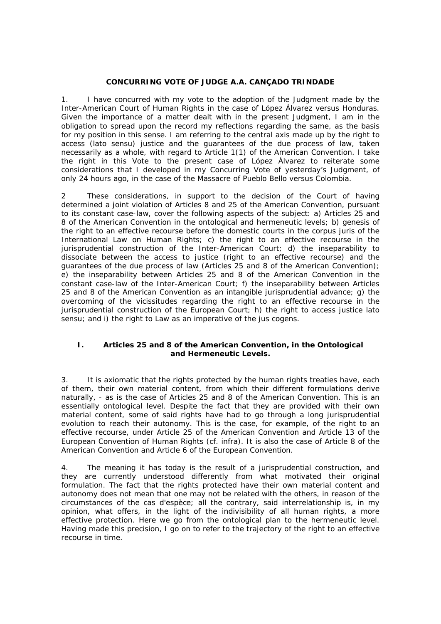## **CONCURRING VOTE OF JUDGE A.A. CANÇADO TRINDADE**

1. I have concurred with my vote to the adoption of the Judgment made by the Inter-American Court of Human Rights in the case of *López Álvarez versus Honduras*. Given the importance of a matter dealt with in the present Judgment, I am in the obligation to spread upon the record my reflections regarding the same, as the basis for my position in this sense. I am referring to the central axis made up by the right to access (*lato sensu)* justice and the guarantees of the due process of law, taken necessarily *as a whole,* with regard to Article 1(1) of the American Convention. I take the right in this Vote to the present case of *López Álvarez* to reiterate some considerations that I developed in my Concurring Vote of yesterday's Judgment, of only 24 hours ago, in the case of the *Massacre of Pueblo Bello versus Colombia.*

2 These considerations, in support to the decision of the Court of having determined a *joint* violation of Articles 8 and 25 of the American Convention, pursuant to its *constant case-law,* cover the following aspects of the subject: a) Articles 25 and 8 of the American Convention in the ontological and hermeneutic levels; b) genesis of the right to an effective recourse before the domestic courts in the *corpus juris* of the International Law on Human Rights; c) the right to an effective recourse in the jurisprudential construction of the Inter-American Court; d) the inseparability to dissociate between the access to justice (right to an effective recourse) and the guarantees of the due process of law (Articles 25 and 8 of the American Convention); e) the inseparability between Articles 25 and 8 of the American Convention in the *constant case-law* of the Inter-American Court; f) the inseparability between Articles 25 and 8 of the American Convention as an intangible jurisprudential advance; g) the overcoming of the vicissitudes regarding the right to an effective recourse in the jurisprudential construction of the European Court; h) the right to access justice *lato sensu;* and i) the right to Law as an imperative of the *jus cogens*.

## **I. Articles 25 and 8 of the American Convention, in the Ontological and Hermeneutic Levels.**

3. It is axiomatic that the rights protected by the human rights treaties have, each of them, their own material content, from which their different formulations derive naturally, - as is the case of Articles 25 and 8 of the American Convention. This is an essentially ontological level. Despite the fact that they are provided with their own material content, some of said rights have had to go through a long jurisprudential evolution to reach their autonomy. This is the case, for example, of the right to an effective recourse, under Article 25 of the American Convention and Article 13 of the European Convention of Human Rights (cf. *infra*). It is also the case of Article 8 of the American Convention and Article 6 of the European Convention.

4. The meaning it has today is the result of a jurisprudential construction, and they are currently understood differently from what motivated their original formulation. The fact that the rights protected have their own material content and autonomy does not mean that one may not be related with the others, in reason of the circumstances of the *cas d'espèce*; all the contrary, said interrelationship is, in my opinion, what offers, in the light of the indivisibility of all human rights, a more effective protection. Here we go from the ontological plan to the hermeneutic level. Having made this precision, I go on to refer to the trajectory of the right to an effective recourse in time.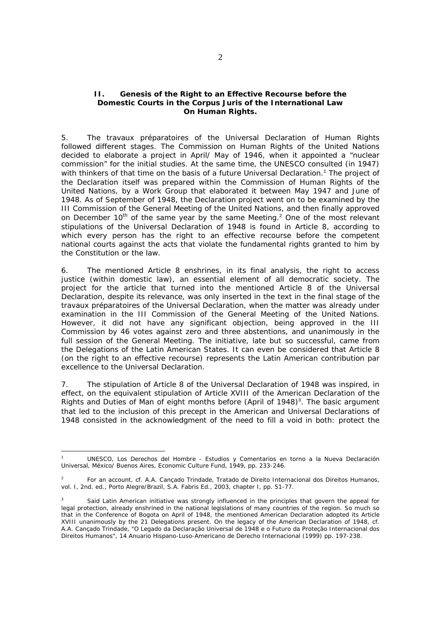#### **II. Genesis of the Right to an Effective Recourse before the Domestic Courts in the** *Corpus Juris* **of the International Law On Human Rights.**

5. The *travaux préparatoires* of the Universal Declaration of Human Rights followed different stages. The Commission on Human Rights of the United Nations decided to elaborate a project in April/ May of 1946, when it appointed a "nuclear commission" for the initial studies. At the same time, the UNESCO consulted (in 1947) with thinkers of that time on the basis of a future Universal Declaration. $1$  The project of the Declaration itself was prepared within the Commission of Human Rights of the United Nations, by a Work Group that elaborated it between May 1947 and June of 1948. As of September of 1948, the Declaration project went on to be examined by the III Commission of the General Meeting of the United Nations, and then finally approved on December 10<sup>th</sup> of the same year by the same Meeting.<sup>2</sup> One of the most relevant stipulations of the Universal Declaration of 1948 is found in Article 8, according to which every person has the right to an effective recourse before the competent national courts against the acts that violate the fundamental rights granted to him by the Constitution or the law.

6. The mentioned Article 8 enshrines, in its final analysis, the *right to access justice* (within domestic law), an essential element of all democratic society. The project for the article that turned into the mentioned Article 8 of the Universal Declaration, despite its relevance, was only inserted in the text in the final stage of the *travaux préparatoires* of the Universal Declaration, when the matter was already under examination in the III Commission of the General Meeting of the United Nations. However, it did not have any significant objection, being approved in the III Commission by 46 votes against zero and three abstentions, and unanimously in the full session of the General Meeting. The initiative, late but so successful, came from the Delegations of the Latin American States. It can even be considered that Article 8 (on the right to an effective recourse) represents the Latin American contribution *par excellence* to the Universal Declaration.

7. The stipulation of Article 8 of the Universal Declaration of 1948 was inspired, in effect, on the equivalent stipulation of Article XVIII of the American Declaration of the Rights and Duties of Man of eight months before (April of  $1948$ )<sup>3</sup>. The basic argument that led to the inclusion of this precept in the American and Universal Declarations of 1948 consisted in the acknowledgment of the need to fill a void in both: protect the

1

<sup>1</sup> UNESCO, *Los Derechos del Hombre - Estudios y Comentarios en torno a la Nueva Declaración Universal*, México/ Buenos Aires, Economic Culture Fund, 1949, pp. 233-246.

<sup>2</sup> For an account, cf. A.A. Cançado Trindade, *Tratado de Direito Internacional dos Direitos Humanos*, vol. I, 2nd. ed., Porto Alegre/Brazil, S.A. Fabris Ed., 2003, chapter I, pp. 51-77.

<sup>3</sup> Said Latin American initiative was strongly influenced in the principles that govern the appeal for legal protection, already enshrined in the national legislations of many countries of the region. So much so that in the Conference of Bogota on April of 1948, the mentioned American Declaration adopted its Article XVIII unanimously by the 21 Delegations present. On the legacy of the American Declaration of 1948, cf. A.A. Cançado Trindade, "O Legado da Declaração Universal de 1948 e o Futuro da Proteção Internacional dos Direitos Humanos", 14 *Anuario Hispano-Luso-Americano de Derecho Internacional* (1999) pp. 197-238.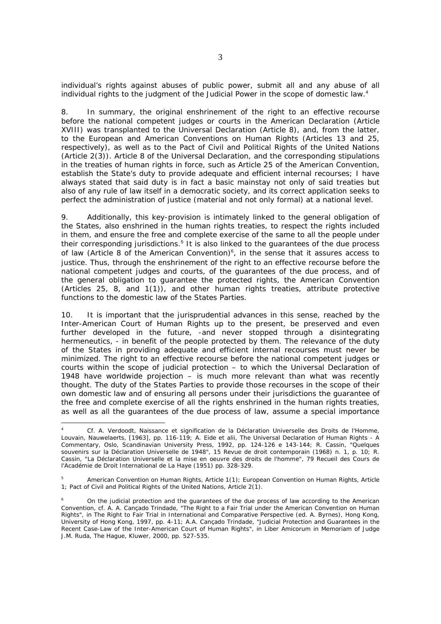individual's rights against abuses of public power, submit all and any abuse of all individual rights to the judgment of the Judicial Power in the scope of domestic law. $4$ 

8. In summary, the original enshrinement of the right to an effective recourse before the national competent judges or courts in the American Declaration (Article XVIII) was transplanted to the Universal Declaration (Article 8), and, from the latter, to the European and American Conventions on Human Rights (Articles 13 and 25, respectively), as well as to the Pact of Civil and Political Rights of the United Nations (Article 2(3)). Article 8 of the Universal Declaration, and the corresponding stipulations in the treaties of human rights in force, such as Article 25 of the American Convention, establish the State's duty to provide adequate and efficient internal recourses; I have always stated that said duty is in fact a basic mainstay not only of said treaties but also of any rule of law itself in a democratic society, and its correct application seeks to perfect the administration of justice (material and not only formal) at a national level.

9. Additionally, this key-provision is intimately linked to the general obligation of the States, also enshrined in the human rights treaties, to *respect* the rights included in them, and *ensure* the free and complete exercise of the same to all the people under their corresponding jurisdictions.<sup>5</sup> It is also linked to the guarantees of the due process of law (Article 8 of the American Convention) $6$ , in the sense that it assures access to justice. Thus, through the enshrinement of the right to an effective recourse before the national competent judges and courts, of the guarantees of the due process, and of the general obligation to *guarantee* the protected rights, the American Convention (Articles 25, 8, and 1(1)), and other human rights treaties, attribute protective functions to the domestic law of the States Parties.

10. It is important that the jurisprudential advances in this sense, reached by the Inter-American Court of Human Rights up to the present, be preserved and even further developed in the future, -and never stopped through a disintegrating hermeneutics, - in benefit of the people protected by them. The relevance of the duty of the States in providing adequate and efficient internal recourses must never be minimized. The right to an effective recourse before the national competent judges or courts within the scope of judicial protection – to which the Universal Declaration of 1948 have worldwide projection – is much more relevant than what was recently thought. The duty of the States Parties to provide those recourses in the scope of their own domestic law and of ensuring all persons under their jurisdictions the guarantee of the free and complete exercise of all the rights enshrined in the human rights treaties, as well as all the guarantees of the due process of law, assume a special importance

1

<sup>4</sup> Cf. A. Verdoodt, *Naissance et signification de la Déclaration Universelle des Droits de l'Homme*, Louvain, Nauwelaerts, [1963], pp. 116-119; A. Eide *et alii*, *The Universal Declaration of Human Rights - A Commentary*, Oslo, Scandinavian University Press, 1992, pp. 124-126 e 143-144; R. Cassin, "Quelques souvenirs sur la Déclaration Universelle de 1948", 15 *Revue de droit contemporain* (1968) n. 1, p. 10; R. Cassin, "La Déclaration Universelle et la mise en oeuvre des droits de l'homme", 79 *Recueil des Cours de l'Académie de Droit International de La Haye* (1951) pp. 328-329.

<sup>5</sup> American Convention on Human Rights, Article 1(1); European Convention on Human Rights, Article 1; Pact of Civil and Political Rights of the United Nations, Article 2(1).

<sup>6</sup> On the judicial protection and the guarantees of the due process of law according to the American Convention, cf. A. A. Cançado Trindade, "The Right to a Fair Trial under the American Convention on Human Rights", *in The Right to Fair Trial in International and Comparative Perspective* (ed. A. Byrnes), Hong Kong, University of Hong Kong, 1997, pp. 4-11; A.A. Cançado Trindade, "Judicial Protection and Guarantees in the Recent Case-Law of the Inter-American Court of Human Rights", *in Liber Amicorum in Memoriam of Judge J.M. Ruda*, The Hague, Kluwer, 2000, pp. 527-535.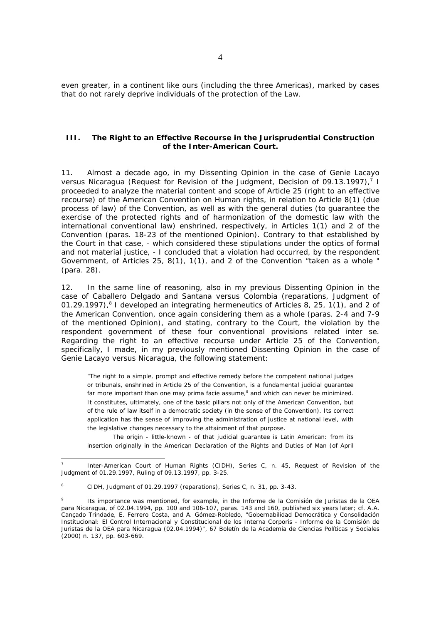even greater, in a continent like ours (including the three Americas), marked by cases that do not rarely deprive individuals of the protection of the Law.

#### **III. The Right to an Effective Recourse in the Jurisprudential Construction of the Inter-American Court.**

11. Almost a decade ago, in my Dissenting Opinion in the case of *Genie Lacayo*  versus Nicaragua (Request for Revision of the Judgment, Decision of 09.13.1997),<sup>7</sup> I proceeded to analyze the material content and scope of Article 25 (right to an effective recourse) of the American Convention on Human rights, in relation to Article 8(1) (due process of law) of the Convention, as well as with the general duties (to guarantee the exercise of the protected rights and of harmonization of the domestic law with the international conventional law) enshrined, respectively, in Articles 1(1) and 2 of the Convention (paras. 18-23 of the mentioned Opinion). Contrary to that established by the Court in that case, - which considered these stipulations under the optics of formal and not material justice, - I concluded that a violation had occurred, by the respondent Government, of Articles 25, 8(1), 1(1), and 2 of the Convention "taken as a whole " (para. 28).

12. In the same line of reasoning, also in my previous Dissenting Opinion in the case of *Caballero Delgado and Santana versus Colombia* (reparations, Judgment of 01.29.1997), ${}^{8}$  I developed an integrating hermeneutics of Articles 8, 25, 1(1), and 2 of the American Convention, once again considering them as a whole (paras. 2-4 and 7-9 of the mentioned Opinion), and stating, contrary to the Court, the violation by the respondent government of these four conventional provisions related *inter se*. Regarding the right to an effective recourse under Article 25 of the Convention, specifically, I made, in my previously mentioned Dissenting Opinion in the case of *Genie Lacayo versus Nicaragua*, the following statement:

"The right to a simple, prompt and effective remedy before the competent national judges or tribunals, enshrined in Article 25 of the Convention, is a fundamental judicial guarantee far more important than one may *prima facie* assume,<sup>9</sup> and which can never be minimized. It constitutes, ultimately, one of the basic pillars not only of the American Convention, but of the rule of law itself in a democratic society (in the sense of the Convention). Its correct application has the sense of improving the administration of justice at national level, with the legislative changes necessary to the attainment of that purpose.

 The origin - little-known - of that judicial guarantee is Latin American: from its insertion originally in the American Declaration of the Rights and Duties of Man (of April

-

<sup>7</sup> Inter-American Court of Human Rights (CIDH), Series C, n. 45, Request of Revision of the Judgment of 01.29.1997, Ruling of 09.13.1997, pp. 3-25.

<sup>8</sup> CIDH, Judgment of 01.29.1997 (reparations), Series C, n. 31, pp. 3-43.

<sup>9</sup> Its importance was mentioned, for example, in the *Informe de la Comisión de Juristas de la OEA para Nicaragua*, of 02.04.1994, pp. 100 and 106-107, paras. 143 and 160, published six years later; cf. A.A. Cançado Trindade, E. Ferrero Costa, and A. Gómez-Robledo, *"Gobernabilidad Democrática y Consolidación Institucional: El Control Internacional y Constitucional de los Interna Corporis - Informe de la Comisión de Juristas de la OEA para Nicaragua (02.04.1994)*", 67 *Boletín de la Academia de Ciencias Políticas y Sociales* (2000) n. 137, pp. 603-669.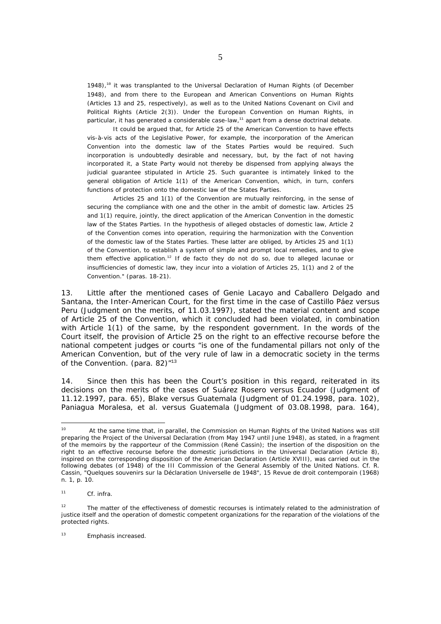$1948$ ),<sup>10</sup> it was transplanted to the Universal Declaration of Human Rights (of December 1948), and from there to the European and American Conventions on Human Rights (Articles 13 and 25, respectively), as well as to the United Nations Covenant on Civil and Political Rights (Article 2(3)). Under the European Convention on Human Rights, in particular, it has generated a considerable case-law, $^{11}$  apart from a dense doctrinal debate.

 It could be argued that, for Article 25 of the American Convention to have effects vis-à-vis acts of the Legislative Power, for example, the incorporation of the American Convention into the domestic law of the States Parties would be required. Such incorporation is undoubtedly desirable and necessary, but, by the fact of not having incorporated it, a State Party would not thereby be dispensed from applying always the judicial guarantee stipulated in Article 25. Such guarantee is intimately linked to the general obligation of Article 1(1) of the American Convention, which, in turn, confers functions of protection onto the domestic law of the States Parties.

 Articles 25 and 1(1) of the Convention are mutually reinforcing, in the sense of securing the compliance with one and the other in the ambit of domestic law. Articles 25 and 1(1) require, jointly, the *direct* application of the American Convention in the domestic law of the States Parties. In the hypothesis of alleged obstacles of domestic law, Article 2 of the Convention comes into operation, requiring the *harmonization* with the Convention of the domestic law of the States Parties. These latter are obliged, by Articles 25 and 1(1) of the Convention, to establish a system of simple and prompt local remedies, and to give them *effective* application.<sup>12</sup> If *de facto* they do not do so, due to alleged lacunae or insufficiencies of domestic law, they incur into a violation of Articles 25, 1(1) and 2 of the Convention." (paras. 18-21).

13. Little after the mentioned cases of *Genie Lacayo* and *Caballero Delgado and Santana*, the Inter-American Court, for the first time in the case of *Castillo Páez versus Peru* (Judgment on the merits, of 11.03.1997), stated the material content and scope of Article 25 of the Convention, which it concluded had been violated, in combination with Article 1(1) of the same, by the respondent government. In the words of the Court itself, the provision of Article 25 on the right to an effective recourse before the national competent judges or courts "is one of the fundamental pillars not only of the American Convention, but of the very rule of law in a democratic society in the terms of the Convention. (para.  $82$ )<sup> $n13$ </sup>

14. Since then this has been the Court's position in this regard, reiterated in its decisions on the merits of the cases of *Suárez Rosero versus Ecuador* (Judgment of 11.12.1997, para. 65), *Blake versus Guatemala* (Judgment of 01.24.1998, para. 102), *Paniagua Moralesa, et al. versus Guatemala* (Judgment of 03.08.1998, para. 164),

1

<sup>&</sup>lt;sup>10</sup> At the same time that, in parallel, the Commission on Human Rights of the United Nations was still preparing the Project of the Universal Declaration (from May 1947 until June 1948), as stated, in a fragment of the memoirs by the *rapporteur* of the Commission (René Cassin); the insertion of the disposition on the right to an effective recourse before the domestic jurisdictions in the Universal Declaration (Article 8), inspired on the corresponding disposition of the American Declaration (Article XVIII), was carried out in the following debates (of 1948) of the III Commission of the General Assembly of the United Nations. Cf. R. Cassin, "Quelques souvenirs sur la Déclaration Universelle de 1948", 15 *Revue de droit contemporain* (1968) n. 1, p. 10.

<sup>11</sup> Cf. *infra*.

<sup>&</sup>lt;sup>12</sup> The matter of the effectiveness of domestic recourses is intimately related to the administration of justice itself and the operation of domestic competent organizations for the reparation of the violations of the protected rights.

<sup>13</sup> Emphasis increased.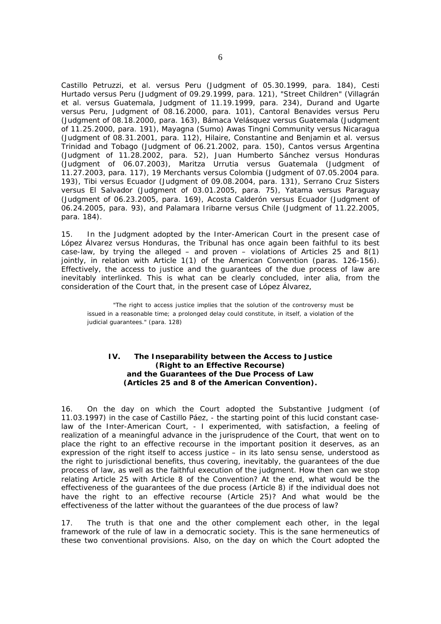*Castillo Petruzzi, et al. versus Peru* (Judgment of 05.30.1999, para. 184), *Cesti Hurtado versus Peru* (Judgment of 09.29.1999, para. 121), *"Street Children"* (*Villagrán et al. versus Guatemala*, Judgment of 11.19.1999, para. 234), *Durand and Ugarte versus Peru*, Judgment of 08.16.2000, para. 101), *Cantoral Benavides versus Peru* (Judgment of 08.18.2000, para. 163), *Bámaca Velásquez versus Guatemala* (Judgment of 11.25.2000, para. 191), *Mayagna (Sumo) Awas Tingni Community versus Nicaragua* (Judgment of 08.31.2001, para. 112), *Hilaire, Constantine and Benjamin et al. versus Trinidad and Tobago* (Judgment of 06.21.2002, para. 150), *Cantos versus Argentina* (Judgment of 11.28.2002, para. 52), *Juan Humberto Sánchez versus Honduras* (Judgment of 06.07.2003), *Maritza Urrutia versus Guatemala* (Judgment of 11.27.2003, para. 117), *19 Merchants versus Colombia* (Judgment of 07.05.2004 para. 193), *Tibi versus Ecuador* (Judgment of 09.08.2004, para. 131), *Serrano Cruz Sisters versus El Salvador* (Judgment of 03.01.2005, para. 75), *Yatama versus Paraguay* (Judgment of 06.23.2005, para. 169), *Acosta Calderón versus Ecuador* (Judgment of 06.24.2005, para. 93), and *Palamara Iribarne versus Chile* (Judgment of 11.22.2005, para. 184).

15. In the Judgment adopted by the Inter-American Court in the present case of *López Álvarez versus Honduras*, the Tribunal has once again been faithful to its best case-law, by trying the alleged – and proven – violations of Articles 25 and  $8(1)$ jointly, in relation with Article 1(1) of the American Convention (paras. 126-156). Effectively, the access to justice and the guarantees of the due process of law are inevitably interlinked. This is what can be clearly concluded, *inter alia*, from the consideration of the Court that, in the present case of *López Álvarez*,

 "The right to access justice implies that the solution of the controversy must be issued in a reasonable time; a prolonged delay could constitute, in itself, a violation of the judicial guarantees." (para. 128)

## **IV. The Inseparability between the Access to Justice (Right to an Effective Recourse) and the Guarantees of the Due Process of Law (Articles 25 and 8 of the American Convention).**

16. On the day on which the Court adopted the Substantive Judgment (of 11.03.1997) in the case of *Castillo Páez*, - the starting point of this lucid *constant caselaw* of the Inter-American Court, - I experimented, with satisfaction, a feeling of realization of a meaningful advance in the jurisprudence of the Court, that went on to place the right to an effective recourse in the important position it deserves, as an expression of the right itself to access justice – in its *lato sensu* sense, understood as the right to jurisdictional benefits, thus covering, inevitably, the guarantees of the due process of law, as well as the faithful execution of the judgment. How then can we stop relating Article 25 with Article 8 of the Convention? At the end, what would be the effectiveness of the guarantees of the *due process* (Article 8) if the individual does not have the right to an effective recourse (Article 25)? And what would be the effectiveness of the latter without the guarantees of the due process of law?

17. The truth is that one and the other complement each other, in the legal framework of the rule of law in a democratic society. This is the sane hermeneutics of these two conventional provisions. Also, on the day on which the Court adopted the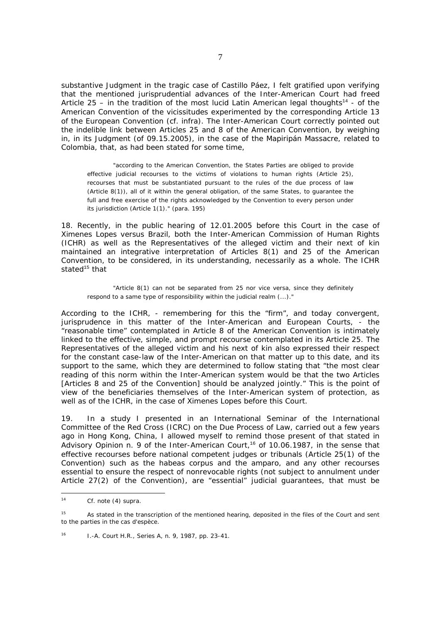substantive Judgment in the tragic case of *Castillo Páez*, I felt gratified upon verifying that the mentioned jurisprudential advances of the Inter-American Court had freed Article 25 – in the tradition of the most lucid Latin American legal thoughts<sup>14</sup> - of the American Convention of the vicissitudes experimented by the corresponding Article 13 of the European Convention (cf. *infra*). The Inter-American Court correctly pointed out the indelible link between Articles 25 and 8 of the American Convention, by weighing in, in its Judgment (of 09.15.2005), in the case of the *Mapiripán Massacre*, related to Colombia, that, as had been stated for some time,

 "according to the American Convention, the States Parties are obliged to provide effective judicial recourses to the victims of violations to human rights (Article 25), recourses that must be substantiated pursuant to the rules of the due process of law (Article 8(1)), all of it within the general obligation, of the same States, to guarantee the full and free exercise of the rights acknowledged by the Convention to every person under its jurisdiction (Article 1(1)." (para. 195)

18. Recently, in the public hearing of 12.01.2005 before this Court in the case of *Ximenes Lopes versus Brazil*, both the Inter-American Commission of Human Rights (ICHR) as well as the Representatives of the alleged victim and their next of kin maintained an *integrative* interpretation of Articles 8(1) and 25 of the American Convention, to be considered, in its understanding, necessarily as a *whole.* The ICHR stated $15$  that

 "Article 8(1) can not be separated from 25 nor vice versa, since they definitely respond to a same type of responsibility within the judicial realm (...)."

According to the ICHR, - remembering for this the "firm", and today convergent, jurisprudence in this matter of the Inter-American and European Courts, - the "reasonable time" contemplated in Article 8 of the American Convention is intimately linked to the effective, simple, and prompt recourse contemplated in its Article 25. The Representatives of the alleged victim and his next of kin also expressed their respect for the constant case-law of the Inter-American on that matter up to this date, and its support to the same, which they are determined to follow stating that "the most clear reading of this norm within the Inter-American system would be that the two Articles [Articles 8 and 25 of the Convention] should be analyzed jointly." This is the point of view of the beneficiaries themselves of the Inter-American system of protection, as well as of the ICHR, in the case of *Ximenes Lopes* before this Court.

19. In a study I presented in an International Seminar of the International Committee of the Red Cross (ICRC) on the Due Process of Law, carried out a few years ago in Hong Kong, China, I allowed myself to remind those present of that stated in Advisory Opinion n. 9 of the Inter-American Court,<sup>16</sup> of 10.06.1987, in the sense that effective recourses before national competent judges or tribunals (Article 25(1) of the Convention) such as the *habeas corpus* and the *amparo*, and any other recourses essential to ensure the respect of nonrevocable rights (not subject to annulment under Article 27(2) of the Convention), are "essential" judicial guarantees, that must be

 $\frac{1}{4}$ Cf. note (4) *supra*.

<sup>&</sup>lt;sup>15</sup> As stated in the transcription of the mentioned hearing, deposited in the files of the Court and sent to the parties in the *cas d'espèce*.

<sup>16</sup> I.-A. Court H.R., Series A, n. 9, 1987, pp. 23-41.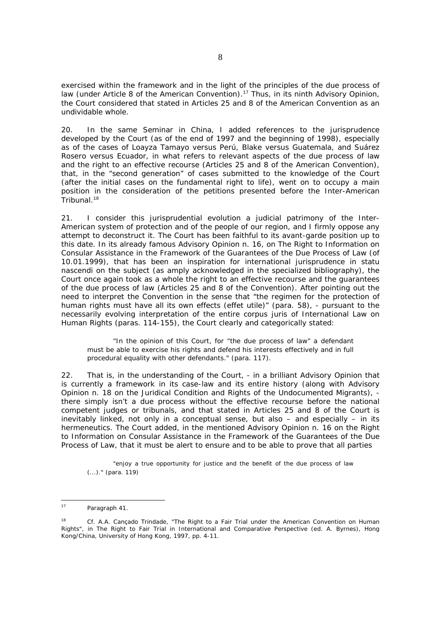exercised within the framework and in the light of the principles of the due process of law (under Article 8 of the American Convention).<sup>17</sup> Thus, in its ninth Advisory Opinion, the Court considered that stated in Articles 25 and 8 of the American Convention as an undividable whole.

20. In the same Seminar in China, I added references to the jurisprudence developed by the Court (as of the end of 1997 and the beginning of 1998), especially as of the cases of *Loayza Tamayo versus Perú*, *Blake versus Guatemala, and Suárez Rosero versus Ecuador*, in what refers to relevant aspects of the due process of law and the right to an effective recourse (Articles 25 and 8 of the American Convention), that, in the "second generation" of cases submitted to the knowledge of the Court (after the initial cases on the fundamental right to life), went on to occupy a main position in the consideration of the petitions presented before the Inter-American Tribunal.<sup>18</sup>

21. I consider this jurisprudential evolution a judicial patrimony of the Inter-American system of protection and of the people of our region, and I firmly oppose any attempt to deconstruct it. The Court has been faithful to its avant-garde position up to this date. In its already famous Advisory Opinion n. 16, on *The Right to Information on Consular Assistance in the Framework of the Guarantees of the Due Process of Law* (of 10.01.1999), that has been an inspiration for international jurisprudence in *statu nascendi* on the subject (as amply acknowledged in the specialized bibliography), the Court once again took *as a whole* the right to an effective recourse and the guarantees of the due process of law (Articles 25 and 8 of the Convention). After pointing out the need to *interpret* the Convention in the sense that "the regimen for the protection of human rights must have all its own effects (*effet utile)*" (para. 58), - pursuant to the necessarily *evolving* interpretation of the entire *corpus juris* of International Law on Human Rights (paras. 114-155), the Court clearly and categorically stated:

 "In the opinion of this Court, for "the due process of law" a defendant must be able to exercise his rights and defend his interests effectively and in full procedural equality with other defendants." (para. 117).

22. That is, in the understanding of the Court, - in a brilliant Advisory Opinion that is currently a framework in its case-law and its entire history (along with Advisory Opinion n. 18 on the Juridical Condition and Rights of the Undocumented Migrants), there simply isn't a due process without the effective recourse before the national competent judges or tribunals, and that stated in Articles 25 and 8 of the Court is inevitably linked, not only in a conceptual sense, but also – and especially – in its hermeneutics. The Court added, in the mentioned Advisory Opinion n. 16 on the Right to Information on Consular Assistance in the Framework of the Guarantees of the Due Process of Law, that it must be alert to ensure and to be able to prove that all parties

 "enjoy a true opportunity for justice and the benefit of the due process of law (...)." (para. 119)

 $17$ Paragraph 41.

<sup>18</sup> *Cf.* A.A. Cançado Trindade, "The Right to a Fair Trial under the American Convention on Human Rights", *in The Right to Fair Trial in International and Comparative Perspective* (ed. A. Byrnes), Hong Kong/China, University of Hong Kong, 1997, pp. 4-11.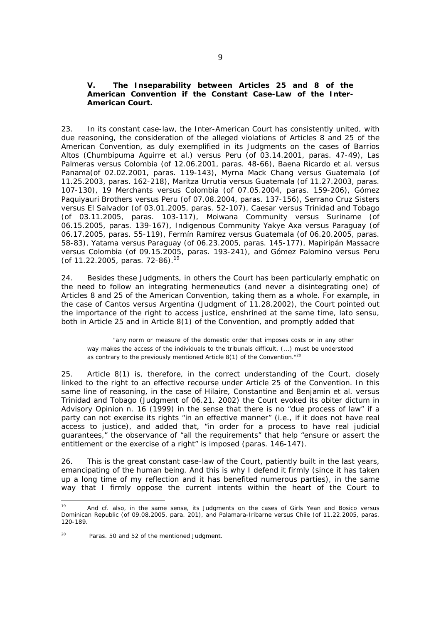## **V. The Inseparability between Articles 25 and 8 of the American Convention if the** *Constant Case-Law* **of the Inter-American Court.**

23. In its *constant case-law,* the Inter-American Court has consistently united, with due reasoning, the consideration of the alleged violations of Articles 8 and 25 of the American Convention, as duly exemplified in its Judgments on the cases of *Barrios Altos (Chumbipuma Aguirre et al.) versus Peru* (of 03.14.2001, paras. 47-49), *Las Palmeras versus Colombia* (of 12.06.2001, paras. 48-66), *Baena Ricardo et al. versus Panama*(of 02.02.2001, paras. 119-143), *Myrna Mack Chang versus Guatemala* (of 11.25.2003, paras. 162-218), *Maritza Urrutia versus Guatemala* (of 11.27.2003, paras. 107-130), *19 Merchants versus Colombia* (of 07.05.2004, paras. 159-206), *Gómez Paquiyauri Brothers versus Peru* (of 07.08.2004, paras. 137-156), *Serrano Cruz Sisters versus El Salvador* (of 03.01.2005, paras. 52-107), *Caesar versus Trinidad and Tobago* (of 03.11.2005, paras. 103-117), *Moiwana Community versus Suriname* (of 06.15.2005, paras. 139-167), *Indigenous Community Yakye Axa versus Paraguay* (of 06.17.2005, paras. 55-119), *Fermín Ramírez versus Guatemala* (of 06.20.2005, paras. 58-83), *Yatama versus Paraguay* (of 06.23.2005, paras. 145-177), *Mapiripán Massacre versus Colombia* (of 09.15.2005, paras. 193-241), and *Gómez Palomino versus Peru* (of  $11.22.2005$ , paras. 72-86).<sup>19</sup>

24. Besides these Judgments, in others the Court has been particularly emphatic on the need to follow an integrating hermeneutics (and never a disintegrating one) of Articles 8 and 25 of the American Convention, taking them as a whole. For example, in the case of *Cantos versus Argentina* (Judgment of 11.28.2002), the Court pointed out the importance of the *right to access justice,* enshrined at the same time, *lato sensu*, both in Article 25 and in Article 8(1) of the Convention, and promptly added that

 "any norm or measure of the domestic order that imposes costs or in any other way makes the access of the individuals to the tribunals difficult, (...) must be understood as contrary to the previously mentioned Article 8(1) of the Convention."<sup>20</sup>

25. Article 8(1) is, therefore, in the correct understanding of the Court, closely linked to the right to an effective recourse under Article 25 of the Convention. In this same line of reasoning, in the case of *Hilaire, Constantine and Benjamin et al. versus Trinidad and Tobago* (Judgment of 06.21. 2002) the Court evoked its *obiter dictum* in Advisory Opinion n. 16 (1999) in the sense that there is no "due process of law" if a party can not exercise its rights "in an effective manner" (i.e., if it does not have real access to justice), and added that, "in order for a process to have real judicial guarantees," the observance of "all the requirements" that help "ensure or assert the entitlement or the exercise of a right" is imposed (paras. 146-147).

26. This is the great constant case-law of the Court, patiently built in the last years, emancipating of the human being. And this is why I defend it firmly (since it has taken up a long time of my reflection and it has benefited numerous parties), in the same way that I firmly oppose the current intents within the heart of the Court to

 $19$ 19 And cf. also, in the same sense, its Judgments on the cases of *Girls Yean and Bosico versus Dominican Republic* (of 09.08.2005, para. 201), and *Palamara-Iribarne versus Chile* (of 11.22.2005, paras. 120-189.

 $20$  Paras. 50 and 52 of the mentioned Judgment.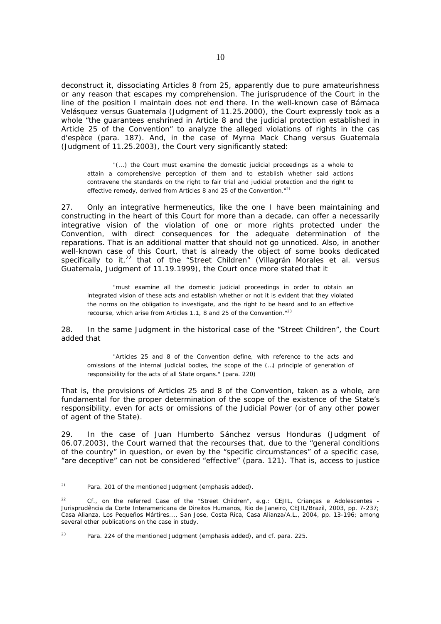deconstruct it, dissociating Articles 8 from 25, apparently due to pure amateurishness or any reason that escapes my comprehension. The jurisprudence of the Court in the line of the position I maintain does not end there. In the well-known case of *Bámaca Velásquez versus Guatemala* (Judgment of 11.25.2000), the Court expressly took as a whole "the guarantees enshrined in Article 8 and the judicial protection established in Article 25 of the Convention" to analyze the alleged violations of rights in the *cas d'espèce* (para. 187). And, in the case of *Myrna Mack Chang versus Guatemala* (Judgment of 11.25.2003), the Court very significantly stated:

 "(...) *the Court must examine the domestic judicial proceedings as a whole to attain a comprehensive perception of them and to establish whether said actions contravene the standards on the right to fair trial and judicial protection and the right to effective remedy, derived from Articles 8 and 25 of the Convention.*"21

27. Only an integrative hermeneutics, like the one I have been maintaining and constructing in the heart of this Court for more than a decade, can offer a necessarily *integrative* vision of the violation of one or more rights protected under the Convention, *with direct consequences for the adequate determination of the reparations.* That is an additional matter that should not go unnoticed. Also, in another well-known case of this Court, that is already the object of some books dedicated specifically to it,<sup>22</sup> that of the "Street Children" (Villagrán Morales et al. versus *Guatemala*, Judgment of 11.19.1999), the Court once more stated that it

 "must examine all the domestic judicial proceedings in order to obtain an integrated vision of these acts and establish whether or not it is evident that they violated the norms on the obligation to investigate, and the right to be heard and to an effective recourse, which arise from Articles 1.1, 8 and 25 of the Convention."23

28. In the same Judgment in the historical case of the "*Street Children",* the Court added that

 "Articles 25 and 8 of the Convention define, with reference to the acts and omissions of the internal judicial bodies, the scope of the (…) principle of generation of responsibility for the acts of all State organs." (para. 220)

That is, the provisions of Articles 25 and 8 of the Convention, taken as a whole, are fundamental for the proper determination of the scope of the existence of the State's responsibility, even for acts or omissions of the Judicial Power (or of any other power of agent of the State).

29. In the case of *Juan Humberto Sánchez versus Honduras* (Judgment of 06.07.2003), the Court warned that the recourses that, due to the "general conditions of the country" in question, or even by the "specific circumstances" of a specific case, "are deceptive" can not be considered "effective" (para. 121). That is, access to justice

 $21$ Para. 201 of the mentioned Judgment (emphasis added).

<sup>22</sup> Cf., on the referred Case of the *"Street Children"*, e.g.: CEJIL, *Crianças e Adolescentes - Jurisprudência da Corte Interamericana de Direitos Humanos*, Rio de Janeiro, CEJIL/Brazil, 2003, pp. 7-237; Casa Alianza, *Los Pequeños Mártires...*, San Jose, Costa Rica, Casa Alianza/A.L., 2004, pp. 13-196; among several other publications on the case in study.

<sup>&</sup>lt;sup>23</sup> Para. 224 of the mentioned Judgment (emphasis added), and cf. para. 225.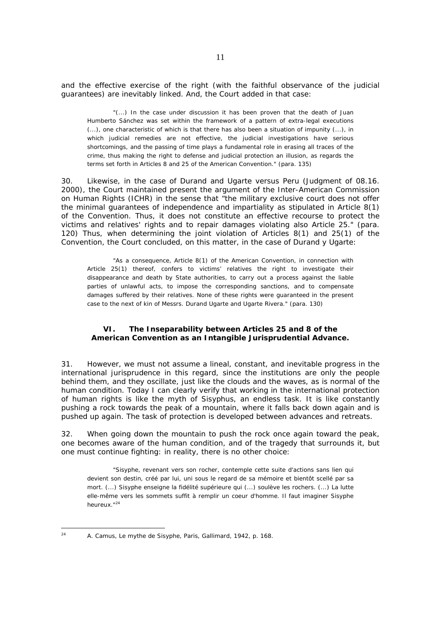and the effective exercise of the right (with the faithful observance of the judicial guarantees) are inevitably linked. And, the Court added in that case:

 "(...) In the case under discussion it has been proven that the death of Juan Humberto Sánchez was set within the framework of a pattern of extra-legal executions (...), one characteristic of which is that there has also been a situation of impunity (...), in which judicial remedies are not effective, the judicial investigations have serious shortcomings, and the passing of time plays a fundamental role in erasing all traces of the crime, thus making the right to defense and judicial protection an illusion, as regards the terms set forth in Articles 8 and 25 of the American Convention." (para. 135)

30. Likewise, in the case of *Durand and Ugarte versus Peru* (Judgment of 08.16. 2000), the Court maintained present the argument of the Inter-American Commission on Human Rights (ICHR) in the sense that "the military exclusive court does not offer the minimal guarantees of independence and impartiality as stipulated in Article 8(1) of the Convention. Thus, it does not constitute an effective recourse to protect the victims and relatives' rights and to repair damages violating also Article 25." (para. 120) Thus, when determining the joint violation of Articles 8(1) and 25(1) of the Convention, the Court concluded, on this matter, in the case of *Durand y Ugarte*:

 "As a consequence, Article 8(1) of the American Convention, in connection with Article 25(1) thereof, confers to victims' relatives the right to investigate their disappearance and death by State authorities, to carry out a process against the liable parties of unlawful acts, to impose the corresponding sanctions, and to compensate damages suffered by their relatives. None of these rights were guaranteed in the present case to the next of kin of Messrs. Durand Ugarte and Ugarte Rivera." (para. 130)

## **VI. The Inseparability between Articles 25 and 8 of the American Convention as an Intangible Jurisprudential Advance.**

31. However, we must not assume a lineal, constant, and inevitable progress in the international jurisprudence in this regard, since the institutions are only the people behind them, and they oscillate, just like the clouds and the waves, as is normal of the human condition. Today I can clearly verify that working in the international protection of human rights is like the myth of Sisyphus, an endless task. It is like constantly pushing a rock towards the peak of a mountain, where it falls back down again and is pushed up again. The task of protection is developed between advances and retreats.

32. When going down the mountain to push the rock once again toward the peak, one becomes *aware* of the human condition, and of the tragedy that surrounds it, but one must continue fighting: in reality, there is no other choice:

 "Sisyphe, revenant vers son rocher, contemple cette suite d'actions sans lien qui devient son destin, créé par lui, uni sous le regard de sa mémoire et bientôt scellé par sa mort. (...) Sisyphe enseigne la fidélité supérieure qui (...) soulève les rochers. (...) La lutte elle-même vers les sommets suffit à remplir un coeur d'homme. Il faut imaginer Sisyphe heureux."24

24 A. Camus, *Le mythe de Sisyphe*, Paris, Gallimard, 1942, p. 168.

 $24$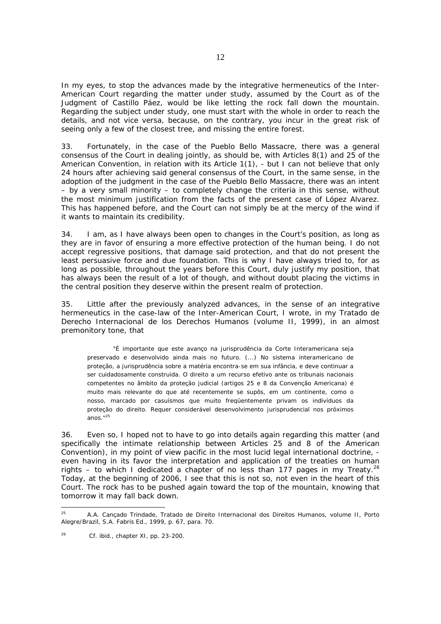In my eyes, to stop the advances made by the integrative hermeneutics of the Inter-American Court regarding the matter under study, assumed by the Court as of the Judgment of *Castillo Páez*, would be like letting the rock fall down the mountain. Regarding the subject under study, one must start with the whole in order to reach the details, and not vice versa, because, on the contrary, you incur in the great risk of seeing only a few of the closest tree, and missing the entire forest.

33. Fortunately, in the case of the *Pueblo Bello Massacre*, there was a general consensus of the Court in dealing *jointly,* as should be, with Articles 8(1) and 25 of the American Convention, in relation with its Article 1(1), - but I can not believe that only 24 hours after achieving said general consensus of the Court, in the same sense, in the adoption of the judgment in the case of the *Pueblo Bello Massacre*, there was an intent – by a very small minority – to completely change the criteria in this sense, *without the most minimum justification from the facts of the present case of López Alvarez*. This has happened before, and the Court can not simply be at the mercy of the wind if it wants to maintain its credibility.

34. I am, as I have always been open to changes in the Court's position, as long as they are in favor of ensuring a more effective protection of the human being. I do not accept regressive positions, that damage said protection, and that do not present the least persuasive force and due foundation. This is why I have always tried to, for as long as possible, throughout the years before this Court, duly justify my position, that has always been the result of a lot of though, and without doubt placing the victims in the central position they deserve within the present realm of protection.

35. Little after the previously analyzed advances, in the sense of an integrative hermeneutics in the case-law of the Inter-American Court, I wrote, in my *Tratado de Derecho Internacional de los Derechos Humanos* (volume II, 1999), in an almost premonitory tone, that

 "É importante que este avanço na jurisprudência da Corte Interamericana seja preservado e desenvolvido ainda mais no futuro. (...) No sistema interamericano de proteção, a jurisprudência sobre a matéria encontra-se em sua infância, e deve continuar a ser cuidadosamente construida. O direito a um recurso efetivo ante os tribunais nacionais competentes no âmbito da proteção judicial (artigos 25 e 8 da Convenção Americana) é muito mais relevante do que até recentemente se supôs, em um continente, como o nosso, marcado por casuísmos que muito freqüentemente privam os indivíduos da proteção do direito. Requer considerável desenvolvimento jurisprudencial nos próximos anos."<sup>25</sup>

36. Even so, I hoped not to have to go into details again regarding this matter (and specifically the intimate relationship between Articles 25 and 8 of the American Convention), in my point of view pacific in the most lucid legal international doctrine, even having in its favor the interpretation and application of the treaties on human rights – to which I dedicated a chapter of no less than 177 pages in my *Treaty.*<sup>26</sup> Today, at the beginning of 2006, I see that this is not so, not even in the heart of this Court. The rock has to be pushed again toward the top of the mountain, knowing that tomorrow it may fall back down.

 $25<sub>5</sub>$ 25 A.A. Cançado Trindade, *Tratado de Direito Internacional dos Direitos Humanos*, volume II, Porto Alegre/Brazil, S.A. Fabris Ed., 1999, p. 67, para. 70.

 $^{26}$  Cf. ibid., chapter XI, pp. 23-200.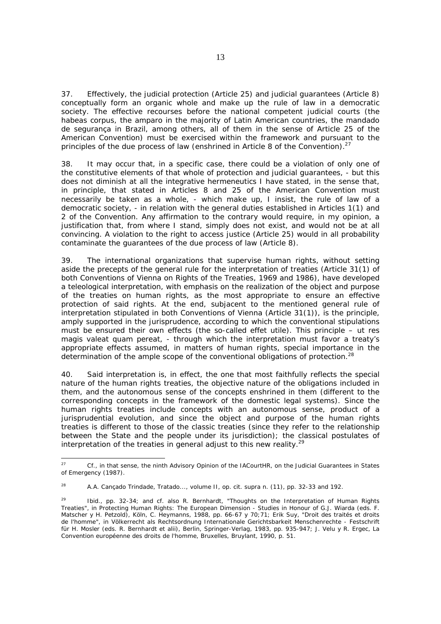37. Effectively, the judicial protection (Article 25) and judicial guarantees (Article 8) conceptually form an organic whole and make up the *rule of law* in a democratic society. The effective recourses before the national competent judicial courts (the *habeas corpus,* the *amparo* in the majority of Latin American countries, the *mandado de segurança* in Brazil, among others, all of them in the sense of Article 25 of the American Convention) must be exercised within the framework and pursuant to the principles of the due process of law (enshrined in Article 8 of the Convention).<sup>27</sup>

38. It may occur that, in a specific case, there could be a violation of only one of the constitutive elements of that whole of protection and judicial guarantees, - but this does not diminish at all the integrative hermeneutics I have stated, in the sense that, in *principle,* that stated in Articles 8 and 25 of the American Convention must necessarily be taken as a whole, - which make up, I insist, the *rule of law* of a democratic society, - in relation with the general duties established in Articles 1(1) and 2 of the Convention. Any affirmation to the contrary would require, in my opinion, a justification that, from where I stand, simply does not exist, and would not be at all convincing. A violation to the right to access justice (Article 25) would in all probability contaminate the guarantees of the due process of law (Article 8).

39. The international organizations that supervise human rights, without setting aside the precepts of the general rule for the interpretation of treaties (Article 31(1) of both Conventions of Vienna on Rights of the Treaties, 1969 and 1986), have developed a teleological interpretation, with emphasis on the realization of the object and purpose of the treaties on human rights, as the most appropriate to ensure an effective protection of said rights. At the end, subjacent to the mentioned general rule of interpretation stipulated in both Conventions of Vienna (Article 31(1)), is the principle, amply supported in the jurisprudence, according to which the conventional stipulations must be ensured their own effects (the so-called *effet utile)*. This principle – *ut res magis valeat quam pereat,* - through which the interpretation must favor a treaty's appropriate effects assumed, in matters of human rights, special importance in the determination of the ample scope of the conventional obligations of protection.<sup>28</sup>

40. Said interpretation is, in effect, the one that most faithfully reflects the special nature of the human rights treaties, the objective nature of the obligations included in them, and the autonomous sense of the concepts enshrined in them (different to the corresponding concepts in the framework of the domestic legal systems). Since the human rights treaties include concepts with an autonomous sense, product of a jurisprudential evolution, and since the object and purpose of the human rights treaties is different to those of the classic treaties (since they refer to the relationship between the State and the people under its jurisdiction); the classical postulates of interpretation of the treaties in general adjust to this new reality. $29$ 

<sup>27</sup> 27 Cf., in that sense, the ninth Advisory Opinion of the IACourtHR, on the *Judicial Guarantees in States of Emergency* (1987).

<sup>28</sup> A.A. Cançado Trindade, *Tratado*..., volume II, *op. cit. supra* n. (11), pp. 32-33 and 192.

Ibid., pp. 32-34; and cf. also R. Bernhardt, "Thoughts on the Interpretation of Human Rights Treaties", *in Protecting Human Rights: The European Dimension - Studies in Honour of G.J. Wiarda* (eds. F. Matscher y H. Petzold), Köln, C. Heymanns, 1988, pp. 66-67 y 70;71; Erik Suy, "Droit des traités et droits de l'homme", *in Völkerrecht als Rechtsordnung Internationale Gerichtsbarkeit Menschenrechte - Festschrift für H. Mosler* (eds. R. Bernhardt *et alii*), Berlin, Springer-Verlag, 1983, pp. 935-947; J. Velu y R. Ergec, *La Convention européenne des droits de l'homme*, Bruxelles, Bruylant, 1990, p. 51.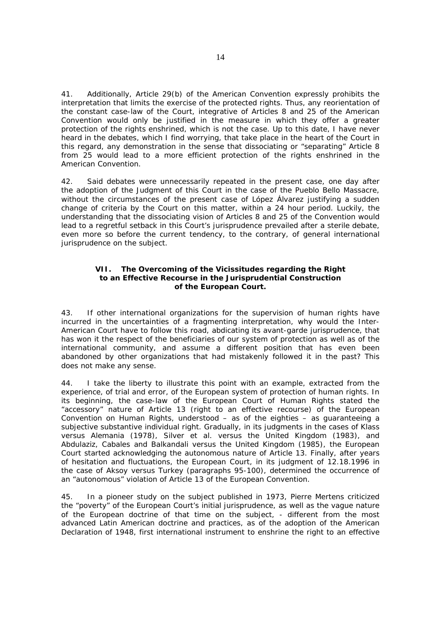41. Additionally, Article 29(b) of the American Convention expressly prohibits the interpretation that limits the exercise of the protected rights. Thus, any reorientation of the *constant case-law* of the Court, integrative of Articles 8 and 25 of the American Convention would only be justified in the measure in which they offer a greater protection of the rights enshrined, which is not the case. Up to this date, I have never heard in the debates, which I find worrying, that take place in the heart of the Court in this regard, any demonstration in the sense that dissociating or "separating" Article 8 from 25 would lead to a more efficient protection of the rights enshrined in the American Convention.

42. Said debates were unnecessarily repeated in the present case, one day after the adoption of the Judgment of this Court in the case of the *Pueblo Bello Massacre*, without the circumstances of the present case of *López Álvarez* justifying a sudden change of criteria by the Court on this matter, within a 24 hour period. Luckily, the understanding that the dissociating vision of Articles 8 and 25 of the Convention would lead to a regretful setback in this Court's jurisprudence prevailed after a sterile debate, even more so before the current tendency, to the contrary, of general international jurisprudence on the subject.

## **VII. The Overcoming of the Vicissitudes regarding the Right to an Effective Recourse in the Jurisprudential Construction of the European Court.**

43. If other international organizations for the supervision of human rights have incurred in the uncertainties of a fragmenting interpretation, why would the Inter-American Court have to follow this road, abdicating its avant-garde jurisprudence, that has won it the respect of the beneficiaries of our system of protection as well as of the international community, and assume a different position that has even been abandoned by other organizations that had mistakenly followed it in the past? This does not make any sense.

44. I take the liberty to illustrate this point with an example, extracted from the experience, of trial and error, of the European system of protection of human rights. In its beginning, the case-law of the European Court of Human Rights stated the "accessory" nature of Article 13 (right to an effective recourse) of the European Convention on Human Rights, understood – as of the eighties – as guaranteeing a subjective substantive individual right. Gradually, in its judgments in the cases of *Klass versus Alemania* (1978), *Silver et al. versus the United Kingdom* (1983), and *Abdulaziz, Cabales and Balkandali versus the United Kingdom* (1985), the European Court started acknowledging the autonomous nature of Article 13. Finally, after years of hesitation and fluctuations, the European Court, in its judgment of 12.18.1996 in the case of *Aksoy versus Turkey* (paragraphs 95-100), determined the occurrence of an "autonomous" violation of Article 13 of the European Convention.

45. In a pioneer study on the subject published in 1973, Pierre Mertens criticized the "poverty" of the European Court's initial jurisprudence, as well as the vague nature of the European doctrine of that time on the subject, - different from the most advanced Latin American doctrine and practices, as of the adoption of the American Declaration of 1948, first international instrument to enshrine the right to an effective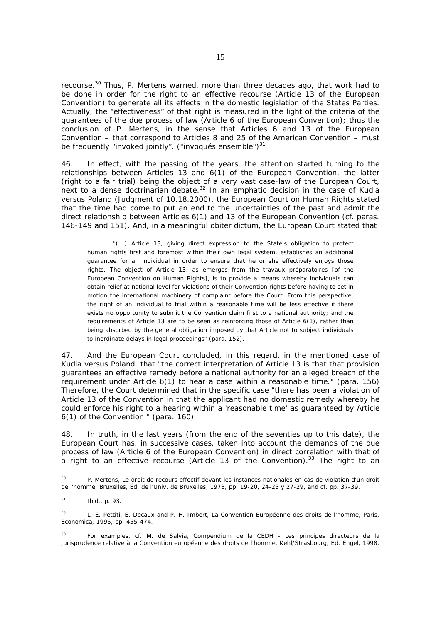recourse.30 Thus, P. Mertens warned, more than three decades ago, that work had to be done in order for the right to an effective recourse (Article 13 of the European Convention) to generate all its effects in the domestic legislation of the States Parties. Actually, the "effectiveness" of that right is measured in the light of the criteria of the guarantees of the due process of law (Article 6 of the European Convention); thus the conclusion of P. Mertens, in the sense that Articles 6 and 13 of the European Convention – that correspond to Articles 8 and 25 of the American Convention – must be frequently "invoked jointly". ("invoqués ensemble") $31$ 

46. In effect, with the passing of the years, the attention started turning to the relationships between Articles 13 and 6(1) of the European Convention, the latter (right to a fair trial) being the object of a very vast case-law of the European Court, next to a dense doctrinarian debate.<sup>32</sup> In an emphatic decision in the case of *Kudla versus Poland* (Judgment of 10.18.2000), the European Court on Human Rights stated that the time had come to put an end to the uncertainties of the past and admit the direct relationship between Articles 6(1) and 13 of the European Convention (cf. paras. 146-149 and 151). And, in a meaningful *obiter dictum*, the European Court stated that

 "(...) Article 13, giving direct expression to the State's obligation to protect human rights first and foremost within their own legal system, establishes an additional guarantee for an individual in order to ensure that he or she effectively enjoys those rights. The object of Article 13, as emerges from the *travaux préparatoires* [of the European Convention on Human Rights], is to provide a means whereby individuals can obtain relief at national level for violations of their Convention rights before having to set in motion the international machinery of complaint before the Court. From this perspective, the right of an individual to trial within a reasonable time will be less effective if there exists no opportunity to submit the Convention claim first to a national authority; and the requirements of Article 13 are to be seen as reinforcing those of Article 6(1), rather than being absorbed by the general obligation imposed by that Article not to subject individuals to inordinate delays in legal proceedings" (para. 152).

47. And the European Court concluded, in this regard, in the mentioned case of *Kudla versus Poland*, that "the correct interpretation of Article 13 is that that provision guarantees an effective remedy before a national authority for an alleged breach of the requirement under Article 6(1) to hear a case within a reasonable time." (para. 156) Therefore, the Court determined that in the specific case "there has been a violation of Article 13 of the Convention in that the applicant had no domestic remedy whereby he could enforce his right to a hearing within a 'reasonable time' as guaranteed by Article 6(1) of the Convention." (para. 160)

48. In truth, in the last years (from the end of the seventies up to this date), the European Court has, in successive cases, taken into account the demands of the due process of law (Article 6 of the European Convention) in direct correlation with that of a right to an effective recourse (Article 13 of the Convention).<sup>33</sup> The right to an

-

<sup>30</sup> P. Mertens, *Le droit de recours effectif devant les instances nationales en cas de violation d'un droit de l'homme*, Bruxelles, Éd. de l'Univ. de Bruxelles, 1973, pp. 19-20, 24-25 y 27-29, and cf. pp. 37-39.

<sup>31</sup> *Ibid*., p. 93.

<sup>32</sup> L.-E. Pettiti, E. Decaux and P.-H. Imbert, *La Convention Européenne des droits de l'homme*, Paris, Economica, 1995, pp. 455-474.

<sup>33</sup> For examples, cf. M. de Salvia, *Compendium de la CEDH - Les principes directeurs de la jurisprudence relative à la Convention européenne des droits de l'homme*, Kehl/Strasbourg, Éd. Engel, 1998,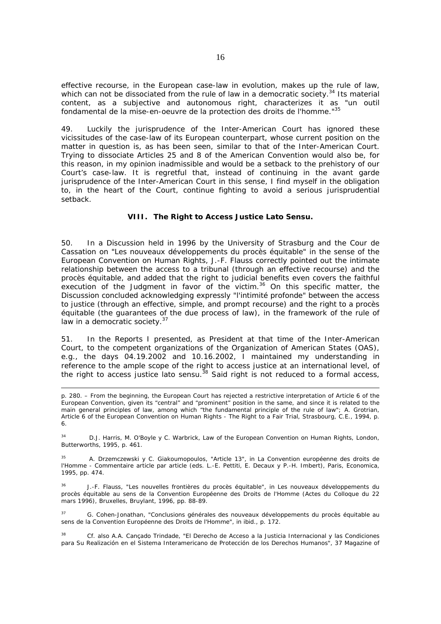effective recourse, in the European case-law in evolution, makes up the rule of law, which can not be dissociated from the *rule of law* in a democratic society.<sup>34</sup> Its material content, as a subjective and autonomous right, characterizes it as "un outil fondamental de la mise-en-oeuvre de la protection des droits de l'homme."35

49. Luckily the jurisprudence of the Inter-American Court has ignored these vicissitudes of the case-law of its European counterpart, whose current position on the matter in question is, as has been seen, similar to that of the Inter-American Court. Trying to dissociate Articles 25 and 8 of the American Convention would also be, for this reason, in my opinion inadmissible and would be a setback to the prehistory of our Court's case-law. It is regretful that, instead of continuing in the *avant garde*  jurisprudence of the Inter-American Court in this sense, I find myself in the obligation to, in the heart of the Court, continue fighting to avoid a serious jurisprudential setback.

#### **VIII. The Right to Access Justice** *Lato Sensu***.**

50. In a Discussion held in 1996 by the University of Strasburg and the *Cour de Cassation* on "*Les nouveaux développements du procès équitable*" in the sense of the European Convention on Human Rights, J.-F. Flauss correctly pointed out the intimate relationship between the access to a tribunal (through an effective recourse) and the *procès équitable*, and added that the right to judicial benefits even covers the faithful execution of the Judgment in favor of the victim.<sup>36</sup> On this specific matter, the Discussion concluded acknowledging expressly "l'intimité profonde" between the access to justice (through an effective, simple, and prompt recourse) and the right to a *procès équitable* (the guarantees of the due process of law), in the framework of the rule of law in a democratic society.<sup>37</sup>

51. In the *Reports* I presented, as President at that time of the Inter-American Court, to the competent organizations of the Organization of American States (OAS), e.g., the days 04.19.2002 and 10.16.2002, I maintained my understanding in reference to the ample scope of the right to access justice at an international level, of the right to access justice *lato sensu.*38 Said right is not reduced to a formal access,

 $\overline{a}$ 

34 D.J. Harris, M. O'Boyle y C. Warbrick, *Law of the European Convention on Human Rights*, London, Butterworths, 1995, p. 461.

35 A. Drzemczewski y C. Giakoumopoulos, "Article 13", *in La Convention européenne des droits de l'Homme - Commentaire article par article* (eds. L.-E. Pettiti, E. Decaux y P.-H. Imbert), Paris, Economica, 1995, pp. 474.

36 J.-F. Flauss, "Les nouvelles frontières du procès équitable", *in Les nouveaux développements du procès équitable au sens de la Convention Européenne des Droits de l'Homme* (Actes du Colloque du 22 mars 1996), Bruxelles, Bruylant, 1996, pp. 88-89.

 $27$ 37 G. Cohen-Jonathan, "Conclusions générales des nouveaux développements du procès équitable au sens de la Convention Européenne des Droits de l'Homme", *in ibid*., p. 172.

38 Cf. also A.A. Cançado Trindade, *"El Derecho de Acceso a la Justicia Internacional y las Condiciones para Su Realización en el Sistema Interamericano de Protección de los Derechos Humanos*", 37 *Magazine of* 

p. 280. – From the beginning, the European Court has rejected a restrictive interpretation of Article 6 of the European Convention, given its "central" and "prominent" position in the same, and since it is related to the main general principles of law, among which "the fundamental principle of the rule of law"; A. Grotrian, *Article 6 of the European Convention on Human Rights - The Right to a Fair Trial*, Strasbourg, C.E., 1994, p. 6.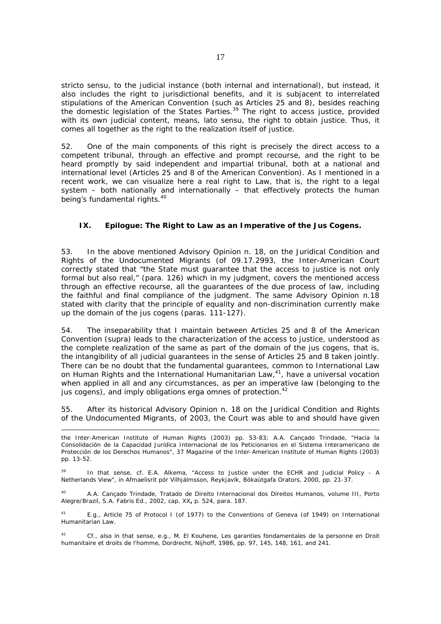*stricto sensu*, to the judicial instance (both internal and international), but instead, it also includes the right to jurisdictional benefits, and it is subjacent to interrelated stipulations of the American Convention (such as Articles 25 and 8), besides reaching the domestic legislation of the States Parties.<sup>39</sup> The right to access justice, provided with its own judicial content, means, *lato sensu*, the right to obtain justice. Thus, it comes all together as the right to the *realization* itself of justice.

52. One of the main components of this right is precisely the direct access to a competent tribunal, through an effective and prompt recourse, and the right to be heard promptly by said independent and impartial tribunal, both at a national and international level (Articles 25 and 8 of the American Convention). As I mentioned in a recent work, we can visualize here a real *right to Law,* that is, the right to a legal system  $-$  both nationally and internationally  $-$  that effectively protects the human being's fundamental rights.<sup>40</sup>

## **IX. Epilogue: The Right to Law as an Imperative of the** *Jus Cogens***.**

53. In the above mentioned Advisory Opinion n. 18, on the *Juridical Condition and Rights of the Undocumented Migrants* (of 09.17.2993, the Inter-American Court correctly stated that "the State must guarantee that the access to justice is not only formal but also real," (para. 126) which in my judgment, covers the mentioned access through an effective recourse, all the guarantees of the due process of law, including the faithful and final compliance of the judgment. The same Advisory Opinion n.18 stated with clarity that the principle of equality and non-discrimination currently make up the domain of the *jus cogens* (paras. 111-127).

54. The inseparability that I maintain between Articles 25 and 8 of the American Convention (*supra)* leads to the characterization of the access to justice, understood as the *complete realization* of the same as part of the domain of the *jus cogens,* that is, the intangibility of all judicial guarantees in the sense of Articles 25 and 8 taken *jointly.* There can be no doubt that the fundamental guarantees, common to International Law on Human Rights and the International Humanitarian Law,<sup>41</sup>, have a universal vocation when applied in all and any circumstances, as per an imperative law (belonging to the *jus cogens)*, and imply obligations *erga omnes* of protection.<sup>42</sup>

55. After its historical Advisory Opinion n. 18 on the *Juridical Condition and Rights of the Undocumented Migrants,* of 2003, the Court was able to and should have given

40 A.A. Cançado Trindade, *Tratado de Direito Internacional dos Direitos Humanos*, volume III, Porto Alegre/Brazil, S.A. Fabris Ed., 2002, cap. XX**,** p. 524, para. 187.

41 E.g., Article 75 of Protocol I (of 1977) to the Conventions of Geneva (of 1949) on International Humanitarian Law.

42 Cf., also in that sense, e.g., M. El Kouhene, *Les garanties fondamentales de la personne en Droit humanitaire et droits de l'homme*, Dordrecht, Nijhoff, 1986, pp. 97, 145, 148, 161, and 241.

*the Inter-American Institute of Human Rights* (2003) pp. 53-83; A.A. Cançado Trindade, *"Hacia la Consolidación de la Capacidad Jurídica Internacional de los Peticionarios en el Sistema Interamericano de Protección de los Derechos Humanos*", 37 *Magazine of the Inter-American Institute of Human Rights* (2003) pp. 13-52.

<sup>&</sup>lt;sup>39</sup> In that sense, cf. E.A. Alkema, "Access to Justice under the ECHR and Judicial Policy - A Netherlands View", *in Afmaelisrit pór Vilhjálmsson*, Reykjavík, Bókaútgafa Orators, 2000, pp. 21-37.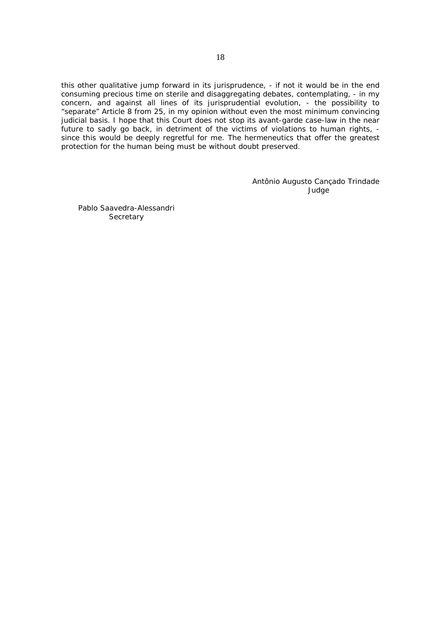this other qualitative jump forward in its jurisprudence, - if not it would be in the end consuming precious time on sterile and disaggregating debates, contemplating, - in my concern, and against all lines of its jurisprudential evolution, - the possibility to "separate" Article 8 from 25, in my opinion without even the most minimum convincing judicial basis. I hope that this Court does not stop its avant-garde case-law in the near future to sadly go back, in detriment of the victims of violations to human rights, since this would be deeply regretful for me. The hermeneutics that offer the greatest protection for the human being must be without doubt preserved.

> Antônio Augusto Cançado Trindade Judge

Pablo Saavedra-Alessandri **Secretary**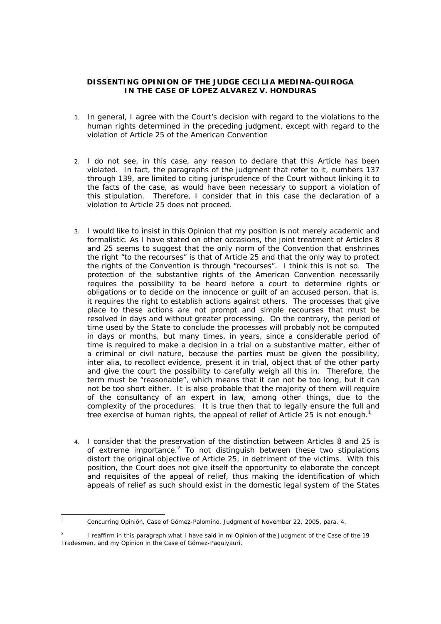## **DISSENTING OPINION OF THE JUDGE CECILIA MEDINA-QUIROGA IN THE CASE OF LÓPEZ ALVAREZ V. HONDURAS**

- 1. In general, I agree with the Court's decision with regard to the violations to the human rights determined in the preceding judgment, except with regard to the violation of Article 25 of the American Convention
- 2. I do not see, in this case, any reason to declare that this Article has been violated. In fact, the paragraphs of the judgment that refer to it, numbers 137 through 139, are limited to citing jurisprudence of the Court without linking it to the facts of the case, as would have been necessary to support a violation of this stipulation. Therefore, I consider that in this case the declaration of a violation to Article 25 does not proceed.
- 3. I would like to insist in this Opinion that my position is not merely academic and formalistic. As I have stated on other occasions, the joint treatment of Articles 8 and 25 seems to suggest that the only norm of the Convention that enshrines the right "to the recourses" is that of Article 25 and that the only way to protect the rights of the Convention is through "recourses". I think this is not so. The protection of the substantive rights of the American Convention necessarily requires the possibility to be heard before a court to determine rights or obligations or to decide on the innocence or guilt of an accused person, that is, it requires the right to establish actions against others. The processes that give place to these actions are not prompt and simple recourses that must be resolved in days and without greater processing. On the contrary, the period of time used by the State to conclude the processes will probably not be computed in days or months, but many times, in years, since a considerable period of time is required to make a decision in a trial on a substantive matter, either of a criminal or civil nature, because the parties must be given the possibility, *inter alia,* to recollect evidence, present it in trial, object that of the other party and give the court the possibility to carefully weigh all this in. Therefore, the term must be "reasonable", which means that it can not be too long, but it can not be too short either. It is also probable that the majority of them will require of the consultancy of an expert in law, among other things, due to the complexity of the procedures. It is true then that to legally ensure the full and free exercise of human rights, the appeal of relief of Article 25 is not enough.<sup>1</sup>
- 4. I consider that the preservation of the distinction between Articles 8 and 25 is of extreme importance.<sup>2</sup> To not distinguish between these two stipulations distort the original objective of Article 25, in detriment of the victims. With this position, the Court does not give itself the opportunity to elaborate the concept and requisites of the appeal of relief, thus making the identification of which appeals of relief as such should exist in the domestic legal system of the States

<sup>1</sup> <sup>1</sup> Concurring Opinión, Case of Gómez-Palomino, Judgment of November 22, 2005, para. 4.

<sup>2</sup> I reaffirm in this paragraph what I have said in mi Opinion of the Judgment of the Case of the 19 Tradesmen, and my Opinion in the Case of Gómez-Paquiyauri.